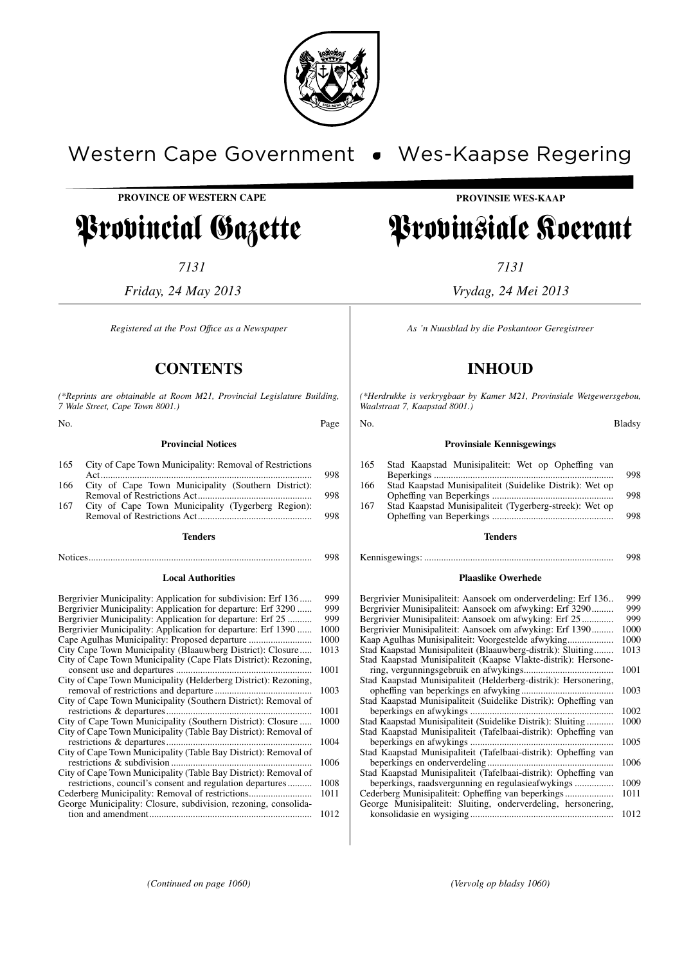

# Western Cape Government . Wes-Kaapse Regering

**PROVINCE OF WESTERN CAPE**

# Provincial Gazette

*7131*

*Friday, 24 May 2013*

*Registered at the Post Offıce as a Newspaper*

## **CONTENTS**

*(\*Reprints are obtainable at Room M21, Provincial Legislature Building, 7 Wale Street, Cape Town 8001.)*

No. Page

## **Provincial Notices**

| 165 | City of Cape Town Municipality: Removal of Restrictions |  |
|-----|---------------------------------------------------------|--|
|     |                                                         |  |
| 166 | City of Cape Town Municipality (Southern District):     |  |
|     |                                                         |  |
| 167 | City of Cape Town Municipality (Tygerberg Region):      |  |
|     |                                                         |  |

#### **Tenders**

Notices............................................................................................ 998

#### **Local Authorities**

| Bergrivier Municipality: Application for subdivision: Erf 136   | 999  |
|-----------------------------------------------------------------|------|
| Bergrivier Municipality: Application for departure: Erf 3290    | 999  |
| Bergrivier Municipality: Application for departure: Erf 25      | 999  |
| Bergrivier Municipality: Application for departure: Erf 1390    | 1000 |
| Cape Agulhas Municipality: Proposed departure                   | 1000 |
| City Cape Town Municipality (Blaauwberg District): Closure      | 1013 |
| City of Cape Town Municipality (Cape Flats District): Rezoning, |      |
|                                                                 | 1001 |
| City of Cape Town Municipality (Helderberg District): Rezoning, |      |
|                                                                 | 1003 |
| City of Cape Town Municipality (Southern District): Removal of  |      |
|                                                                 | 1001 |
| City of Cape Town Municipality (Southern District): Closure     | 1000 |
| City of Cape Town Municipality (Table Bay District): Removal of |      |
| restrictions & departures                                       | 1004 |
| City of Cape Town Municipality (Table Bay District): Removal of |      |
|                                                                 | 1006 |
| City of Cape Town Municipality (Table Bay District): Removal of |      |
| restrictions, council's consent and regulation departures       | 1008 |
| Cederberg Municipality: Removal of restrictions                 | 1011 |
| George Municipality: Closure, subdivision, rezoning, consolida- |      |
|                                                                 | 1012 |

## **PROVINSIE WES-KAAP**

# Provinsiale Koerant

*7131*

*Vrydag, 24 Mei 2013*

*As 'n Nuusblad by die Poskantoor Geregistreer*

## **INHOUD**

*(\*Herdrukke is verkrygbaar by Kamer M21, Provinsiale Wetgewersgebou, Waalstraat 7, Kaapstad 8001.)*

#### No. Bladsy

#### **Provinsiale Kennisgewings**

| 165 | Stad Kaapstad Munisipaliteit: Wet op Opheffing van       |     |
|-----|----------------------------------------------------------|-----|
|     |                                                          | 998 |
| 166 | Stad Kaapstad Munisipaliteit (Suidelike Distrik): Wet op |     |
|     |                                                          | 998 |
| 167 | Stad Kaapstad Munisipaliteit (Tygerberg-streek): Wet op  |     |
|     |                                                          | 998 |
|     |                                                          |     |

#### **Tenders**

Kennisgewings: .............................................................................. 998

#### **Plaaslike Owerhede**

| Bergrivier Munisipaliteit: Aansoek om onderverdeling: Erf 136   | 999  |
|-----------------------------------------------------------------|------|
| Bergrivier Munisipaliteit: Aansoek om afwyking: Erf 3290        | 999  |
| Bergrivier Munisipaliteit: Aansoek om afwyking: Erf 25          | 999  |
| Bergrivier Munisipaliteit: Aansoek om afwyking: Erf 1390        | 1000 |
| Kaap Agulhas Munisipaliteit: Voorgestelde afwyking.<br>.        | 1000 |
| Stad Kaapstad Munisipaliteit (Blaauwberg-distrik): Sluiting     | 1013 |
| Stad Kaapstad Munisipaliteit (Kaapse Vlakte-distrik): Hersone-  |      |
| ring, vergunningsgebruik en afwykings                           | 1001 |
| Stad Kaapstad Munisipaliteit (Helderberg-distrik): Hersonering, |      |
|                                                                 | 1003 |
| Stad Kaapstad Munisipaliteit (Suidelike Distrik): Opheffing van |      |
| beperkings en afwykings                                         | 1002 |
| Stad Kaapstad Munisipaliteit (Suidelike Distrik): Sluiting      | 1000 |
| Stad Kaapstad Munisipaliteit (Tafelbaai-distrik): Opheffing van |      |
| beperkings en afwykings.                                        | 1005 |
| Stad Kaapstad Munisipaliteit (Tafelbaai-distrik): Opheffing van |      |
|                                                                 | 1006 |
| Stad Kaapstad Munisipaliteit (Tafelbaai-distrik): Opheffing van |      |
|                                                                 | 1009 |
|                                                                 | 1011 |
| George Munisipaliteit: Sluiting, onderverdeling, hersonering,   |      |
|                                                                 | 1012 |
|                                                                 |      |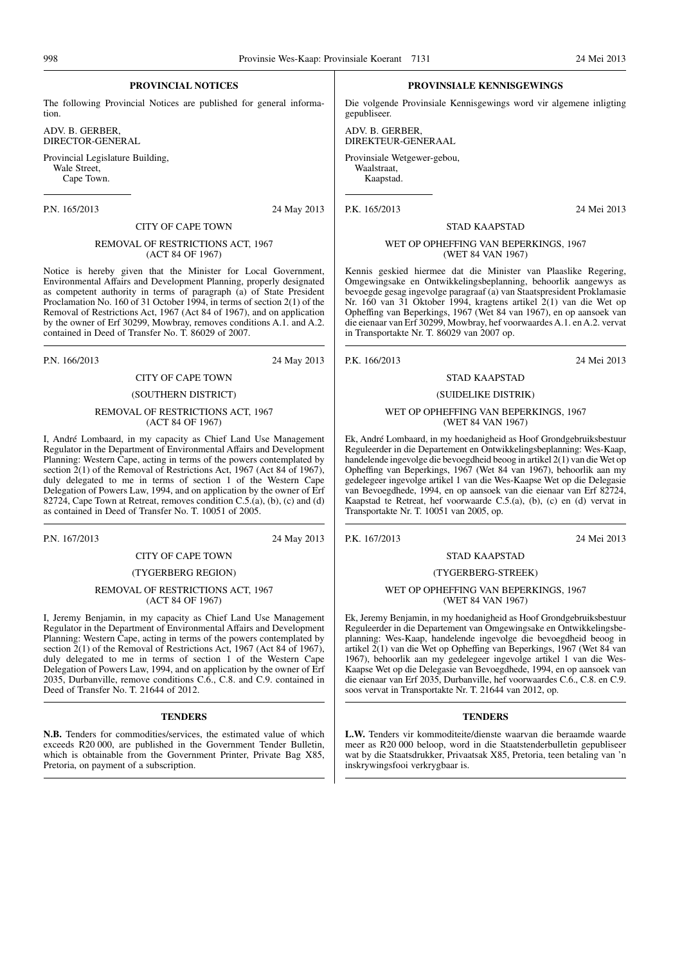## **PROVINCIAL NOTICES**

The following Provincial Notices are published for general information.

ADV. B. GERBER, DIRECTOR-GENERAL

Provincial Legislature Building, Wale Street, Cape Town.

P.N. 165/2013 24 May 2013

## CITY OF CAPE TOWN REMOVAL OF RESTRICTIONS ACT, 1967 (ACT 84 OF 1967)

Notice is hereby given that the Minister for Local Government, Environmental Affairs and Development Planning, properly designated as competent authority in terms of paragraph (a) of State President Proclamation No. 160 of 31 October 1994, in terms of section 2(1) of the Removal of Restrictions Act, 1967 (Act 84 of 1967), and on application by the owner of Erf 30299, Mowbray, removes conditions A.1. and A.2. contained in Deed of Transfer No. T. 86029 of 2007.

P.N. 166/2013 24 May 2013

## CITY OF CAPE TOWN (SOUTHERN DISTRICT)

#### REMOVAL OF RESTRICTIONS ACT, 1967 (ACT 84 OF 1967)

I, André Lombaard, in my capacity as Chief Land Use Management Regulator in the Department of Environmental Affairs and Development Planning: Western Cape, acting in terms of the powers contemplated by section  $2(1)$  of the Removal of Restrictions Act, 1967 (Act 84 of 1967), duly delegated to me in terms of section 1 of the Western Cape Delegation of Powers Law, 1994, and on application by the owner of Erf 82724, Cape Town at Retreat, removes condition C.5.(a), (b), (c) and (d) as contained in Deed of Transfer No. T. 10051 of 2005.

P.N. 167/2013 24 May 2013

## CITY OF CAPE TOWN

## (TYGERBERG REGION)

#### REMOVAL OF RESTRICTIONS ACT, 1967 (ACT 84 OF 1967)

I, Jeremy Benjamin, in my capacity as Chief Land Use Management Regulator in the Department of Environmental Affairs and Development Planning: Western Cape, acting in terms of the powers contemplated by section 2(1) of the Removal of Restrictions Act, 1967 (Act 84 of 1967), duly delegated to me in terms of section 1 of the Western Cape Delegation of Powers Law, 1994, and on application by the owner of Erf 2035, Durbanville, remove conditions C.6., C.8. and C.9. contained in Deed of Transfer No. T. 21644 of 2012.

#### **TENDERS**

**N.B.** Tenders for commodities/services, the estimated value of which exceeds R20 000, are published in the Government Tender Bulletin, which is obtainable from the Government Printer, Private Bag X85, Pretoria, on payment of a subscription.

#### **PROVINSIALE KENNISGEWINGS**

Die volgende Provinsiale Kennisgewings word vir algemene inligting gepubliseer.

ADV. B. GERBER, DIREKTEUR-GENERAAL

Provinsiale Wetgewer-gebou, Waalstraat,

Kaapstad.

P.K. 165/2013 24 Mei 2013

#### WET OP OPHEFFING VAN BEPERKINGS, 1967 (WET 84 VAN 1967)

STAD KAAPSTAD

Kennis geskied hiermee dat die Minister van Plaaslike Regering, Omgewingsake en Ontwikkelingsbeplanning, behoorlik aangewys as bevoegde gesag ingevolge paragraaf (a) van Staatspresident Proklamasie Nr. 160 van 31 Oktober 1994, kragtens artikel 2(1) van die Wet op Opheffing van Beperkings, 1967 (Wet 84 van 1967), en op aansoek van die eienaar van Erf 30299, Mowbray, hef voorwaardes A.1. en A.2. vervat in Transportakte Nr. T. 86029 van 2007 op.

P.K. 166/2013 24 Mei 2013

## STAD KAAPSTAD (SUIDELIKE DISTRIK)

#### WET OP OPHEFFING VAN BEPERKINGS, 1967 (WET 84 VAN 1967)

Ek, André Lombaard, in my hoedanigheid as Hoof Grondgebruiksbestuur Reguleerder in die Departement en Ontwikkelingsbeplanning: Wes-Kaap, handelende ingevolge die bevoegdheid beoog in artikel 2(1) van dieWet op Opheffing van Beperkings, 1967 (Wet 84 van 1967), behoorlik aan my gedelegeer ingevolge artikel 1 van die Wes-Kaapse Wet op die Delegasie van Bevoegdhede, 1994, en op aansoek van die eienaar van Erf 82724, Kaapstad te Retreat, hef voorwaarde C.5.(a), (b), (c) en (d) vervat in Transportakte Nr. T. 10051 van 2005, op.

P.K. 167/2013 24 Mei 2013

#### STAD KAAPSTAD

#### (TYGERBERG-STREEK)

#### WET OP OPHEFFING VAN BEPERKINGS, 1967 (WET 84 VAN 1967)

Ek, Jeremy Benjamin, in my hoedanigheid as Hoof Grondgebruiksbestuur Reguleerder in die Departement van Omgewingsake en Ontwikkelingsbeplanning: Wes-Kaap, handelende ingevolge die bevoegdheid beoog in artikel 2(1) van die Wet op Opheffing van Beperkings, 1967 (Wet 84 van 1967), behoorlik aan my gedelegeer ingevolge artikel 1 van die Wes-Kaapse Wet op die Delegasie van Bevoegdhede, 1994, en op aansoek van die eienaar van Erf 2035, Durbanville, hef voorwaardes C.6., C.8. en C.9. soos vervat in Transportakte Nr. T. 21644 van 2012, op.

#### **TENDERS**

**L.W.** Tenders vir kommoditeite/dienste waarvan die beraamde waarde meer as R20 000 beloop, word in die Staatstenderbulletin gepubliseer wat by die Staatsdrukker, Privaatsak X85, Pretoria, teen betaling van 'n inskrywingsfooi verkrygbaar is.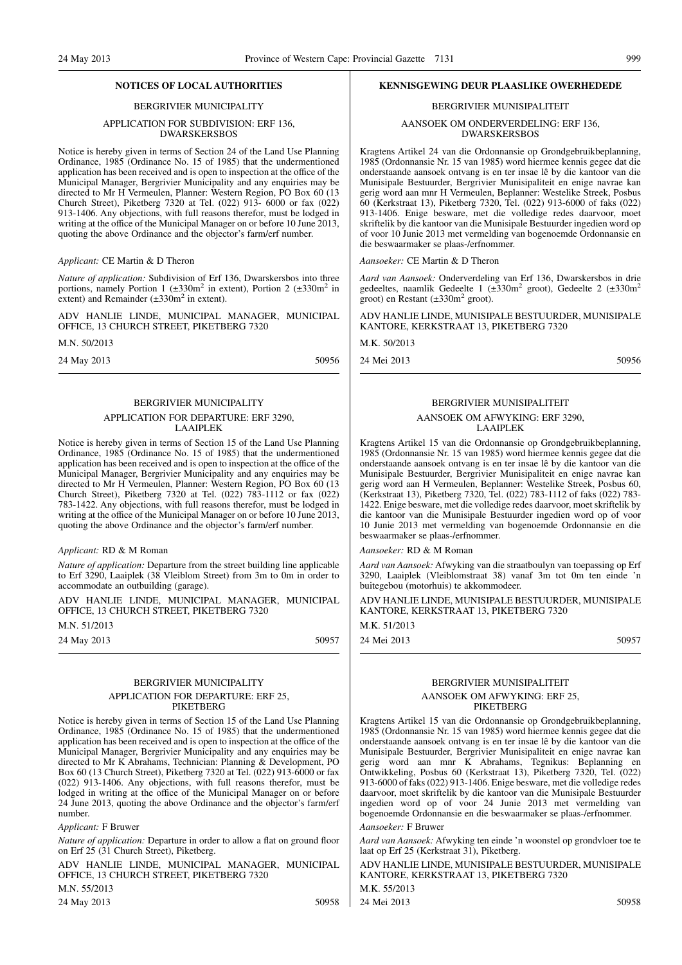#### BERGRIVIER MUNICIPALITY

#### APPLICATION FOR SUBDIVISION: ERF 136, DWARSKERSBOS

Notice is hereby given in terms of Section 24 of the Land Use Planning Ordinance, 1985 (Ordinance No. 15 of 1985) that the undermentioned application has been received and is open to inspection at the office of the Municipal Manager, Bergrivier Municipality and any enquiries may be directed to Mr H Vermeulen, Planner: Western Region, PO Box 60 (13 Church Street), Piketberg 7320 at Tel. (022) 913- 6000 or fax (022) 913-1406. Any objections, with full reasons therefor, must be lodged in writing at the office of the Municipal Manager on or before 10 June 2013, quoting the above Ordinance and the objector's farm/erf number.

#### *Applicant:* CE Martin & D Theron

*Nature of application:* Subdivision of Erf 136, Dwarskersbos into three portions, namely Portion 1 ( $\pm 330$ m<sup>2</sup> in extent), Portion 2 ( $\pm 330$ m<sup>2</sup> in extent) and Remainder  $(\pm 330 \text{m}^2 \text{ in extent})$ .

ADV HANLIE LINDE, MUNICIPAL MANAGER, MUNICIPAL OFFICE, 13 CHURCH STREET, PIKETBERG 7320

M.N. 50/2013

24 May 2013 50956

## BERGRIVIER MUNICIPALITY

#### APPLICATION FOR DEPARTURE: ERF 3290, LAAIPLEK

Notice is hereby given in terms of Section 15 of the Land Use Planning Ordinance, 1985 (Ordinance No. 15 of 1985) that the undermentioned application has been received and is open to inspection at the office of the Municipal Manager, Bergrivier Municipality and any enquiries may be directed to Mr H Vermeulen, Planner: Western Region, PO Box 60 (13 Church Street), Piketberg 7320 at Tel. (022) 783-1112 or fax (022) 783-1422. Any objections, with full reasons therefor, must be lodged in writing at the office of the Municipal Manager on or before 10 June 2013, quoting the above Ordinance and the objector's farm/erf number.

#### *Applicant:* RD & M Roman

*Nature of application:* Departure from the street building line applicable to Erf 3290, Laaiplek (38 Vleiblom Street) from 3m to 0m in order to accommodate an outbuilding (garage).

ADV HANLIE LINDE, MUNICIPAL MANAGER, MUNICIPAL OFFICE, 13 CHURCH STREET, PIKETBERG 7320

M<sub>N</sub> 51/2013

24 May 2013 50957

#### BERGRIVIER MUNICIPALITY APPLICATION FOR DEPARTURE: ERF 25, PIKETBERG

Notice is hereby given in terms of Section 15 of the Land Use Planning Ordinance, 1985 (Ordinance No. 15 of 1985) that the undermentioned application has been received and is open to inspection at the office of the Municipal Manager, Bergrivier Municipality and any enquiries may be directed to Mr K Abrahams, Technician: Planning & Development, PO Box 60 (13 Church Street), Piketberg 7320 at Tel. (022) 913-6000 or fax (022) 913-1406. Any objections, with full reasons therefor, must be lodged in writing at the office of the Municipal Manager on or before 24 June 2013, quoting the above Ordinance and the objector's farm/erf number.

#### *Applicant:* F Bruwer

*Nature of application:* Departure in order to allow a flat on ground floor on Erf 25 (31 Church Street), Piketberg.

ADV HANLIE LINDE, MUNICIPAL MANAGER, MUNICIPAL OFFICE, 13 CHURCH STREET, PIKETBERG 7320

M.N. 55/2013

24 May 2013 50958

#### **NOTICES OF LOCAL AUTHORITIES KENNISGEWING DEUR PLAASLIKE OWERHEDEDE**

#### BERGRIVIER MUNISIPALITEIT

AANSOEK OM ONDERVERDELING: ERF 136, DWARSKERSBOS

Kragtens Artikel 24 van die Ordonnansie op Grondgebruikbeplanning, 1985 (Ordonnansie Nr. 15 van 1985) word hiermee kennis gegee dat die onderstaande aansoek ontvang is en ter insae lê by die kantoor van die Munisipale Bestuurder, Bergrivier Munisipaliteit en enige navrae kan gerig word aan mnr H Vermeulen, Beplanner: Westelike Streek, Posbus 60 (Kerkstraat 13), Piketberg 7320, Tel. (022) 913-6000 of faks (022) 913-1406. Enige besware, met die volledige redes daarvoor, moet skriftelik by die kantoor van die Munisipale Bestuurder ingedien word op of voor 10 Junie 2013 met vermelding van bogenoemde Ordonnansie en die beswaarmaker se plaas-/erfnommer.

*Aansoeker:* CE Martin & D Theron

*Aard van Aansoek:* Onderverdeling van Erf 136, Dwarskersbos in drie gedeeltes, naamlik Gedeelte 1 ( $\pm 330$ m<sup>2</sup> groot), Gedeelte 2 ( $\pm 330$ m<sup>2</sup> groot) en Restant  $(\pm 330 \text{m}^2 \text{ groot})$ .

ADV HANLIE LINDE, MUNISIPALE BESTUURDER, MUNISIPALE KANTORE, KERKSTRAAT 13, PIKETBERG 7320

M.K. 50/2013

24 Mei 2013 50956

#### BERGRIVIER MUNISIPALITEIT

#### AANSOEK OM AFWYKING: ERF 3290, LAAIPLEK

Kragtens Artikel 15 van die Ordonnansie op Grondgebruikbeplanning, 1985 (Ordonnansie Nr. 15 van 1985) word hiermee kennis gegee dat die onderstaande aansoek ontvang is en ter insae lê by die kantoor van die Munisipale Bestuurder, Bergrivier Munisipaliteit en enige navrae kan gerig word aan H Vermeulen, Beplanner: Westelike Streek, Posbus 60, (Kerkstraat 13), Piketberg 7320, Tel. (022) 783-1112 of faks (022) 783- 1422. Enige besware, met die volledige redes daarvoor, moet skriftelik by die kantoor van die Munisipale Bestuurder ingedien word op of voor 10 Junie 2013 met vermelding van bogenoemde Ordonnansie en die beswaarmaker se plaas-/erfnommer.

*Aansoeker:* RD & M Roman

*Aard van Aansoek:* Afwyking van die straatboulyn van toepassing op Erf 3290, Laaiplek (Vleiblomstraat 38) vanaf 3m tot 0m ten einde 'n buitegebou (motorhuis) te akkommodeer.

ADV HANLIE LINDE, MUNISIPALE BESTUURDER, MUNISIPALE KANTORE, KERKSTRAAT 13, PIKETBERG 7320

M.K. 51/2013

24 Mei 2013 50957

#### BERGRIVIER MUNISIPALITEIT AANSOEK OM AFWYKING: ERF 25, **PIKETBERG**

Kragtens Artikel 15 van die Ordonnansie op Grondgebruikbeplanning, 1985 (Ordonnansie Nr. 15 van 1985) word hiermee kennis gegee dat die onderstaande aansoek ontvang is en ter insae lê by die kantoor van die Munisipale Bestuurder, Bergrivier Munisipaliteit en enige navrae kan gerig word aan mnr K Abrahams, Tegnikus: Beplanning en Ontwikkeling, Posbus 60 (Kerkstraat 13), Piketberg 7320, Tel. (022) 913-6000 of faks (022) 913-1406. Enige besware, met die volledige redes daarvoor, moet skriftelik by die kantoor van die Munisipale Bestuurder ingedien word op of voor 24 Junie 2013 met vermelding van bogenoemde Ordonnansie en die beswaarmaker se plaas-/erfnommer.

#### *Aansoeker:* F Bruwer

*Aard van Aansoek:* Afwyking ten einde 'n woonstel op grondvloer toe te laat op Erf 25 (Kerkstraat 31), Piketberg.

ADV HANLIE LINDE, MUNISIPALE BESTUURDER, MUNISIPALE KANTORE, KERKSTRAAT 13, PIKETBERG 7320 M.K. 55/2013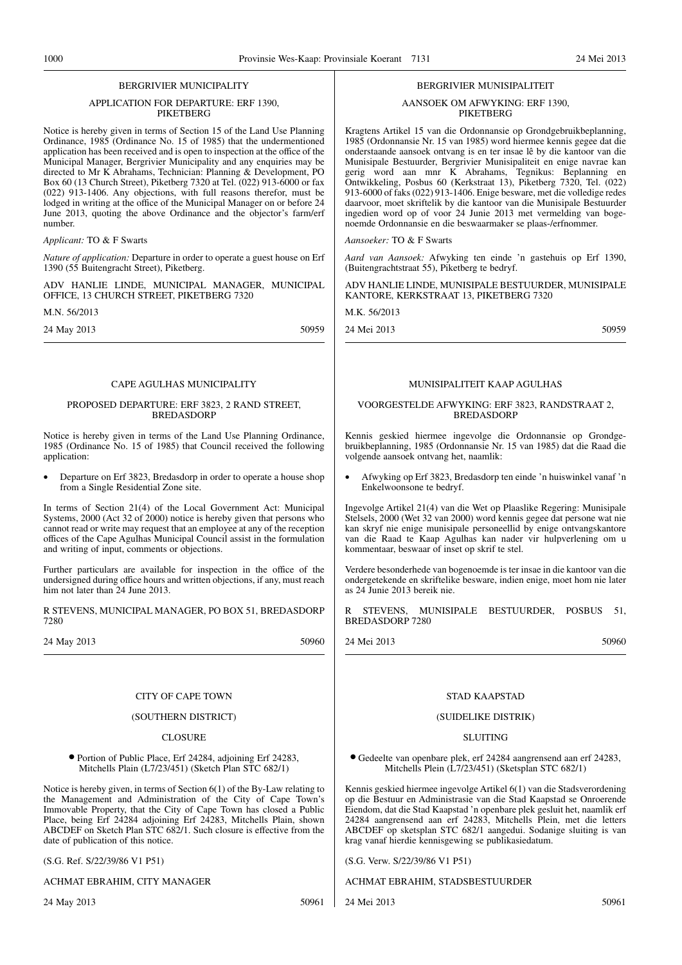#### BERGRIVIER MUNICIPALITY

#### APPLICATION FOR DEPARTURE: ERF 1390, **PIKETBERG**

Notice is hereby given in terms of Section 15 of the Land Use Planning Ordinance, 1985 (Ordinance No. 15 of 1985) that the undermentioned application has been received and is open to inspection at the office of the Municipal Manager, Bergrivier Municipality and any enquiries may be directed to Mr K Abrahams, Technician: Planning & Development, PO Box 60 (13 Church Street), Piketberg 7320 at Tel. (022) 913-6000 or fax (022) 913-1406. Any objections, with full reasons therefor, must be lodged in writing at the office of the Municipal Manager on or before 24 June 2013, quoting the above Ordinance and the objector's farm/erf number.

#### *Applicant:* TO & F Swarts

*Nature of application:* Departure in order to operate a guest house on Erf 1390 (55 Buitengracht Street), Piketberg.

ADV HANLIE LINDE, MUNICIPAL MANAGER, MUNICIPAL OFFICE, 13 CHURCH STREET, PIKETBERG 7320

M.N. 56/2013

24 May 2013 50959

#### CAPE AGULHAS MUNICIPALITY

#### PROPOSED DEPARTURE: ERF 3823, 2 RAND STREET, BREDASDORP

Notice is hereby given in terms of the Land Use Planning Ordinance, 1985 (Ordinance No. 15 of 1985) that Council received the following application:

• Departure on Erf 3823, Bredasdorp in order to operate a house shop from a Single Residential Zone site.

In terms of Section 21(4) of the Local Government Act: Municipal Systems, 2000 (Act 32 of 2000) notice is hereby given that persons who cannot read or write may request that an employee at any of the reception offices of the Cape Agulhas Municipal Council assist in the formulation and writing of input, comments or objections.

Further particulars are available for inspection in the office of the undersigned during office hours and written objections, if any, must reach him not later than 24 June 2013.

R STEVENS, MUNICIPAL MANAGER, PO BOX 51, BREDASDORP 7280

24 May 2013 50960

#### CITY OF CAPE TOWN

#### (SOUTHERN DISTRICT)

#### **CLOSURE**

#### ● Portion of Public Place, Erf 24284, adjoining Erf 24283, Mitchells Plain (L7/23/451) (Sketch Plan STC 682/1)

Notice is hereby given, in terms of Section 6(1) of the By-Law relating to the Management and Administration of the City of Cape Town's Immovable Property, that the City of Cape Town has closed a Public Place, being Erf 24284 adjoining Erf 24283, Mitchells Plain, shown ABCDEF on Sketch Plan STC 682/1. Such closure is effective from the date of publication of this notice.

(S.G. Ref. S/22/39/86 V1 P51)

#### ACHMAT EBRAHIM, CITY MANAGER

24 May 2013 50961

#### BERGRIVIER MUNISIPALITEIT

#### AANSOEK OM AFWYKING: ERF 1390, **PIKETBERG**

Kragtens Artikel 15 van die Ordonnansie op Grondgebruikbeplanning, 1985 (Ordonnansie Nr. 15 van 1985) word hiermee kennis gegee dat die onderstaande aansoek ontvang is en ter insae lê by die kantoor van die Munisipale Bestuurder, Bergrivier Munisipaliteit en enige navrae kan gerig word aan mnr K Abrahams, Tegnikus: Beplanning en Ontwikkeling, Posbus 60 (Kerkstraat 13), Piketberg 7320, Tel. (022) 913-6000 of faks (022) 913-1406. Enige besware, met die volledige redes daarvoor, moet skriftelik by die kantoor van die Munisipale Bestuurder ingedien word op of voor 24 Junie 2013 met vermelding van bogenoemde Ordonnansie en die beswaarmaker se plaas-/erfnommer.

*Aansoeker:* TO & F Swarts

*Aard van Aansoek:* Afwyking ten einde 'n gastehuis op Erf 1390, (Buitengrachtstraat 55), Piketberg te bedryf.

ADV HANLIE LINDE, MUNISIPALE BESTUURDER, MUNISIPALE KANTORE, KERKSTRAAT 13, PIKETBERG 7320

M.K. 56/2013

24 Mei 2013 50959

#### MUNISIPALITEIT KAAP AGULHAS

#### VOORGESTELDE AFWYKING: ERF 3823, RANDSTRAAT 2, **BREDASDORP**

Kennis geskied hiermee ingevolge die Ordonnansie op Grondgebruikbeplanning, 1985 (Ordonnansie Nr. 15 van 1985) dat die Raad die volgende aansoek ontvang het, naamlik:

• Afwyking op Erf 3823, Bredasdorp ten einde 'n huiswinkel vanaf 'n Enkelwoonsone te bedryf.

Ingevolge Artikel 21(4) van die Wet op Plaaslike Regering: Munisipale Stelsels, 2000 (Wet 32 van 2000) word kennis gegee dat persone wat nie kan skryf nie enige munisipale personeellid by enige ontvangskantore van die Raad te Kaap Agulhas kan nader vir hulpverlening om u kommentaar, beswaar of inset op skrif te stel.

Verdere besonderhede van bogenoemde is ter insae in die kantoor van die ondergetekende en skriftelike besware, indien enige, moet hom nie later as 24 Junie 2013 bereik nie.

R STEVENS, MUNISIPALE BESTUURDER, POSBUS 51, BREDASDORP 7280

24 Mei 2013 50960

#### STAD KAAPSTAD

#### (SUIDELIKE DISTRIK)

#### **SLUITING**

● Gedeelte van openbare plek, erf 24284 aangrensend aan erf 24283, Mitchells Plein (L7/23/451) (Sketsplan STC 682/1)

Kennis geskied hiermee ingevolge Artikel 6(1) van die Stadsverordening op die Bestuur en Administrasie van die Stad Kaapstad se Onroerende Eiendom, dat die Stad Kaapstad 'n openbare plek gesluit het, naamlik erf 24284 aangrensend aan erf 24283, Mitchells Plein, met die letters ABCDEF op sketsplan STC 682/1 aangedui. Sodanige sluiting is van krag vanaf hierdie kennisgewing se publikasiedatum.

(S.G. Verw. S/22/39/86 V1 P51)

ACHMAT EBRAHIM, STADSBESTUURDER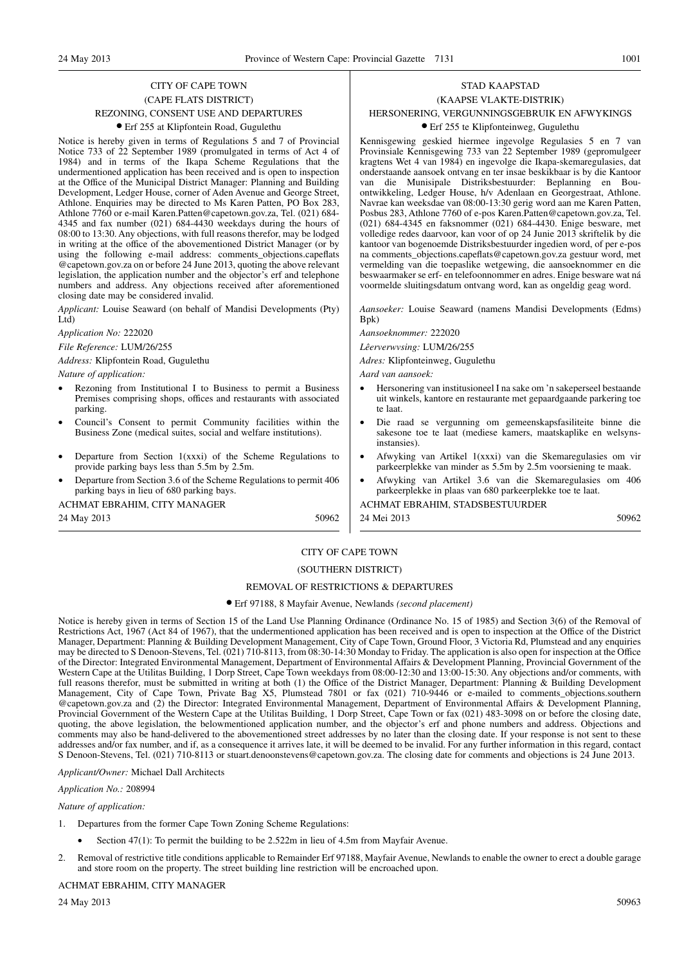## CITY OF CAPE TOWN (CAPE FLATS DISTRICT)

#### REZONING, CONSENT USE AND DEPARTURES

#### ● Erf 255 at Klipfontein Road, Gugulethu

Notice is hereby given in terms of Regulations 5 and 7 of Provincial Notice 733 of 22 September 1989 (promulgated in terms of Act 4 of 1984) and in terms of the Ikapa Scheme Regulations that the undermentioned application has been received and is open to inspection at the Office of the Municipal District Manager: Planning and Building Development, Ledger House, corner of Aden Avenue and George Street, Athlone. Enquiries may be directed to Ms Karen Patten, PO Box 283, Athlone 7760 or e-mail Karen.Patten@capetown.gov.za, Tel. (021) 684- 4345 and fax number (021) 684-4430 weekdays during the hours of 08:00 to 13:30. Any objections, with full reasons therefor, may be lodged in writing at the office of the abovementioned District Manager (or by using the following e-mail address: comments\_objections.capeflats @capetown.gov.za on or before 24 June 2013, quoting the above relevant legislation, the application number and the objector's erf and telephone numbers and address. Any objections received after aforementioned closing date may be considered invalid.

*Applicant:* Louise Seaward (on behalf of Mandisi Developments (Pty) Ltd)

*Application No:* 222020

*File Reference:* LUM/26/255

*Address:* Klipfontein Road, Gugulethu

*Nature of application:*

- Rezoning from Institutional I to Business to permit a Business Premises comprising shops, offices and restaurants with associated parking.
- Council's Consent to permit Community facilities within the Business Zone (medical suites, social and welfare institutions).
- Departure from Section  $1(xxxi)$  of the Scheme Regulations to provide parking bays less than 5.5m by 2.5m.
- Departure from Section 3.6 of the Scheme Regulations to permit 406 parking bays in lieu of 680 parking bays.

ACHMAT EBRAHIM, CITY MANAGER

24 May 2013 50962

## STAD KAAPSTAD (KAAPSE VLAKTE-DISTRIK) HERSONERING, VERGUNNINGSGEBRUIK EN AFWYKINGS

## ● Erf 255 te Klipfonteinweg, Gugulethu

Kennisgewing geskied hiermee ingevolge Regulasies 5 en 7 van Provinsiale Kennisgewing 733 van 22 September 1989 (gepromulgeer kragtens Wet 4 van 1984) en ingevolge die Ikapa-skemaregulasies, dat onderstaande aansoek ontvang en ter insae beskikbaar is by die Kantoor van die Munisipale Distriksbestuurder: Beplanning en Bouontwikkeling, Ledger House, h/v Adenlaan en Georgestraat, Athlone. Navrae kan weeksdae van 08:00-13:30 gerig word aan me Karen Patten, Posbus 283, Athlone 7760 of e-pos Karen.Patten@capetown.gov.za, Tel. (021) 684-4345 en faksnommer (021) 684-4430. Enige besware, met volledige redes daarvoor, kan voor of op 24 Junie 2013 skriftelik by die kantoor van bogenoemde Distriksbestuurder ingedien word, of per e-pos na comments\_objections.capeflats@capetown.gov.za gestuur word, met vermelding van die toepaslike wetgewing, die aansoeknommer en die beswaarmaker se erf- en telefoonnommer en adres. Enige besware wat ná voormelde sluitingsdatum ontvang word, kan as ongeldig geag word.

*Aansoeker:* Louise Seaward (namens Mandisi Developments (Edms) Bpk)

*Aansoeknommer:* 222020

*Lêerverwvsing:* LUM/26/255

*Adres:* Klipfonteinweg, Gugulethu

*Aard van aansoek:*

- Hersonering van institusioneel I na sake om 'n sakeperseel bestaande uit winkels, kantore en restaurante met gepaardgaande parkering toe te laat.
- Die raad se vergunning om gemeenskapsfasiliteite binne die sakesone toe te laat (mediese kamers, maatskaplike en welsynsinstansies).
- Afwyking van Artikel 1(xxxi) van die Skemaregulasies om vir parkeerplekke van minder as 5.5m by 2.5m voorsiening te maak.
- Afwyking van Artikel 3.6 van die Skemaregulasies om 406 parkeerplekke in plaas van 680 parkeerplekke toe te laat.

ACHMAT EBRAHIM, STADSBESTUURDER 24 Mei 2013 50962

## CITY OF CAPE TOWN

## (SOUTHERN DISTRICT)

#### REMOVAL OF RESTRICTIONS & DEPARTURES

#### ● Erf 97188, 8 Mayfair Avenue, Newlands *(second placement)*

Notice is hereby given in terms of Section 15 of the Land Use Planning Ordinance (Ordinance No. 15 of 1985) and Section 3(6) of the Removal of Restrictions Act, 1967 (Act 84 of 1967), that the undermentioned application has been received and is open to inspection at the Office of the District Manager, Department: Planning & Building Development Management, City of Cape Town, Ground Floor, 3 Victoria Rd, Plumstead and any enquiries may be directed to S Denoon-Stevens, Tel. (021) 710-8113, from 08:30-14:30 Monday to Friday. The application is also open for inspection at the Office of the Director: Integrated Environmental Management, Department of Environmental Affairs & Development Planning, Provincial Government of the Western Cape at the Utilitas Building, 1 Dorp Street, Cape Town weekdays from 08:00-12:30 and 13:00-15:30. Any objections and/or comments, with full reasons therefor, must be submitted in writing at both (1) the Office of the District Manager, Department: Planning & Building Development Management, City of Cape Town, Private Bag X5, Plumstead 7801 or fax (021) 710-9446 or e-mailed to comments\_objections.southern @capetown.gov.za and (2) the Director: Integrated Environmental Management, Department of Environmental Affairs & Development Planning, Provincial Government of the Western Cape at the Utilitas Building, 1 Dorp Street, Cape Town or fax (021) 483-3098 on or before the closing date, quoting, the above legislation, the belowmentioned application number, and the objector's erf and phone numbers and address. Objections and comments may also be hand-delivered to the abovementioned street addresses by no later than the closing date. If your response is not sent to these addresses and/or fax number, and if, as a consequence it arrives late, it will be deemed to be invalid. For any further information in this regard, contact S Denoon-Stevens, Tel. (021) 710-8113 or stuart.denoonstevens@capetown.gov.za. The closing date for comments and objections is 24 June 2013.

*Applicant/Owner:* Michael Dall Architects

*Application No.:* 208994

*Nature of application:*

- 1. Departures from the former Cape Town Zoning Scheme Regulations:
	- Section 47(1): To permit the building to be 2.522m in lieu of 4.5m from Mayfair Avenue.
- 2. Removal of restrictive title conditions applicable to Remainder Erf 97188, Mayfair Avenue, Newlands to enable the owner to erect a double garage and store room on the property. The street building line restriction will be encroached upon.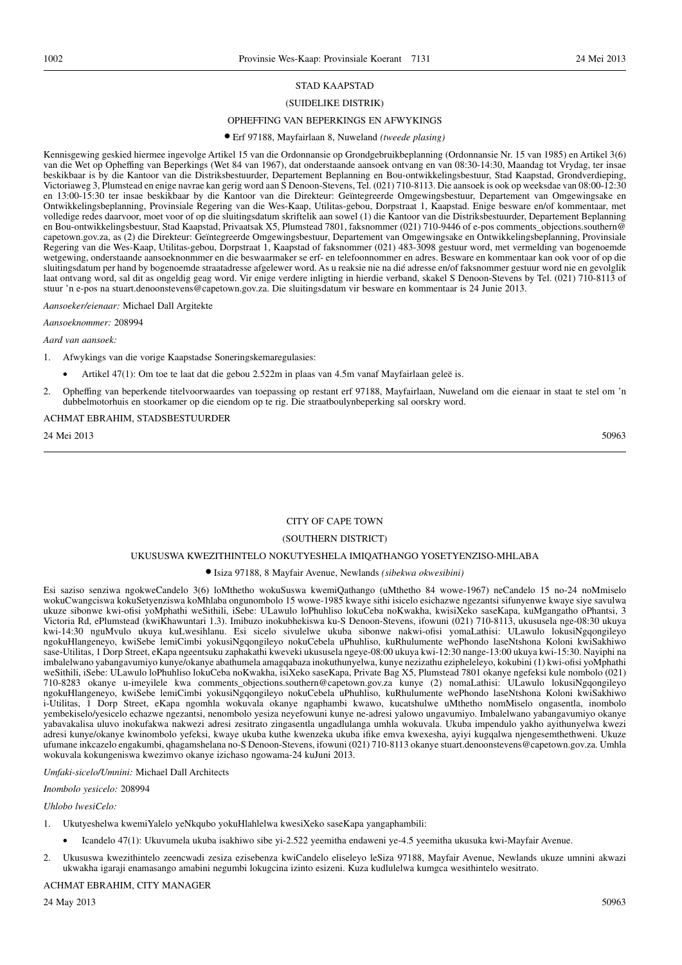## STAD KAAPSTAD

#### (SUIDELIKE DISTRIK)

### OPHEFFING VAN BEPERKINGS EN AFWYKINGS

● Erf 97188, Mayfairlaan 8, Nuweland *(tweede plasing)*

Kennisgewing geskied hiermee ingevolge Artikel 15 van die Ordonnansie op Grondgebruikbeplanning (Ordonnansie Nr. 15 van 1985) en Artikel 3(6) van die Wet op Opheffing van Beperkings (Wet 84 van 1967), dat onderstaande aansoek ontvang en van 08:30-14:30, Maandag tot Vrydag, ter insae beskikbaar is by die Kantoor van die Distriksbestuurder, Departement Beplanning en Bou-ontwikkelingsbestuur, Stad Kaapstad, Grondverdieping, Victoriaweg 3, Plumstead en enige navrae kan gerig word aan S Denoon-Stevens, Tel. (021) 710-8113. Die aansoek is ook op weeksdae van 08:00-12:30 en 13:00-15:30 ter insae beskikbaar by die Kantoor van die Direkteur: Geïntegreerde Omgewingsbestuur, Departement van Omgewingsake en Ontwikkelingsbeplanning, Provinsiale Regering van die Wes-Kaap, Utilitas-gebou, Dorpstraat 1, Kaapstad. Enige besware en/of kommentaar, met volledige redes daarvoor, moet voor of op die sluitingsdatum skriftelik aan sowel (1) die Kantoor van die Distriksbestuurder, Departement Beplanning en Bou-ontwikkelingsbestuur, Stad Kaapstad, Privaatsak X5, Plumstead 7801, faksnommer (021) 710-9446 of e-pos comments\_objections.southern@ capetown.gov.za, as (2) die Direkteur: Geïntegreerde Omgewingsbestuur, Departement van Omgewingsake en Ontwikkelingsbeplanning, Provinsiale Regering van die Wes-Kaap, Utilitas-gebou, Dorpstraat 1, Kaapstad of faksnommer (021) 483-3098 gestuur word, met vermelding van bogenoemde wetgewing, onderstaande aansoeknonmmer en die beswaarmaker se erf- en telefoonnommer en adres. Besware en kommentaar kan ook voor of op die sluitingsdatum per hand by bogenoemde straatadresse afgelewer word. As u reaksie nie na dié adresse en/of faksnommer gestuur word nie en gevolglik laat ontvang word, sal dit as ongeldig geag word. Vir enige verdere inligting in hierdie verband, skakel S Denoon-Stevens by Tel. (021) 710-8113 of stuur 'n e-pos na stuart.denoonstevens@capetown.gov.za. Die sluitingsdatum vir besware en kommentaar is 24 Junie 2013.

*Aansoeker/eienaar:* Michael Dall Argitekte

*Aansoeknommer:* 208994

*Aard van aansoek:*

- 1. Afwykings van die vorige Kaapstadse Soneringskemaregulasies:
	- Artikel 47(1): Om toe te laat dat die gebou 2.522m in plaas van 4.5m vanaf Mayfairlaan geleë is.
- 2. Opheffing van beperkende titelvoorwaardes van toepassing op restant erf 97188, Mayfairlaan, Nuweland om die eienaar in staat te stel om 'n dubbelmotorhuis en stoorkamer op die eiendom op te rig. Die straatboulynbeperking sal oorskry word.

## ACHMAT EBRAHIM, STADSBESTUURDER

24 Mei 2013 50963

#### CITY OF CAPE TOWN

#### (SOUTHERN DISTRICT)

#### UKUSUSWA KWEZITHINTELO NOKUTYESHELA IMIQATHANGO YOSETYENZISO-MHLABA

#### ● Isiza 97188, 8 Mayfair Avenue, Newlands *(sibekwa okwesibini)*

Esi saziso senziwa ngokweCandelo 3(6) loMthetho wokuSuswa kwemiQathango (uMthetho 84 wowe-1967) neCandelo 15 no-24 noMmiselo wokuCwangciswa kokuSetyenziswa koMhlaba ongunombolo 15 wowe-1985 kwaye sithi isicelo esichazwe ngezantsi sifunyenwe kwaye siye savulwa ukuze sibonwe kwi-ofisi yoMphathi weSithili, iSebe: ULawulo loPhuhliso lokuCeba noKwakha, kwisiXeko saseKapa, kuMgangatho oPhantsi, 3 Victoria Rd, ePlumstead (kwiKhawuntari 1.3). Imibuzo inokubhekiswa ku-S Denoon-Stevens, ifowuni (021) 710-8113, ukususela nge-08:30 ukuya kwi-14:30 nguMvulo ukuya kuLwesihlanu. Esi sicelo sivulelwe ukuba sibonwe nakwi-ofisi yomaLathisi: ULawulo lokusiNgqongileyo ngokuHlangeneyo, kwiSebe lemiCimbi yokusiNgqongileyo nokuCebela uPhuhliso, kuRhulumente wePhondo laseNtshona Koloni kwiSakhiwo sase-Utilitas, 1 Dorp Street, eKapa ngeentsuku zaphakathi kweveki ukususela ngeye-08:00 ukuya kwi-12:30 nange-13:00 ukuya kwi-15:30. Nayiphi na imbalelwano yabangavumiyo kunye/okanye abathumela amagqabaza inokuthunyelwa, kunye nezizathu ezipheleleyo, kokubini (1) kwi-ofisi yoMphathi weSithili, iSebe: ULawulo loPhuhliso lokuCeba noKwakha, isiXeko saseKapa, Private Bag X5, Plumstead 7801 okanye ngefeksi kule nombolo (021) 710-8283 okanye u-imeyilele kwa comments\_objections.southern@capetown.gov.za kunye (2) nomaLathisi: ULawulo lokusiNgqongileyo ngokuHlangeneyo, kwiSebe lemiCimbi yokusiNgqongileyo nokuCebela uPhuhliso, kuRhulumente wePhondo laseNtshona Koloni kwiSakhiwo i-Utilitas, 1 Dorp Street, eKapa ngomhla wokuvala okanye ngaphambi kwawo, kucatshulwe uMthetho nomMiselo ongasentla, inombolo yembekiselo/yesicelo echazwe ngezantsi, nenombolo yesiza neyefowuni kunye ne-adresi yalowo ungavumiyo. Imbalelwano yabangavumiyo okanye yabavakalisa uluvo inokufakwa nakwezi adresi zesitrato zingasentla ungadlulanga umhla wokuvala. Ukuba impendulo yakho ayithunyelwa kwezi adresi kunye/okanye kwinombolo yefeksi, kwaye ukuba kuthe kwenzeka ukuba ifike emva kwexesha, ayiyi kugqalwa njengesemthethweni. Ukuze ufumane inkcazelo engakumbi, qhagamshelana no-S Denoon-Stevens, ifowuni (021) 710-8113 okanye stuart.denoonstevens@capetown.gov.za. Umhla wokuvala kokungeniswa kwezimvo okanye izichaso ngowama-24 kuJuni 2013.

*Umfaki-sicelo/Umnini:* Michael Dall Architects

*Inombolo yesicelo:* 208994

#### *Uhlobo lwesiCelo:*

- 1. Ukutyeshelwa kwemiYalelo yeNkqubo yokuHlahlelwa kwesiXeko saseKapa yangaphambili:
	- Icandelo 47(1): Ukuvumela ukuba isakhiwo sibe yi-2.522 yeemitha endaweni ye-4.5 yeemitha ukusuka kwi-Mayfair Avenue.
- 2. Ukususwa kwezithintelo zeencwadi zesiza ezisebenza kwiCandelo eliseleyo leSiza 97188, Mayfair Avenue, Newlands ukuze umnini akwazi ukwakha igaraji enamasango amabini negumbi lokugcina izinto esizeni. Kuza kudlulelwa kumgca wesithintelo wesitrato.

#### ACHMAT EBRAHIM, CITY MANAGER

24 May 2013 50963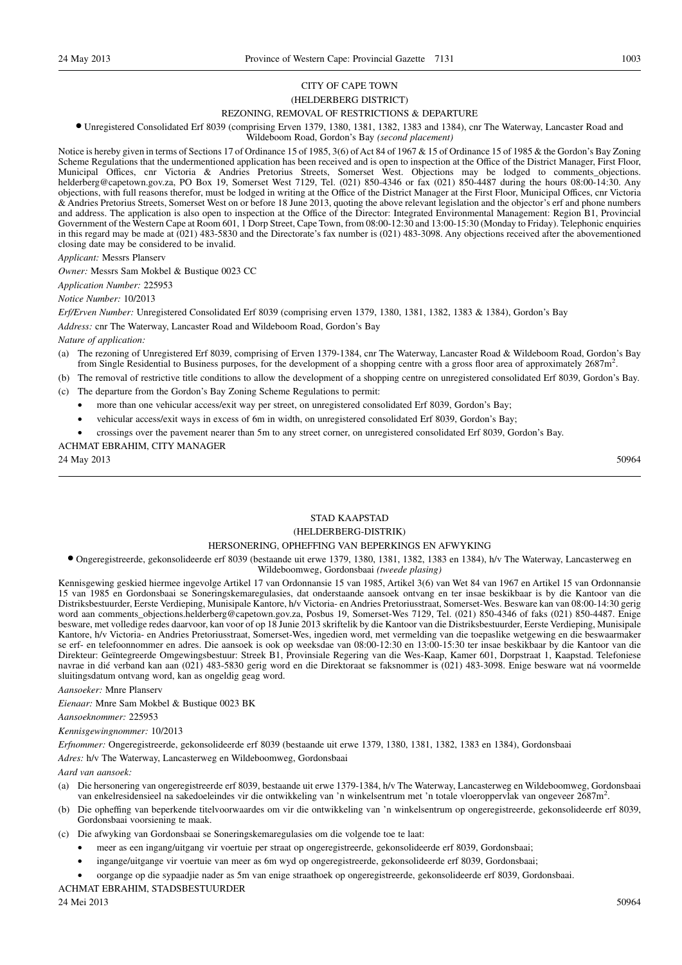## CITY OF CAPE TOWN (HELDERBERG DISTRICT)

## REZONING, REMOVAL OF RESTRICTIONS & DEPARTURE

● Unregistered Consolidated Erf 8039 (comprising Erven 1379, 1380, 1381, 1382, 1383 and 1384), cnr The Waterway, Lancaster Road and

Wildeboom Road, Gordon's Bay *(second placement)*

Notice is hereby given in terms of Sections 17 of Ordinance 15 of 1985, 3(6) of Act 84 of 1967 & 15 of Ordinance 15 of 1985 & the Gordon's Bay Zoning Scheme Regulations that the undermentioned application has been received and is open to inspection at the Office of the District Manager, First Floor, Municipal Offices, cnr Victoria & Andries Pretorius Streets, Somerset West. Objections may be lodged to comments\_objections. helderberg@capetown.gov.za, PO Box 19, Somerset West 7129, Tel. (021) 850-4346 or fax (021) 850-4487 during the hours 08:00-14:30. Any objections, with full reasons therefor, must be lodged in writing at the Office of the District Manager at the First Floor, Municipal Offices, cnr Victoria & Andries Pretorius Streets, Somerset West on or before 18 June 2013, quoting the above relevant legislation and the objector's erf and phone numbers and address. The application is also open to inspection at the Office of the Director: Integrated Environmental Management: Region B1, Provincial Government of the Western Cape at Room 601, 1 Dorp Street, Cape Town, from 08:00-12:30 and 13:00-15:30 (Monday to Friday). Telephonic enquiries in this regard may be made at (021) 483-5830 and the Directorate's fax number is (021) 483-3098. Any objections received after the abovementioned closing date may be considered to be invalid.

*Applicant:* Messrs Planserv

*Owner:* Messrs Sam Mokbel & Bustique 0023 CC

*Application Number:* 225953

#### *Notice Number:* 10/2013

*Erf/Erven Number:* Unregistered Consolidated Erf 8039 (comprising erven 1379, 1380, 1381, 1382, 1383 & 1384), Gordon's Bay

*Address:* cnr The Waterway, Lancaster Road and Wildeboom Road, Gordon's Bay

#### *Nature of application:*

- (a) The rezoning of Unregistered Erf 8039, comprising of Erven 1379-1384, cnr The Waterway, Lancaster Road & Wildeboom Road, Gordon's Bay from Single Residential to Business purposes, for the development of a shopping centre with a gross floor area of approximately 2687m<sup>2</sup>.
- (b) The removal of restrictive title conditions to allow the development of a shopping centre on unregistered consolidated Erf 8039, Gordon's Bay.
- (c) The departure from the Gordon's Bay Zoning Scheme Regulations to permit:
	- more than one vehicular access/exit way per street, on unregistered consolidated Erf 8039, Gordon's Bay;
	- vehicular access/exit ways in excess of 6m in width, on unregistered consolidated Erf 8039, Gordon's Bay;
	- crossings over the pavement nearer than 5m to any street corner, on unregistered consolidated Erf 8039, Gordon's Bay.

#### ACHMAT EBRAHIM, CITY MANAGER

24 May 2013 50964

## STAD KAAPSTAD

## (HELDERBERG-DISTRIK)

#### HERSONERING, OPHEFFING VAN BEPERKINGS EN AFWYKING

#### ● Ongeregistreerde, gekonsolideerde erf 8039 (bestaande uit erwe 1379, 1380, 1381, 1382, 1383 en 1384), h/v The Waterway, Lancasterweg en Wildeboomweg, Gordonsbaai *(tweede plasing)*

Kennisgewing geskied hiermee ingevolge Artikel 17 van Ordonnansie 15 van 1985, Artikel 3(6) van Wet 84 van 1967 en Artikel 15 van Ordonnansie 15 van 1985 en Gordonsbaai se Soneringskemaregulasies, dat onderstaande aansoek ontvang en ter insae beskikbaar is by die Kantoor van die Distriksbestuurder, Eerste Verdieping, Munisipale Kantore, h/v Victoria- en Andries Pretoriusstraat, Somerset-Wes. Besware kan van 08:00-14:30 gerig word aan comments\_objections.helderberg@capetown.gov.za, Posbus 19, Somerset-Wes 7129, Tel. (021) 850-4346 of faks (021) 850-4487. Enige besware, met volledige redes daarvoor, kan voor of op 18 Junie 2013 skriftelik by die Kantoor van die Distriksbestuurder, Eerste Verdieping, Munisipale Kantore, h/v Victoria- en Andries Pretoriusstraat, Somerset-Wes, ingedien word, met vermelding van die toepaslike wetgewing en die beswaarmaker se erf- en telefoonnommer en adres. Die aansoek is ook op weeksdae van 08:00-12:30 en 13:00-15:30 ter insae beskikbaar by die Kantoor van die Direkteur: Geïntegreerde Omgewingsbestuur: Streek B1, Provinsiale Regering van die Wes-Kaap, Kamer 601, Dorpstraat 1, Kaapstad. Telefoniese navrae in dié verband kan aan (021) 483-5830 gerig word en die Direktoraat se faksnommer is (021) 483-3098. Enige besware wat ná voormelde sluitingsdatum ontvang word, kan as ongeldig geag word.

#### *Aansoeker:* Mnre Planserv

*Eienaar:* Mnre Sam Mokbel & Bustique 0023 BK

*Aansoeknommer:* 225953

#### *Kennisgewingnommer:* 10/2013

*Erfnommer:* Ongeregistreerde, gekonsolideerde erf 8039 (bestaande uit erwe 1379, 1380, 1381, 1382, 1383 en 1384), Gordonsbaai

*Adres:* h/v The Waterway, Lancasterweg en Wildeboomweg, Gordonsbaai

## *Aard van aansoek:*

- (a) Die hersonering van ongeregistreerde erf 8039, bestaande uit erwe 1379-1384, h/v The Waterway, Lancasterweg en Wildeboomweg, Gordonsbaai van enkelresidensieel na sakedoeleindes vir die ontwikkeling van 'n winkelsentrum met 'n totale vloeroppervlak van ongeveer 2687m<sup>2</sup>.
- (b) Die opheffing van beperkende titelvoorwaardes om vir die ontwikkeling van 'n winkelsentrum op ongeregistreerde, gekonsolideerde erf 8039, Gordonsbaai voorsiening te maak.
- (c) Die afwyking van Gordonsbaai se Soneringskemaregulasies om die volgende toe te laat:
	- meer as een ingang/uitgang vir voertuie per straat op ongeregistreerde, gekonsolideerde erf 8039, Gordonsbaai;
	- ingange/uitgange vir voertuie van meer as 6m wyd op ongeregistreerde, gekonsolideerde erf 8039, Gordonsbaai;
	- oorgange op die sypaadjie nader as 5m van enige straathoek op ongeregistreerde, gekonsolideerde erf 8039, Gordonsbaai.

ACHMAT EBRAHIM, STADSBESTUURDER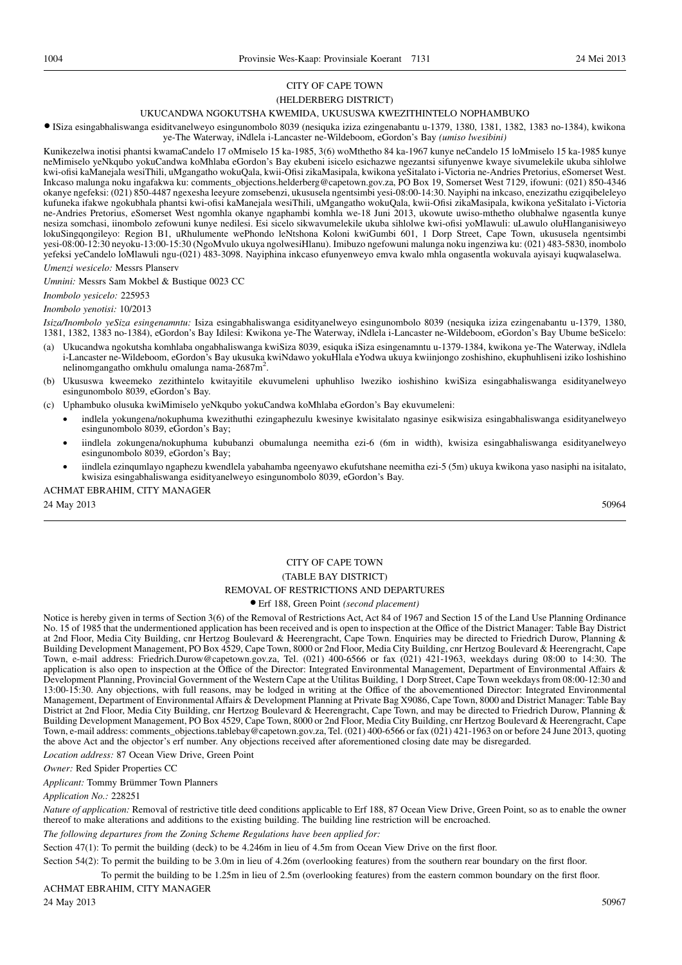## (HELDERBERG DISTRICT)

## UKUCANDWA NGOKUTSHA KWEMIDA, UKUSUSWA KWEZITHINTELO NOPHAMBUKO

● ISiza esingabhaliswanga esiditvanelweyo esingunombolo 8039 (nesiquka iziza ezingenabantu u-1379, 1380, 1381, 1382, 1383 no-1384), kwikona

ye-The Waterway, iNdlela i-Lancaster ne-Wildeboom, eGordon's Bay *(umiso lwesibini)*

Kunikezelwa inotisi phantsi kwamaCandelo 17 oMmiselo 15 ka-1985, 3(6) woMthetho 84 ka-1967 kunye neCandelo 15 loMmiselo 15 ka-1985 kunye neMimiselo yeNkqubo yokuCandwa koMhlaba eGordon's Bay ekubeni isicelo esichazwe ngezantsi sifunyenwe kwaye sivumelekile ukuba sihlolwe kwi-ofisi kaManejala wesiThili, uMgangatho wokuQala, kwii-Ofisi zikaMasipala, kwikona yeSitalato i-Victoria ne-Andries Pretorius, eSomerset West. Inkcaso malunga noku ingafakwa ku: comments\_objections.helderberg@capetown.gov.za, PO Box 19, Somerset West 7129, ifowuni: (021) 850-4346 okanye ngefeksi: (021) 850-4487 ngexesha leeyure zomsebenzi, ukususela ngentsimbi yesi-08:00-14:30. Nayiphi na inkcaso, enezizathu ezigqibeleleyo kufuneka ifakwe ngokubhala phantsi kwi-ofisi kaManejala wesiThili, uMgangatho wokuQala, kwii-Ofisi zikaMasipala, kwikona yeSitalato i-Victoria ne-Andries Pretorius, eSomerset West ngomhla okanye ngaphambi komhla we-18 Juni 2013, ukowute uwiso-mthetho olubhalwe ngasentla kunye nesiza somchasi, iinombolo zefowuni kunye nedilesi. Esi sicelo sikwavumelekile ukuba sihlolwe kwi-ofisi yoMlawuli: uLawulo oluHlanganisiweyo lokuSingqongileyo: Region B1, uRhulumente wePhondo leNtshona Koloni kwiGumbi 601, 1 Dorp Street, Cape Town, ukususela ngentsimbi yesi-08:00-12:30 neyoku-13:00-15:30 (NgoMvulo ukuya ngolwesiHlanu). Imibuzo ngefowuni malunga noku ingenziwa ku: (021) 483-5830, inombolo yefeksi yeCandelo loMlawuli ngu-(021) 483-3098. Nayiphina inkcaso efunyenweyo emva kwalo mhla ongasentla wokuvala ayisayi kuqwalaselwa. *Umenzi wesicelo:* Messrs Planserv

*Umnini:* Messrs Sam Mokbel & Bustique 0023 CC

*Inombolo yesicelo:* 225953

## *Inombolo yenotisi:* 10/2013

*Isiza/Inombolo yeSiza esingenamntu:* Isiza esingabhaliswanga esidityanelweyo esingunombolo 8039 (nesiquka iziza ezingenabantu u-1379, 1380, 1381, 1382, 1383 no-1384), eGordon's Bay Idilesi: Kwikona ye-The Waterway, iNdlela i-Lancaster ne-Wildeboom, eGordon's Bay Ubume beSicelo:

- (a) Ukucandwa ngokutsha komhlaba ongabhaliswanga kwiSiza 8039, esiquka iSiza esingenamntu u-1379-1384, kwikona ye-The Waterway, iNdlela i-Lancaster ne-Wildeboom, eGordon's Bay ukusuka kwiNdawo yokuHlala eYodwa ukuya kwiinjongo zoshishino, ekuphuhliseni iziko loshishino nelinomgangatho omkhulu omalunga nama-2687m<sup>2</sup>.
- (b) Ukususwa kweemeko zezithintelo kwitayitile ekuvumeleni uphuhliso lweziko ioshishino kwiSiza esingabhaliswanga esidityanelweyo esingunombolo 8039, eGordon's Bay.
- (c) Uphambuko olusuka kwiMimiselo yeNkqubo yokuCandwa koMhlaba eGordon's Bay ekuvumeleni:
	- indlela yokungena/nokuphuma kwezithuthi ezingaphezulu kwesinye kwisitalato ngasinye esikwisiza esingabhaliswanga esidityanelweyo esingunombolo 8039, eGordon's Bay;
	- iindlela zokungena/nokuphuma kububanzi obumalunga neemitha ezi-6 (6m in width), kwisiza esingabhaliswanga esidityanelweyo esingunombolo 8039, eGordon's Bay;
	- iindlela ezinqumlayo ngaphezu kwendlela yabahamba ngeenyawo ekufutshane neemitha ezi-5 (5m) ukuya kwikona yaso nasiphi na isitalato, kwisiza esingabhaliswanga esidityanelweyo esingunombolo 8039, eGordon's Bay.

ACHMAT EBRAHIM, CITY MANAGER

24 May 2013 50964

## CITY OF CAPE TOWN (TABLE BAY DISTRICT) REMOVAL OF RESTRICTIONS AND DEPARTURES

## ● Erf 188, Green Point *(second placement)*

Notice is hereby given in terms of Section 3(6) of the Removal of Restrictions Act, Act 84 of 1967 and Section 15 of the Land Use Planning Ordinance No. 15 of 1985 that the undermentioned application has been received and is open to inspection at the Office of the District Manager: Table Bay District at 2nd Floor, Media City Building, cnr Hertzog Boulevard & Heerengracht, Cape Town. Enquiries may be directed to Friedrich Durow, Planning & Building Development Management, PO Box 4529, Cape Town, 8000 or 2nd Floor, Media City Building, cnr Hertzog Boulevard & Heerengracht, Cape Town, e-mail address: Friedrich.Durow@capetown.gov.za, Tel. (021) 400-6566 or fax (021) 421-1963, weekdays during 08:00 to 14:30. The application is also open to inspection at the Office of the Director: Integrated Environmental Management, Department of Environmental Affairs & Development Planning, Provincial Government of the Western Cape at the Utilitas Building, 1 Dorp Street, Cape Town weekdays from 08:00-12:30 and 13:00-15:30. Any objections, with full reasons, may be lodged in writing at the Office of the abovementioned Director: Integrated Environmental Management, Department of Environmental Affairs & Development Planning at Private Bag X9086, Cape Town, 8000 and District Manager: Table Bay District at 2nd Floor, Media City Building, cnr Hertzog Boulevard & Heerengracht, Cape Town, and may be directed to Friedrich Durow, Planning & Building Development Management, PO Box 4529, Cape Town, 8000 or 2nd Floor, Media City Building, cnr Hertzog Boulevard & Heerengracht, Cape Town, e-mail address: comments\_objections.tablebay@capetown.gov.za, Tel. (021) 400-6566 or fax (021) 421-1963 on or before 24 June 2013, quoting the above Act and the objector's erf number. Any objections received after aforementioned closing date may be disregarded.

*Location address:* 87 Ocean View Drive, Green Point

*Owner:* Red Spider Properties CC

*Applicant:* Tommy Brümmer Town Planners

*Application No.:* 228251

*Nature of application:* Removal of restrictive title deed conditions applicable to Erf 188, 87 Ocean View Drive, Green Point, so as to enable the owner thereof to make alterations and additions to the existing building. The building line restriction will be encroached.

*The following departures from the Zoning Scheme Regulations have been applied for:*

Section 47(1): To permit the building (deck) to be 4.246m in lieu of 4.5m from Ocean View Drive on the first floor.

Section 54(2): To permit the building to be 3.0m in lieu of 4.26m (overlooking features) from the southern rear boundary on the first floor.

To permit the building to be 1.25m in lieu of 2.5m (overlooking features) from the eastern common boundary on the first floor.

ACHMAT EBRAHIM, CITY MANAGER

24 May 2013 50967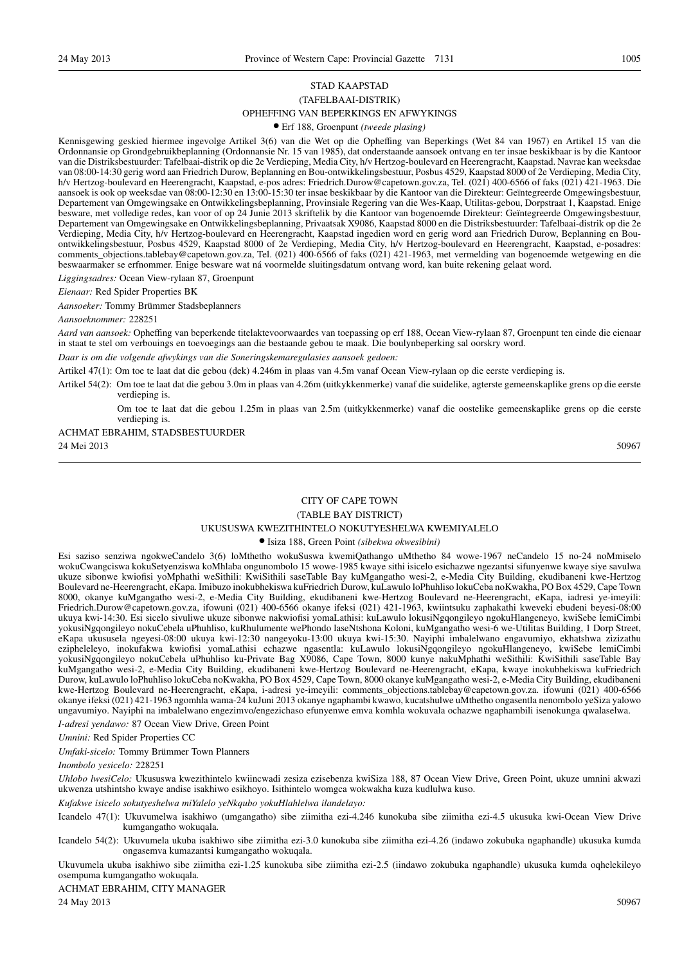## STAD KAAPSTAD (TAFELBAAI-DISTRIK) OPHEFFING VAN BEPERKINGS EN AFWYKINGS

## ● Erf 188, Groenpunt *(tweede plasing)*

Kennisgewing geskied hiermee ingevolge Artikel 3(6) van die Wet op die Opheffing van Beperkings (Wet 84 van 1967) en Artikel 15 van die Ordonnansie op Grondgebruikbeplanning (Ordonnansie Nr. 15 van 1985), dat onderstaande aansoek ontvang en ter insae beskikbaar is by die Kantoor van die Distriksbestuurder: Tafelbaai-distrik op die 2e Verdieping, Media City, h/v Hertzog-boulevard en Heerengracht, Kaapstad. Navrae kan weeksdae van 08:00-14:30 gerig word aan Friedrich Durow, Beplanning en Bou-ontwikkelingsbestuur, Posbus 4529, Kaapstad 8000 of 2e Verdieping, Media City, h/v Hertzog-boulevard en Heerengracht, Kaapstad, e-pos adres: Friedrich.Durow@capetown.gov.za, Tel. (021) 400-6566 of faks (021) 421-1963. Die aansoek is ook op weeksdae van 08:00-12:30 en 13:00-15:30 ter insae beskikbaar by die Kantoor van die Direkteur: Geïntegreerde Omgewingsbestuur, Departement van Omgewingsake en Ontwikkelingsbeplanning, Provinsiale Regering van die Wes-Kaap, Utilitas-gebou, Dorpstraat 1, Kaapstad. Enige besware, met volledige redes, kan voor of op 24 Junie 2013 skriftelik by die Kantoor van bogenoemde Direkteur: Geïntegreerde Omgewingsbestuur, Departement van Omgewingsake en Ontwikkelingsbeplanning, Privaatsak X9086, Kaapstad 8000 en die Distriksbestuurder: Tafelbaai-distrik op die 2e Verdieping, Media City, h/v Hertzog-boulevard en Heerengracht, Kaapstad ingedien word en gerig word aan Friedrich Durow, Beplanning en Bouontwikkelingsbestuur, Posbus 4529, Kaapstad 8000 of 2e Verdieping, Media City, h/v Hertzog-boulevard en Heerengracht, Kaapstad, e-posadres: comments\_objections.tablebay@capetown.gov.za, Tel. (021) 400-6566 of faks (021) 421-1963, met vermelding van bogenoemde wetgewing en die beswaarmaker se erfnommer. Enige besware wat ná voormelde sluitingsdatum ontvang word, kan buite rekening gelaat word.

*Liggingsadres:* Ocean View-rylaan 87, Groenpunt

*Eienaar:* Red Spider Properties BK

*Aansoeker:* Tommy Brümmer Stadsbeplanners

*Aansoeknommer:* 228251

*Aard van aansoek:* Opheffing van beperkende titelaktevoorwaardes van toepassing op erf 188, Ocean View-rylaan 87, Groenpunt ten einde die eienaar in staat te stel om verbouings en toevoegings aan die bestaande gebou te maak. Die boulynbeperking sal oorskry word.

*Daar is om die volgende afwykings van die Soneringskemaregulasies aansoek gedoen:*

Artikel 47(1): Om toe te laat dat die gebou (dek) 4.246m in plaas van 4.5m vanaf Ocean View-rylaan op die eerste verdieping is.

Artikel 54(2): Om toe te laat dat die gebou 3.0m in plaas van 4.26m (uitkykkenmerke) vanaf die suidelike, agterste gemeenskaplike grens op die eerste verdieping is.

Om toe te laat dat die gebou 1.25m in plaas van 2.5m (uitkykkenmerke) vanaf die oostelike gemeenskaplike grens op die eerste verdieping is.

## ACHMAT EBRAHIM, STADSBESTUURDER 24 Mei 2013 50967

## CITY OF CAPE TOWN

#### (TABLE BAY DISTRICT)

#### UKUSUSWA KWEZITHINTELO NOKUTYESHELWA KWEMIYALELO

#### ● Isiza 188, Green Point *(sibekwa okwesibini)*

Esi saziso senziwa ngokweCandelo 3(6) loMthetho wokuSuswa kwemiQathango uMthetho 84 wowe-1967 neCandelo 15 no-24 noMmiselo wokuCwangciswa kokuSetyenziswa koMhlaba ongunombolo 15 wowe-1985 kwaye sithi isicelo esichazwe ngezantsi sifunyenwe kwaye siye savulwa ukuze sibonwe kwiofisi yoMphathi weSithili: KwiSithili saseTable Bay kuMgangatho wesi-2, e-Media City Building, ekudibaneni kwe-Hertzog Boulevard ne-Heerengracht, eKapa. Imibuzo inokubhekiswa kuFriedrich Durow, kuLawulo loPhuhliso lokuCeba noKwakha, PO Box 4529, Cape Town 8000, okanye kuMgangatho wesi-2, e-Media City Building, ekudibaneni kwe-Hertzog Boulevard ne-Heerengracht, eKapa, iadresi ye-imeyili: Friedrich.Durow@capetown.gov.za, ifowuni (021) 400-6566 okanye ifeksi (021) 421-1963, kwiintsuku zaphakathi kweveki ebudeni beyesi-08:00 ukuya kwi-14:30. Esi sicelo sivuliwe ukuze sibonwe nakwiofisi yomaLathisi: kuLawulo lokusiNgqongileyo ngokuHlangeneyo, kwiSebe lemiCimbi yokusiNgqongileyo nokuCebela uPhuhliso, kuRhulumente wePhondo laseNtshona Koloni, kuMgangatho wesi-6 we-Utilitas Building, 1 Dorp Street, eKapa ukususela ngeyesi-08:00 ukuya kwi-12:30 nangeyoku-13:00 ukuya kwi-15:30. Nayiphi imbalelwano engavumiyo, ekhatshwa zizizathu ezipheleleyo, inokufakwa kwiofisi yomaLathisi echazwe ngasentla: kuLawulo lokusiNgqongileyo ngokuHlangeneyo, kwiSebe lemiCimbi yokusiNgqongileyo nokuCebela uPhuhliso ku-Private Bag X9086, Cape Town, 8000 kunye nakuMphathi weSithili: KwiSithili saseTable Bay kuMgangatho wesi-2, e-Media City Building, ekudibaneni kwe-Hertzog Boulevard ne-Heerengracht, eKapa, kwaye inokubhekiswa kuFriedrich Durow, kuLawulo loPhuhliso lokuCeba noKwakha, PO Box 4529, Cape Town, 8000 okanye kuMgangatho wesi-2, e-Media City Building, ekudibaneni kwe-Hertzog Boulevard ne-Heerengracht, eKapa, i-adresi ye-imeyili: comments\_objections.tablebay@capetown.gov.za. ifowuni (021) 400-6566 okanye ifeksi (021) 421-1963 ngomhla wama-24 kuJuni 2013 okanye ngaphambi kwawo, kucatshulwe uMthetho ongasentla nenombolo yeSiza yalowo ungavumiyo. Nayiphi na imbalelwano engezimvo/engezichaso efunyenwe emva komhla wokuvala ochazwe ngaphambili isenokunga qwalaselwa.

*I-adresi yendawo:* 87 Ocean View Drive, Green Point

*Umnini:* Red Spider Properties CC

*Umfaki-sicelo:* Tommy Brümmer Town Planners

*Inombolo yesicelo:* 228251

*Uhlobo lwesiCelo:* Ukususwa kwezithintelo kwiincwadi zesiza ezisebenza kwiSiza 188, 87 Ocean View Drive, Green Point, ukuze umnini akwazi ukwenza utshintsho kwaye andise isakhiwo esikhoyo. Isithintelo womgca wokwakha kuza kudlulwa kuso.

*Kufakwe isicelo sokutyeshelwa miYalelo yeNkqubo yokuHlahlelwa ilandelayo:*

Icandelo 47(1): Ukuvumelwa isakhiwo (umgangatho) sibe ziimitha ezi-4.246 kunokuba sibe ziimitha ezi-4.5 ukusuka kwi-Ocean View Drive kumgangatho wokuqala.

Icandelo 54(2): Ukuvumela ukuba isakhiwo sibe ziimitha ezi-3.0 kunokuba sibe ziimitha ezi-4.26 (indawo zokubuka ngaphandle) ukusuka kumda ongasemva kumazantsi kumgangatho wokuqala.

Ukuvumela ukuba isakhiwo sibe ziimitha ezi-1.25 kunokuba sibe ziimitha ezi-2.5 (iindawo zokubuka ngaphandle) ukusuka kumda oqhelekileyo osempuma kumgangatho wokuqala.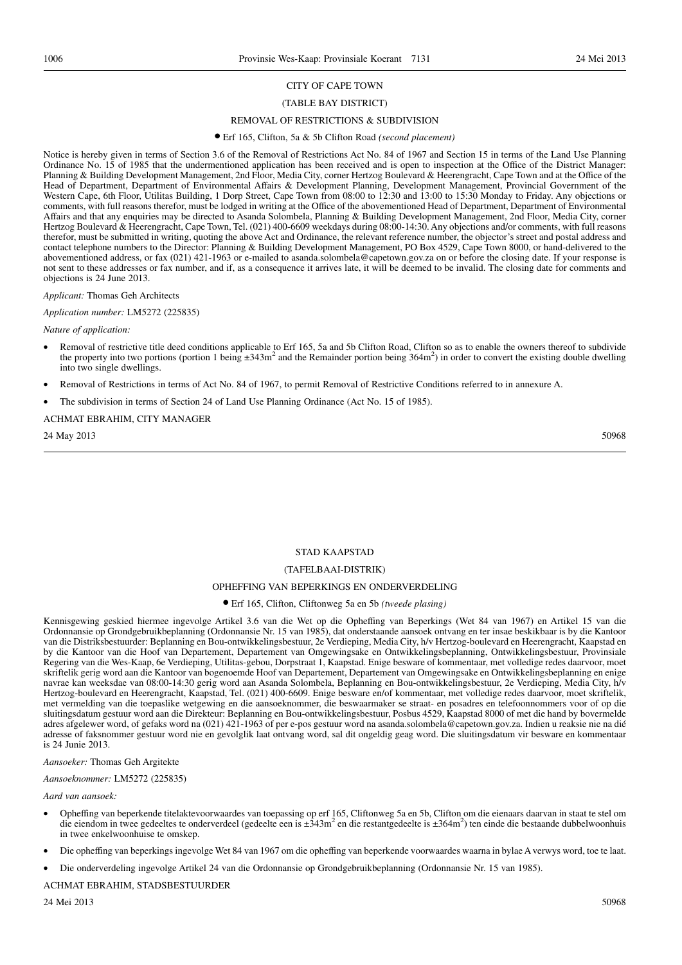#### (TABLE BAY DISTRICT)

#### REMOVAL OF RESTRICTIONS & SUBDIVISION

#### ● Erf 165, Clifton, 5a & 5b Clifton Road *(second placement)*

Notice is hereby given in terms of Section 3.6 of the Removal of Restrictions Act No. 84 of 1967 and Section 15 in terms of the Land Use Planning Ordinance No. 15 of 1985 that the undermentioned application has been received and is open to inspection at the Office of the District Manager: Planning & Building Development Management, 2nd Floor, Media City, corner Hertzog Boulevard & Heerengracht, Cape Town and at the Office of the Head of Department, Department of Environmental Affairs & Development Planning, Development Management, Provincial Government of the Western Cape, 6th Floor, Utilitas Building, 1 Dorp Street, Cape Town from 08:00 to 12:30 and 13:00 to 15:30 Monday to Friday. Any objections or comments, with full reasons therefor, must be lodged in writing at the Office of the abovementioned Head of Department, Department of Environmental Affairs and that any enquiries may be directed to Asanda Solombela, Planning & Building Development Management, 2nd Floor, Media City, corner Hertzog Boulevard & Heerengracht, Cape Town, Tel. (021) 400-6609 weekdays during 08:00-14:30. Any objections and/or comments, with full reasons therefor, must be submitted in writing, quoting the above Act and Ordinance, the relevant reference number, the objector's street and postal address and contact telephone numbers to the Director: Planning & Building Development Management, PO Box 4529, Cape Town 8000, or hand-delivered to the abovementioned address, or fax (021) 421-1963 or e-mailed to asanda.solombela@capetown.gov.za on or before the closing date. If your response is not sent to these addresses or fax number, and if, as a consequence it arrives late, it will be deemed to be invalid. The closing date for comments and objections is 24 June 2013.

#### *Applicant:* Thomas Geh Architects

*Application number:* LM5272 (225835)

#### *Nature of application:*

- Removal of restrictive title deed conditions applicable to Erf 165, 5a and 5b Clifton Road, Clifton so as to enable the owners thereof to subdivide the property into two portions (portion 1 being  $\pm 343$ m<sup>2</sup> and the Remainder portion being  $364$ m<sup>2</sup>) in order to convert the existing double dwelling into two single dwellings.
- Removal of Restrictions in terms of Act No. 84 of 1967, to permit Removal of Restrictive Conditions referred to in annexure A.
- The subdivision in terms of Section 24 of Land Use Planning Ordinance (Act No. 15 of 1985).

#### ACHMAT EBRAHIM, CITY MANAGER

24 May 2013 50968 50968 50968 50968 50968 50968 50968 50968 50968 50968 50968 50968 50968 50968 50968 50968 50

#### STAD KAAPSTAD

#### (TAFELBAAI-DISTRIK)

#### OPHEFFING VAN BEPERKINGS EN ONDERVERDELING

#### ● Erf 165, Clifton, Cliftonweg 5a en 5b *(tweede plasing)*

Kennisgewing geskied hiermee ingevolge Artikel 3.6 van die Wet op die Opheffing van Beperkings (Wet 84 van 1967) en Artikel 15 van die Ordonnansie op Grondgebruikbeplanning (Ordonnansie Nr. 15 van 1985), dat onderstaande aansoek ontvang en ter insae beskikbaar is by die Kantoor van die Distriksbestuurder: Beplanning en Bou-ontwikkelingsbestuur, 2e Verdieping, Media City, h/v Hertzog-boulevard en Heerengracht, Kaapstad en by die Kantoor van die Hoof van Departement, Departement van Omgewingsake en Ontwikkelingsbeplanning, Ontwikkelingsbestuur, Provinsiale Regering van die Wes-Kaap, 6e Verdieping, Utilitas-gebou, Dorpstraat 1, Kaapstad. Enige besware of kommentaar, met volledige redes daarvoor, moet skriftelik gerig word aan die Kantoor van bogenoemde Hoof van Departement, Departement van Omgewingsake en Ontwikkelingsbeplanning en enige navrae kan weeksdae van 08:00-14:30 gerig word aan Asanda Solombela, Beplanning en Bou-ontwikkelingsbestuur, 2e Verdieping, Media City, h/v Hertzog-boulevard en Heerengracht, Kaapstad, Tel. (021) 400-6609. Enige besware en/of kommentaar, met volledige redes daarvoor, moet skriftelik, met vermelding van die toepaslike wetgewing en die aansoeknommer, die beswaarmaker se straat- en posadres en telefoonnommers voor of op die sluitingsdatum gestuur word aan die Direkteur: Beplanning en Bou-ontwikkelingsbestuur, Posbus 4529, Kaapstad 8000 of met die hand by bovermelde adres afgelewer word, of gefaks word na (021) 421-1963 of per e-pos gestuur word na asanda.solombela@capetown.gov.za. Indien u reaksie nie na dié adresse of faksnommer gestuur word nie en gevolglik laat ontvang word, sal dit ongeldig geag word. Die sluitingsdatum vir besware en kommentaar is 24 Junie 2013.

#### *Aansoeker:* Thomas Geh Argitekte

#### *Aansoeknommer:* LM5272 (225835)

#### *Aard van aansoek:*

- Opheffing van beperkende titelaktevoorwaardes van toepassing op erf 165, Cliftonweg 5a en 5b, Clifton om die eienaars daarvan in staat te stel om die eiendom in twee gedeeltes te onderverdeel (gedeelte een is  $\pm 343$ m<sup>2</sup> en die restantgedeelte is  $\pm 364$ m<sup>2</sup>) ten einde die bestaande dubbelwoonhuis in twee enkelwoonhuise te omskep.
- Die opheffing van beperkings ingevolge Wet 84 van 1967 om die opheffing van beperkende voorwaardes waarna in bylae A verwys word, toe te laat.
- Die onderverdeling ingevolge Artikel 24 van die Ordonnansie op Grondgebruikbeplanning (Ordonnansie Nr. 15 van 1985).

#### ACHMAT EBRAHIM, STADSBESTUURDER

24 Mei 2013 50968 50968 50968 50968 50968 50968 50968 50968 50968 50968 50968 50968 50968 50968 50968 50968 50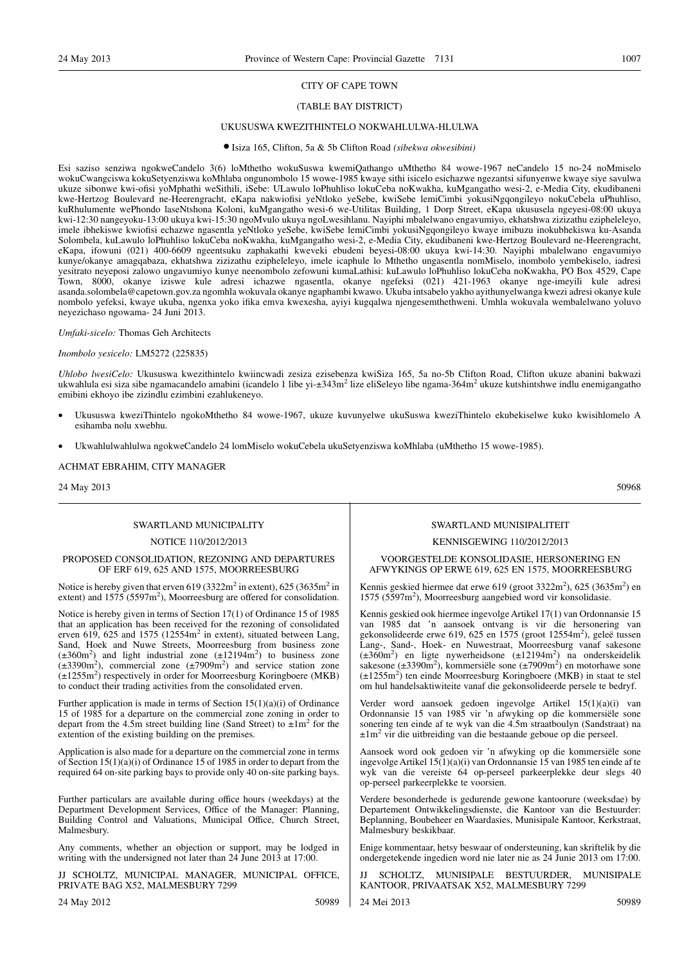## (TABLE BAY DISTRICT)

#### UKUSUSWA KWEZITHINTELO NOKWAHLULWA-HLULWA

#### ● Isiza 165, Clifton, 5a & 5b Clifton Road *(sibekwa okwesibini)*

Esi saziso senziwa ngokweCandelo 3(6) loMthetho wokuSuswa kwemiQathango uMthetho 84 wowe-1967 neCandelo 15 no-24 noMmiselo wokuCwangciswa kokuSetyenziswa koMhlaba ongunombolo 15 wowe-1985 kwaye sithi isicelo esichazwe ngezantsi sifunyenwe kwaye siye savulwa ukuze sibonwe kwi-ofisi yoMphathi weSithili, iSebe: ULawulo loPhuhliso lokuCeba noKwakha, kuMgangatho wesi-2, e-Media City, ekudibaneni kwe-Hertzog Boulevard ne-Heerengracht, eKapa nakwiofisi yeNtloko yeSebe, kwiSebe lemiCimbi yokusiNgqongileyo nokuCebela uPhuhliso, kuRhulumente wePhondo laseNtshona Koloni, kuMgangatho wesi-6 we-Utilitas Building, 1 Dorp Street, eKapa ukususela ngeyesi-08:00 ukuya kwi-12:30 nangeyoku-13:00 ukuya kwi-15:30 ngoMvulo ukuya ngoLwesihlanu. Nayiphi mbalelwano engavumiyo, ekhatshwa zizizathu ezipheleleyo, imele ibhekiswe kwiofisi echazwe ngasentla yeNtloko yeSebe, kwiSebe lemiCimbi yokusiNgqongileyo kwaye imibuzu inokubhekiswa ku-Asanda Solombela, kuLawulo loPhuhliso lokuCeba noKwakha, kuMgangatho wesi-2, e-Media City, ekudibaneni kwe-Hertzog Boulevard ne-Heerengracht, eKapa, ifowuni (021) 400-6609 ngeentsuku zaphakathi kweveki ebudeni beyesi-08:00 ukuya kwi-14:30. Nayiphi mbalelwano engavumiyo kunye/okanye amagqabaza, ekhatshwa zizizathu ezipheleleyo, imele icaphule lo Mthetho ungasentla nomMiselo, inombolo yembekiselo, iadresi yesitrato neyeposi zalowo ungavumiyo kunye neenombolo zefowuni kumaLathisi: kuLawulo loPhuhliso lokuCeba noKwakha, PO Box 4529, Cape Town, 8000, okanye iziswe kule adresi ichazwe ngasentla, okanye ngefeksi (021) 421-1963 okanye nge-imeyili kule adresi asanda.solombela@capetown.gov.za ngomhla wokuvala okanye ngaphambi kwawo. Ukuba intsabelo yakho ayithunyelwanga kwezi adresi okanye kule nombolo yefeksi, kwaye ukuba, ngenxa yoko ifika emva kwexesha, ayiyi kugqalwa njengesemthethweni. Umhla wokuvala wembalelwano yoluvo neyezichaso ngowama- 24 Juni 2013.

*Umfaki-sicelo:* Thomas Geh Architects

*Inombolo yesicelo:* LM5272 (225835)

*Uhlobo lwesiCelo:* Ukususwa kwezithintelo kwiincwadi zesiza ezisebenza kwiSiza 165, 5a no-5b Clifton Road, Clifton ukuze abanini bakwazi ukwahlula esi siza sibe ngamacandelo amabini (icandelo 1 libe yi-±343m<sup>2</sup> lize eliSeleyo libe ngama-364m<sup>2</sup> ukuze kutshintshwe indlu enemigangatho emibini ekhoyo ibe zizindlu ezimbini ezahlukeneyo.

- Ukususwa kweziThintelo ngokoMthetho 84 wowe-1967, ukuze kuvunyelwe ukuSuswa kweziThintelo ekubekiselwe kuko kwisihlomelo A esihamba nolu xwebhu.
- Ukwahlulwahlulwa ngokweCandelo 24 lomMiselo wokuCebela ukuSetyenziswa koMhlaba (uMthetho 15 wowe-1985).

ACHMAT EBRAHIM, CITY MANAGER

24 May 2013 50968

## SWARTLAND MUNICIPALITY

#### NOTICE 110/2012/2013

#### PROPOSED CONSOLIDATION, REZONING AND DEPARTURES OF ERF 619, 625 AND 1575, MOORREESBURG

Notice is hereby given that erven  $619 (3322m^2 \text{ in extent})$ ,  $625 (3635m^2 \text{ in }$ extent) and  $1575 (5597m^2)$ , Moorreesburg are offered for consolidation.

Notice is hereby given in terms of Section 17(1) of Ordinance 15 of 1985 that an application has been received for the rezoning of consolidated erven 619, 625 and 1575 (12554 $m<sup>2</sup>$  in extent), situated between Lang, Sand, Hoek and Nuwe Streets, Moorreesburg from business zone  $(\pm 360 \text{m}^2)$  and light industrial zone  $(\pm 12194 \text{m}^2)$  to business zone  $(\pm 3390 \text{m}^2)$ , commercial zone  $(\pm 7909 \text{m}^2)$  and service station zone  $(±1255m<sup>2</sup>)$  respectively in order for Moorreesburg Koringboere (MKB) to conduct their trading activities from the consolidated erven.

Further application is made in terms of Section  $15(1)(a)(i)$  of Ordinance 15 of 1985 for a departure on the commercial zone zoning in order to depart from the 4.5m street building line (Sand Street) to  $\pm 1$ m<sup>2</sup> for the extention of the existing building on the premises.

Application is also made for a departure on the commercial zone in terms of Section 15(1)(a)(i) of Ordinance 15 of 1985 in order to depart from the required 64 on-site parking bays to provide only 40 on-site parking bays.

Further particulars are available during office hours (weekdays) at the Department Development Services, Office of the Manager: Planning, Building Control and Valuations, Municipal Office, Church Street, Malmesbury.

Any comments, whether an objection or support, may be lodged in writing with the undersigned not later than 24 June 2013 at 17:00.

JJ SCHOLTZ, MUNICIPAL MANAGER, MUNICIPAL OFFICE, PRIVATE BAG X52, MALMESBURY 7299

24 May 2012 50989

#### SWARTLAND MUNISIPALITEIT

#### KENNISGEWING 110/2012/2013

#### VOORGESTELDE KONSOLIDASIE, HERSONERING EN AFWYKINGS OP ERWE 619, 625 EN 1575, MOORREESBURG

Kennis geskied hiermee dat erwe 619 (groot 3322m<sup>2</sup>), 625 (3635m<sup>2</sup>) en 1575 (5597m<sup>2</sup> ), Moorreesburg aangebied word vir konsolidasie.

Kennis geskied ook hiermee ingevolge Artikel 17(1) van Ordonnansie 15 van 1985 dat 'n aansoek ontvang is vir die hersonering van gekonsolideerde erwe 619, 625 en 1575 (groot 12554m<sup>2</sup>), geleë tussen Lang-, Sand-, Hoek- en Nuwestraat, Moorreesburg vanaf sakesone ( $\pm 360$ m<sup>2</sup>) en ligte nywerheidsone ( $\pm 12194$ m<sup>2</sup>) na onderskeidelik sakesone ( $\pm 390$ m<sup>2</sup>), kommersiële sone ( $\pm 7909$ m<sup>2</sup>) en motorhawe sone (±1255m<sup>2</sup> ) ten einde Moorreesburg Koringboere (MKB) in staat te stel om hul handelsaktiwiteite vanaf die gekonsolideerde persele te bedryf.

Verder word aansoek gedoen ingevolge Artikel 15(1)(a)(i) van Ordonnansie 15 van 1985 vir 'n afwyking op die kommersiële sone sonering ten einde af te wyk van die 4.5m straatboulyn (Sandstraat) na  $\pm 1$ m<sup>2</sup> vir die uitbreiding van die bestaande geboue op die perseel.

Aansoek word ook gedoen vir 'n afwyking op die kommersiële sone ingevolge Artikel 15(1)(a)(i) van Ordonnansie 15 van 1985 ten einde af te wyk van die vereiste 64 op-perseel parkeerplekke deur slegs 40 op-perseel parkeerplekke te voorsien.

Verdere besonderhede is gedurende gewone kantoorure (weeksdae) by Departement Ontwikkelingsdienste, die Kantoor van die Bestuurder: Beplanning, Boubeheer en Waardasies, Munisipale Kantoor, Kerkstraat, Malmesbury beskikbaar.

Enige kommentaar, hetsy beswaar of ondersteuning, kan skriftelik by die ondergetekende ingedien word nie later nie as 24 Junie 2013 om 17:00.

SCHOLTZ, MUNISIPALE BESTUURDER, MUNISIPALE KANTOOR, PRIVAATSAK X52, MALMESBURY 7299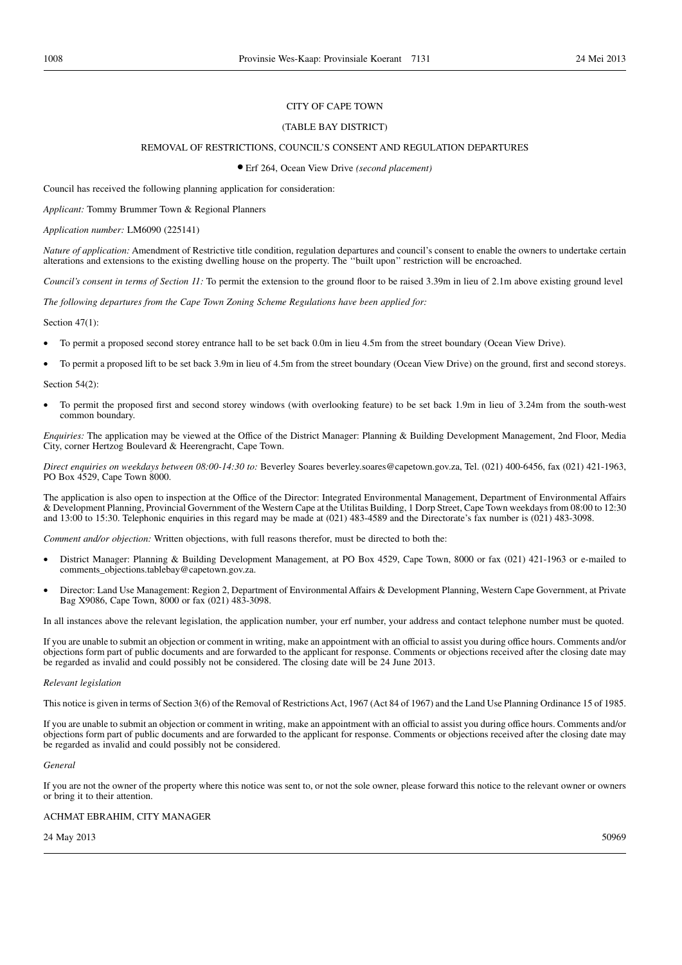#### (TABLE BAY DISTRICT)

#### REMOVAL OF RESTRICTIONS, COUNCIL'S CONSENT AND REGULATION DEPARTURES

● Erf 264, Ocean View Drive *(second placement)*

Council has received the following planning application for consideration:

*Applicant:* Tommy Brummer Town & Regional Planners

*Application number:* LM6090 (225141)

*Nature of application:* Amendment of Restrictive title condition, regulation departures and council's consent to enable the owners to undertake certain alterations and extensions to the existing dwelling house on the property. The ''built upon'' restriction will be encroached.

*Council's consent in terms of Section 11:* To permit the extension to the ground floor to be raised 3.39m in lieu of 2.1m above existing ground level

*The following departures from the Cape Town Zoning Scheme Regulations have been applied for:*

Section 47(1):

- To permit a proposed second storey entrance hall to be set back 0.0m in lieu 4.5m from the street boundary (Ocean View Drive).
- To permit a proposed lift to be set back 3.9m in lieu of 4.5m from the street boundary (Ocean View Drive) on the ground, first and second storeys.

Section 54(2):

• To permit the proposed first and second storey windows (with overlooking feature) to be set back 1.9m in lieu of 3.24m from the south-west common boundary.

*Enquiries:* The application may be viewed at the Office of the District Manager: Planning & Building Development Management, 2nd Floor, Media City, corner Hertzog Boulevard & Heerengracht, Cape Town.

*Direct enquiries on weekdays between 08:00-14:30 to:* Beverley Soares beverley.soares@capetown.gov.za, Tel. (021) 400-6456, fax (021) 421-1963, PO Box 4529, Cape Town 8000.

The application is also open to inspection at the Office of the Director: Integrated Environmental Management, Department of Environmental Affairs & Development Planning, Provincial Government of the Western Cape at the Utilitas Building, 1 Dorp Street, Cape Town weekdays from 08:00 to 12:30 and 13:00 to 15:30. Telephonic enquiries in this regard may be made at (021) 483-4589 and the Directorate's fax number is (021) 483-3098.

*Comment and/or objection:* Written objections, with full reasons therefor, must be directed to both the:

- District Manager: Planning & Building Development Management, at PO Box 4529, Cape Town, 8000 or fax (021) 421-1963 or e-mailed to comments\_objections.tablebay@capetown.gov.za.
- Director: Land Use Management: Region 2, Department of Environmental Affairs & Development Planning, Western Cape Government, at Private Bag X9086, Cape Town, 8000 or fax (021) 483-3098.

In all instances above the relevant legislation, the application number, your erf number, your address and contact telephone number must be quoted.

If you are unable to submit an objection or comment in writing, make an appointment with an official to assist you during office hours. Comments and/or objections form part of public documents and are forwarded to the applicant for response. Comments or objections received after the closing date may be regarded as invalid and could possibly not be considered. The closing date will be 24 June 2013.

#### *Relevant legislation*

This notice is given in terms of Section 3(6) of the Removal of Restrictions Act, 1967 (Act 84 of 1967) and the Land Use Planning Ordinance 15 of 1985.

If you are unable to submit an objection or comment in writing, make an appointment with an official to assist you during office hours. Comments and/or objections form part of public documents and are forwarded to the applicant for response. Comments or objections received after the closing date may be regarded as invalid and could possibly not be considered.

#### *General*

If you are not the owner of the property where this notice was sent to, or not the sole owner, please forward this notice to the relevant owner or owners or bring it to their attention.

#### ACHMAT EBRAHIM, CITY MANAGER

24 May 2013 50969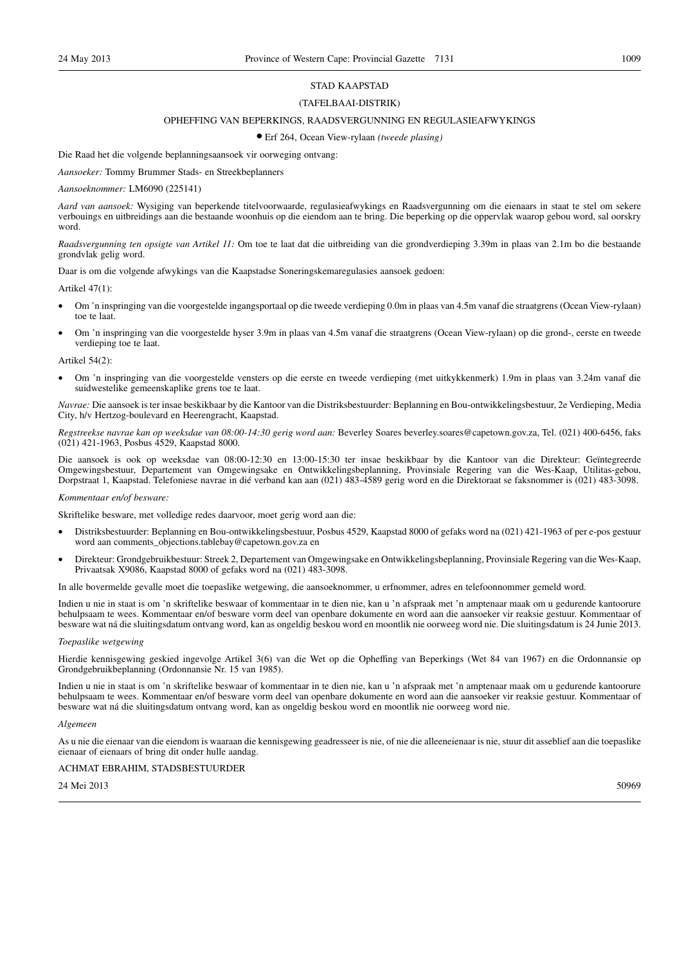#### STAD KAAPSTAD

#### (TAFELBAAI-DISTRIK)

#### OPHEFFING VAN BEPERKINGS, RAADSVERGUNNING EN REGULASIEAFWYKINGS

● Erf 264, Ocean View-rylaan *(tweede plasing)*

Die Raad het die volgende beplanningsaansoek vir oorweging ontvang:

*Aansoeker:* Tommy Brummer Stads- en Streekbeplanners

#### *Aansoeknommer:* LM6090 (225141)

*Aard van aansoek:* Wysiging van beperkende titelvoorwaarde, regulasieafwykings en Raadsvergunning om die eienaars in staat te stel om sekere verbouings en uitbreidings aan die bestaande woonhuis op die eiendom aan te bring. Die beperking op die oppervlak waarop gebou word, sal oorskry word.

*Raadsvergunning ten opsigte van Artikel 11:* Om toe te laat dat die uitbreiding van die grondverdieping 3.39m in plaas van 2.1m bo die bestaande grondvlak gelig word.

Daar is om die volgende afwykings van die Kaapstadse Soneringskemaregulasies aansoek gedoen:

#### Artikel 47(1):

- Om 'n inspringing van die voorgestelde ingangsportaal op die tweede verdieping 0.0m in plaas van 4.5m vanaf die straatgrens (Ocean View-rylaan) toe te laat.
- Om 'n inspringing van die voorgestelde hyser 3.9m in plaas van 4.5m vanaf die straatgrens (Ocean View-rylaan) op die grond-, eerste en tweede verdieping toe te laat.

#### Artikel 54(2):

• Om 'n inspringing van die voorgestelde vensters op die eerste en tweede verdieping (met uitkykkenmerk) 1.9m in plaas van 3.24m vanaf die suidwestelike gemeenskaplike grens toe te laat.

*Navrae:* Die aansoek is ter insae beskikbaar by die Kantoor van die Distriksbestuurder: Beplanning en Bou-ontwikkelingsbestuur, 2e Verdieping, Media City, h/v Hertzog-boulevard en Heerengracht, Kaapstad.

*Regstreekse navrae kan op weeksdae van 08:00-14:30 gerig word aan:* Beverley Soares beverley.soares@capetown.gov.za, Tel. (021) 400-6456, faks (021) 421-1963, Posbus 4529, Kaapstad 8000.

Die aansoek is ook op weeksdae van 08:00-12:30 en 13:00-15:30 ter insae beskikbaar by die Kantoor van die Direkteur: Geïntegreerde Omgewingsbestuur, Departement van Omgewingsake en Ontwikkelingsbeplanning, Provinsiale Regering van die Wes-Kaap, Utilitas-gebou, Dorpstraat 1, Kaapstad. Telefoniese navrae in dié verband kan aan (021) 483-4589 gerig word en die Direktoraat se faksnommer is (021) 483-3098.

#### *Kommentaar en/of besware:*

Skriftelike besware, met volledige redes daarvoor, moet gerig word aan die:

- Distriksbestuurder: Beplanning en Bou-ontwikkelingsbestuur, Posbus 4529, Kaapstad 8000 of gefaks word na (021) 421-1963 of per e-pos gestuur word aan comments\_objections.tablebay@capetown.gov.za en
- Direkteur: Grondgebruikbestuur: Streek 2, Departement van Omgewingsake en Ontwikkelingsbeplanning, Provinsiale Regering van die Wes-Kaap, Privaatsak X9086, Kaapstad 8000 of gefaks word na (021) 483-3098.

In alle bovermelde gevalle moet die toepaslike wetgewing, die aansoeknommer, u erfnommer, adres en telefoonnommer gemeld word.

Indien u nie in staat is om 'n skriftelike beswaar of kommentaar in te dien nie, kan u 'n afspraak met 'n amptenaar maak om u gedurende kantoorure behulpsaam te wees. Kommentaar en/of besware vorm deel van openbare dokumente en word aan die aansoeker vir reaksie gestuur. Kommentaar of besware wat ná die sluitingsdatum ontvang word, kan as ongeldig beskou word en moontlik nie oorweeg word nie. Die sluitingsdatum is 24 Junie 2013.

#### *Toepaslike wetgewing*

Hierdie kennisgewing geskied ingevolge Artikel 3(6) van die Wet op die Opheffing van Beperkings (Wet 84 van 1967) en die Ordonnansie op Grondgebruikbeplanning (Ordonnansie Nr. 15 van 1985).

Indien u nie in staat is om 'n skriftelike beswaar of kommentaar in te dien nie, kan u 'n afspraak met 'n amptenaar maak om u gedurende kantoorure behulpsaam te wees. Kommentaar en/of besware vorm deel van openbare dokumente en word aan die aansoeker vir reaksie gestuur. Kommentaar of besware wat ná die sluitingsdatum ontvang word, kan as ongeldig beskou word en moontlik nie oorweeg word nie.

#### *Algemeen*

As u nie die eienaar van die eiendom is waaraan die kennisgewing geadresseer is nie, of nie die alleeneienaar is nie, stuur dit asseblief aan die toepaslike eienaar of eienaars of bring dit onder hulle aandag.

#### ACHMAT EBRAHIM, STADSBESTUURDER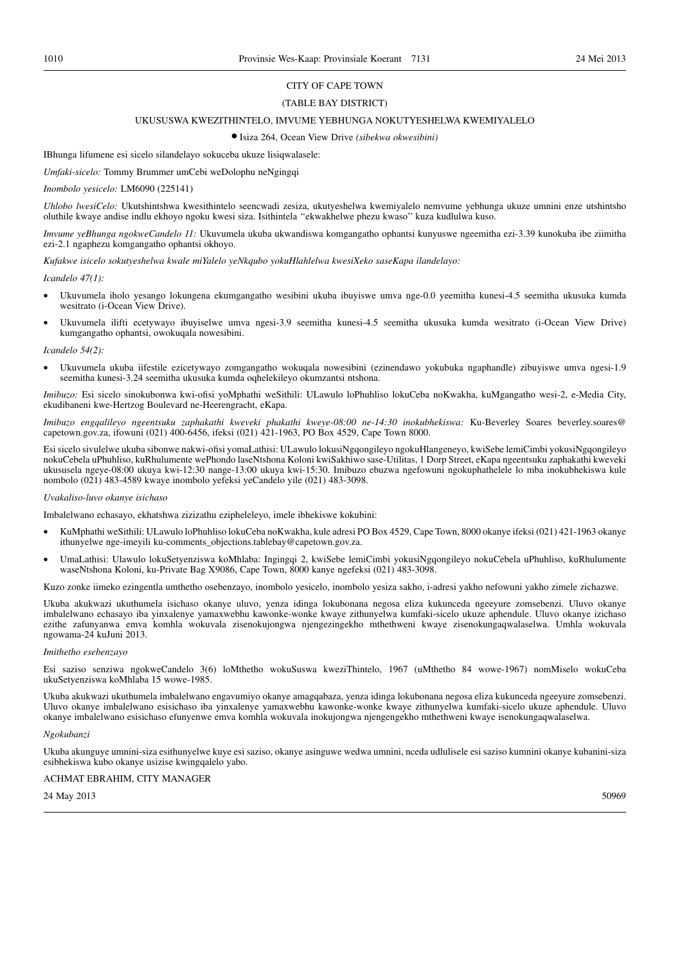#### (TABLE BAY DISTRICT)

#### UKUSUSWA KWEZITHINTELO, IMVUME YEBHUNGA NOKUTYESHELWA KWEMIYALELO

● Isiza 264, Ocean View Drive *(sibekwa okwesibini)*

IBhunga lifumene esi sicelo silandelayo sokuceba ukuze lisiqwalasele:

*Umfaki-sicelo:* Tommy Brummer umCebi weDolophu neNgingqi

#### *Inombolo yesicelo:* LM6090 (225141)

*Uhlobo lwesiCelo:* Ukutshintshwa kwesithintelo seencwadi zesiza, ukutyeshelwa kwemiyalelo nemvume yebhunga ukuze umnini enze utshintsho oluthile kwaye andise indlu ekhoyo ngoku kwesi siza. Isithintela ''ekwakhelwe phezu kwaso'' kuza kudlulwa kuso.

*Imvume yeBhunga ngokweCandelo 11:* Ukuvumela ukuba ukwandiswa komgangatho ophantsi kunyuswe ngeemitha ezi-3.39 kunokuba ibe ziimitha ezi-2.1 ngaphezu komgangatho ophantsi okhoyo.

*Kufakwe isicelo sokutyeshelwa kwale miYalelo yeNkqubo yokuHlahlelwa kwesiXeko saseKapa ilandelayo:*

*Icandelo 47(1):*

- Ukuvumela iholo yesango lokungena ekumgangatho wesibini ukuba ibuyiswe umva nge-0.0 yeemitha kunesi-4.5 seemitha ukusuka kumda wesitrato (i-Ocean View Drive).
- Ukuvumela ilifti ecetywayo ibuyiselwe umva ngesi-3.9 seemitha kunesi-4.5 seemitha ukusuka kumda wesitrato (i-Ocean View Drive) kumgangatho ophantsi, owokuqala nowesibini.

#### *Icandelo 54(2):*

• Ukuvumela ukuba iifestile ezicetywayo zomgangatho wokuqala nowesibini (ezinendawo yokubuka ngaphandle) zibuyiswe umva ngesi-1.9 seemitha kunesi-3.24 seemitha ukusuka kumda oqhelekileyo okumzantsi ntshona.

*Imibuzo:* Esi sicelo sinokubonwa kwi-ofisi yoMphathi weSithili: ULawulo loPhuhliso lokuCeba noKwakha, kuMgangatho wesi-2, e-Media City, ekudibaneni kwe-Hertzog Boulevard ne-Heerengracht, eKapa.

*Imibuzo engqalileyo ngeentsuku zaphakathi kweveki phakathi kweye-08:00 ne-14:30 inokubhekiswa:* Ku-Beverley Soares beverley.soares@ capetown.gov.za, ifowuni (021) 400-6456, ifeksi (021) 421-1963, PO Box 4529, Cape Town 8000.

Esi sicelo sivulelwe ukuba sibonwe nakwi-ofisi yomaLathisi: ULawulo lokusiNgqongileyo ngokuHlangeneyo, kwiSebe lemiCimbi yokusiNgqongileyo nokuCebela uPhuhliso, kuRhulumente wePhondo laseNtshona Koloni kwiSakhiwo sase-Utilitas, 1 Dorp Street, eKapa ngeentsuku zaphakathi kweveki ukususela ngeye-08:00 ukuya kwi-12:30 nange-13:00 ukuya kwi-15:30. Imibuzo ebuzwa ngefowuni ngokuphathelele lo mba inokubhekiswa kule nombolo (021) 483-4589 kwaye inombolo yefeksi yeCandelo yile (021) 483-3098.

#### *Uvakaliso-luvo okanye isichaso*

Imbalelwano echasayo, ekhatshwa zizizathu ezipheleleyo, imele ibhekiswe kokubini:

- KuMphathi weSithili: ULawulo loPhuhliso lokuCeba noKwakha, kule adresi PO Box 4529, Cape Town, 8000 okanye ifeksi (021) 421-1963 okanye ithunyelwe nge-imeyili ku-comments\_objections.tablebay@capetown.gov.za.
- UmaLathisi: Ulawulo lokuSetyenziswa koMhlaba: Ingingqi 2, kwiSebe lemiCimbi yokusiNgqongileyo nokuCebela uPhuhliso, kuRhulumente waseNtshona Koloni, ku-Private Bag X9086, Cape Town, 8000 kanye ngefeksi (021) 483-3098.

Kuzo zonke iimeko ezingentla umthetho osebenzayo, inombolo yesicelo, inombolo yesiza sakho, i-adresi yakho nefowuni yakho zimele zichazwe.

Ukuba akukwazi ukuthumela isichaso okanye uluvo, yenza idinga lokubonana negosa eliza kukunceda ngeeyure zomsebenzi. Uluvo okanye imbalelwano echasayo iba yinxalenye yamaxwebhu kawonke-wonke kwaye zithunyelwa kumfaki-sicelo ukuze aphendule. Uluvo okanye izichaso ezithe zafunyanwa emva komhla wokuvala zisenokujongwa njengezingekho mthethweni kwaye zisenokungaqwalaselwa. Umhla wokuvala ngowama-24 kuJuni 2013.

#### *Imithetho esebenzayo*

Esi saziso senziwa ngokweCandelo 3(6) loMthetho wokuSuswa kweziThintelo, 1967 (uMthetho 84 wowe-1967) nomMiselo wokuCeba ukuSetyenziswa koMhlaba 15 wowe-1985.

Ukuba akukwazi ukuthumela imbalelwano engavumiyo okanye amagqabaza, yenza idinga lokubonana negosa eliza kukunceda ngeeyure zomsebenzi. Uluvo okanye imbalelwano esisichaso iba yinxalenye yamaxwebhu kawonke-wonke kwaye zithunyelwa kumfaki-sicelo ukuze aphendule. Uluvo okanye imbalelwano esisichaso efunyenwe emva komhla wokuvala inokujongwa njengengekho mthethweni kwaye isenokungaqwalaselwa.

#### *Ngokubanzi*

Ukuba akunguye umnini-siza esithunyelwe kuye esi saziso, okanye asinguwe wedwa umnini, nceda udlulisele esi saziso kumnini okanye kubanini-siza esibhekiswa kubo okanye usizise kwingqalelo yabo.

#### ACHMAT EBRAHIM, CITY MANAGER

24 May 2013 50969 50969 50969 50969 50969 50969 50969 50969 50969 50969 50969 50969 50969 50969 50969 50969 50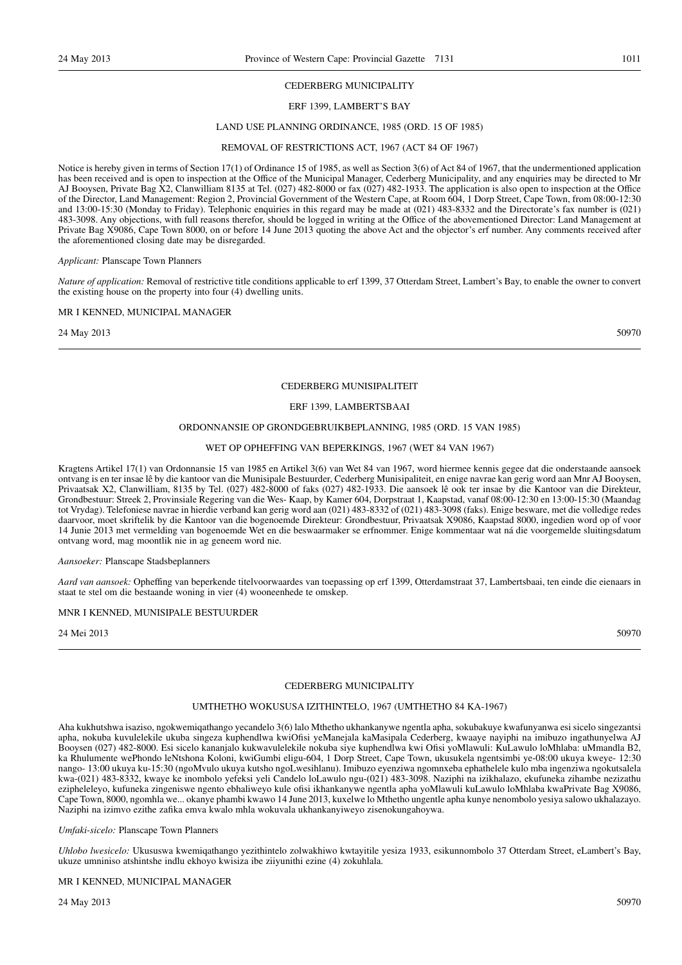#### CEDERBERG MUNICIPALITY

## ERF 1399, LAMBERT'S BAY

#### LAND USE PLANNING ORDINANCE, 1985 (ORD. 15 OF 1985)

#### REMOVAL OF RESTRICTIONS ACT, 1967 (ACT 84 OF 1967)

Notice is hereby given in terms of Section 17(1) of Ordinance 15 of 1985, as well as Section 3(6) of Act 84 of 1967, that the undermentioned application has been received and is open to inspection at the Office of the Municipal Manager, Cederberg Municipality, and any enquiries may be directed to Mr AJ Booysen, Private Bag X2, Clanwilliam 8135 at Tel. (027) 482-8000 or fax (027) 482-1933. The application is also open to inspection at the Office of the Director, Land Management: Region 2, Provincial Government of the Western Cape, at Room 604, 1 Dorp Street, Cape Town, from 08:00-12:30 and 13:00-15:30 (Monday to Friday). Telephonic enquiries in this regard may be made at (021) 483-8332 and the Directorate's fax number is (021) 483-3098. Any objections, with full reasons therefor, should be logged in writing at the Office of the abovementioned Director: Land Management at Private Bag X9086, Cape Town 8000, on or before 14 June 2013 quoting the above Act and the objector's erf number. Any comments received after the aforementioned closing date may be disregarded.

#### *Applicant:* Planscape Town Planners

*Nature of application:* Removal of restrictive title conditions applicable to erf 1399, 37 Otterdam Street, Lambert's Bay, to enable the owner to convert the existing house on the property into four (4) dwelling units.

#### MR I KENNED, MUNICIPAL MANAGER

24 May 2013 50970 50970 50970 50970 50970 50970 50970 50970 50970 50970 50970 50970 50970 50970 50970 50970 50

#### CEDERBERG MUNISIPALITEIT

#### ERF 1399, LAMBERTSBAAI

#### ORDONNANSIE OP GRONDGEBRUIKBEPLANNING, 1985 (ORD. 15 VAN 1985)

#### WET OP OPHEFFING VAN BEPERKINGS, 1967 (WET 84 VAN 1967)

Kragtens Artikel 17(1) van Ordonnansie 15 van 1985 en Artikel 3(6) van Wet 84 van 1967, word hiermee kennis gegee dat die onderstaande aansoek ontvang is en ter insae lê by die kantoor van die Munisipale Bestuurder, Cederberg Munisipaliteit, en enige navrae kan gerig word aan Mnr AJ Booysen, Privaatsak X2, Clanwilliam, 8135 by Tel. (027) 482-8000 of faks (027) 482-1933. Die aansoek lê ook ter insae by die Kantoor van die Direkteur, Grondbestuur: Streek 2, Provinsiale Regering van die Wes- Kaap, by Kamer 604, Dorpstraat 1, Kaapstad, vanaf 08:00-12:30 en 13:00-15:30 (Maandag tot Vrydag). Telefoniese navrae in hierdie verband kan gerig word aan (021) 483-8332 of (021) 483-3098 (faks). Enige besware, met die volledige redes daarvoor, moet skriftelik by die Kantoor van die bogenoemde Direkteur: Grondbestuur, Privaatsak X9086, Kaapstad 8000, ingedien word op of voor 14 Junie 2013 met vermelding van bogenoemde Wet en die beswaarmaker se erfnommer. Enige kommentaar wat ná die voorgemelde sluitingsdatum ontvang word, mag moontlik nie in ag geneem word nie.

#### *Aansoeker:* Planscape Stadsbeplanners

*Aard van aansoek:* Opheffing van beperkende titelvoorwaardes van toepassing op erf 1399, Otterdamstraat 37, Lambertsbaai, ten einde die eienaars in staat te stel om die bestaande woning in vier (4) wooneenhede te omskep.

#### MNR I KENNED, MUNISIPALE BESTUURDER

24 Mei 2013 50970

## CEDERBERG MUNICIPALITY

#### UMTHETHO WOKUSUSA IZITHINTELO, 1967 (UMTHETHO 84 KA-1967)

Aha kukhutshwa isaziso, ngokwemiqathango yecandelo 3(6) lalo Mthetho ukhankanywe ngentla apha, sokubakuye kwafunyanwa esi sicelo singezantsi apha, nokuba kuvulelekile ukuba singeza kuphendlwa kwiOfisi yeManejala kaMasipala Cederberg, kwaaye nayiphi na imibuzo ingathunyelwa AJ Booysen (027) 482-8000. Esi sicelo kananjalo kukwavulelekile nokuba siye kuphendlwa kwi Ofisi yoMlawuli: KuLawulo loMhlaba: uMmandla B2, ka Rhulumente wePhondo leNtshona Koloni, kwiGumbi eligu-604, 1 Dorp Street, Cape Town, ukusukela ngentsimbi ye-08:00 ukuya kweye- 12:30 nango- 13:00 ukuya ku-15:30 (ngoMvulo ukuya kutsho ngoLwesihlanu). Imibuzo eyenziwa ngomnxeba ephathelele kulo mba ingenziwa ngokutsalela kwa-(021) 483-8332, kwaye ke inombolo yefeksi yeli Candelo loLawulo ngu-(021) 483-3098. Naziphi na izikhalazo, ekufuneka zihambe nezizathu ezipheleleyo, kufuneka zingeniswe ngento ebhaliweyo kule ofisi ikhankanywe ngentla apha yoMlawuli kuLawulo loMhlaba kwaPrivate Bag X9086, Cape Town, 8000, ngomhla we... okanye phambi kwawo 14 June 2013, kuxelwe lo Mthetho ungentle apha kunye nenombolo yesiya salowo ukhalazayo. Naziphi na izimvo ezithe zafika emva kwalo mhla wokuvala ukhankanyiweyo zisenokungahoywa.

#### *Umfaki-sicelo:* Planscape Town Planners

*Uhlobo lwesicelo:* Ukususwa kwemiqathango yezithintelo zolwakhiwo kwtayitile yesiza 1933, esikunnombolo 37 Otterdam Street, eLambert's Bay, ukuze umniniso atshintshe indlu ekhoyo kwisiza ibe ziiyunithi ezine (4) zokuhlala.

#### MR I KENNED, MUNICIPAL MANAGER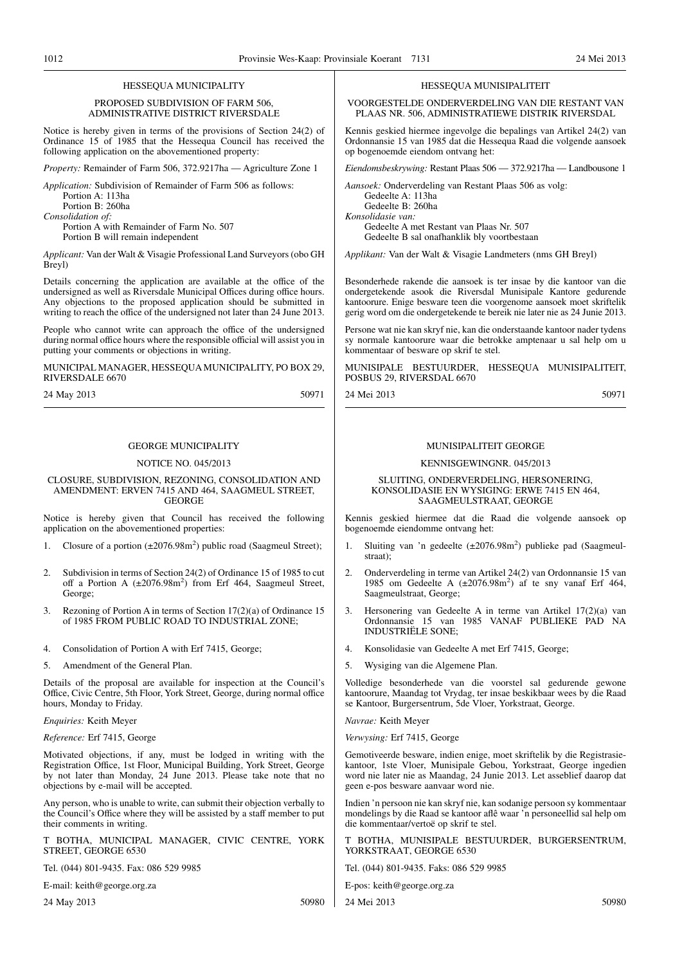#### HESSEQUA MUNICIPALITY

#### PROPOSED SUBDIVISION OF FARM 506, ADMINISTRATIVE DISTRICT RIVERSDALE

Notice is hereby given in terms of the provisions of Section 24(2) of Ordinance 15 of 1985 that the Hessequa Council has received the following application on the abovementioned property:

*Property:* Remainder of Farm 506, 372.9217ha — Agriculture Zone 1

*Application:* Subdivision of Remainder of Farm 506 as follows: Portion A: 113ha

Portion B: 260ha

*Consolidation of:*

Portion A with Remainder of Farm No. 507 Portion B will remain independent

*Applicant:* Van der Walt & Visagie Professional Land Surveyors (obo GH  $Brevl$ 

Details concerning the application are available at the office of the undersigned as well as Riversdale Municipal Offices during office hours. Any objections to the proposed application should be submitted in writing to reach the office of the undersigned not later than 24 June 2013.

People who cannot write can approach the office of the undersigned during normal office hours where the responsible official will assist you in putting your comments or objections in writing.

MUNICIPAL MANAGER, HESSEQUAMUNICIPALITY, PO BOX 29, RIVERSDALE 6670

24 May 2013 50971

#### GEORGE MUNICIPALITY

#### NOTICE NO. 045/2013

#### CLOSURE, SUBDIVISION, REZONING, CONSOLIDATION AND AMENDMENT: ERVEN 7415 AND 464, SAAGMEUL STREET, GEORGE

Notice is hereby given that Council has received the following application on the abovementioned properties:

- 1. Closure of a portion  $(\pm 2076.98 \text{m}^2)$  public road (Saagmeul Street);
- 2. Subdivision in terms of Section 24(2) of Ordinance 15 of 1985 to cut off a Portion A (±2076.98m<sup>2</sup>) from Erf 464, Saagmeul Street, George;
- 3. Rezoning of Portion A in terms of Section 17(2)(a) of Ordinance 15 of 1985 FROM PUBLIC ROAD TO INDUSTRIAL ZONE;
- 4. Consolidation of Portion A with Erf 7415, George;
- 5. Amendment of the General Plan.

Details of the proposal are available for inspection at the Council's Office, Civic Centre, 5th Floor, York Street, George, during normal office hours, Monday to Friday.

*Enquiries:* Keith Meyer

#### *Reference:* Erf 7415, George

Motivated objections, if any, must be lodged in writing with the Registration Office, 1st Floor, Municipal Building, York Street, George by not later than Monday, 24 June 2013. Please take note that no objections by e-mail will be accepted.

Any person, who is unable to write, can submit their objection verbally to the Council's Office where they will be assisted by a staff member to put their comments in writing.

T BOTHA, MUNICIPAL MANAGER, CIVIC CENTRE, YORK STREET, GEORGE 6530

Tel. (044) 801-9435. Fax: 086 529 9985

E-mail: keith@george.org.za

24 May 2013 50980

#### HESSEQUA MUNISIPALITEIT

VOORGESTELDE ONDERVERDELING VAN DIE RESTANT VAN PLAAS NR. 506, ADMINISTRATIEWE DISTRIK RIVERSDAL

Kennis geskied hiermee ingevolge die bepalings van Artikel 24(2) van Ordonnansie 15 van 1985 dat die Hessequa Raad die volgende aansoek op bogenoemde eiendom ontvang het:

*Eiendomsbeskrywing:* Restant Plaas 506 — 372.9217ha — Landbousone 1

*Aansoek:* Onderverdeling van Restant Plaas 506 as volg: Gedeelte A: 113ha Gedeelte B: 260ha *Konsolidasie van:*

Gedeelte A met Restant van Plaas Nr. 507 Gedeelte B sal onafhanklik bly voortbestaan

*Applikant:* Van der Walt & Visagie Landmeters (nms GH Breyl)

Besonderhede rakende die aansoek is ter insae by die kantoor van die ondergetekende asook die Riversdal Munisipale Kantore gedurende kantoorure. Enige besware teen die voorgenome aansoek moet skriftelik gerig word om die ondergetekende te bereik nie later nie as 24 Junie 2013.

Persone wat nie kan skryf nie, kan die onderstaande kantoor nader tydens sy normale kantoorure waar die betrokke amptenaar u sal help om u kommentaar of besware op skrif te stel.

MUNISIPALE BESTUURDER, HESSEQUA MUNISIPALITEIT, POSBUS 29, RIVERSDAL 6670

24 Mei 2013 50971

#### MUNISIPALITEIT GEORGE

#### KENNISGEWINGNR. 045/2013

#### SLUITING, ONDERVERDELING, HERSONERING, KONSOLIDASIE EN WYSIGING: ERWE 7415 EN 464, SAAGMEULSTRAAT, GEORGE

Kennis geskied hiermee dat die Raad die volgende aansoek op bogenoemde eiendomme ontvang het:

- 1. Sluiting van 'n gedeelte (±2076.98m<sup>2</sup>) publieke pad (Saagmeulstraat);
- 2. Onderverdeling in terme van Artikel 24(2) van Ordonnansie 15 van 1985 om Gedeelte A (±2076.98m<sup>2</sup> ) af te sny vanaf Erf 464, Saagmeulstraat, George;
- 3. Hersonering van Gedeelte A in terme van Artikel 17(2)(a) van Ordonnansie 15 van 1985 VANAF PUBLIEKE PAD NA INDUSTRIËLE SONE;
- 4. Konsolidasie van Gedeelte A met Erf 7415, George;
- 5. Wysiging van die Algemene Plan.

Volledige besonderhede van die voorstel sal gedurende gewone kantoorure, Maandag tot Vrydag, ter insae beskikbaar wees by die Raad se Kantoor, Burgersentrum, 5de Vloer, Yorkstraat, George.

*Navrae:* Keith Meyer

*Verwysing:* Erf 7415, George

Gemotiveerde besware, indien enige, moet skriftelik by die Registrasiekantoor, 1ste Vloer, Munisipale Gebou, Yorkstraat, George ingedien word nie later nie as Maandag, 24 Junie 2013. Let asseblief daarop dat geen e-pos besware aanvaar word nie.

Indien 'n persoon nie kan skryf nie, kan sodanige persoon sy kommentaar mondelings by die Raad se kantoor aflê waar 'n personeellid sal help om die kommentaar/vertoë op skrif te stel.

T BOTHA, MUNISIPALE BESTUURDER, BURGERSENTRUM, YORKSTRAAT, GEORGE 6530

Tel. (044) 801-9435. Faks: 086 529 9985

E-pos: keith@george.org.za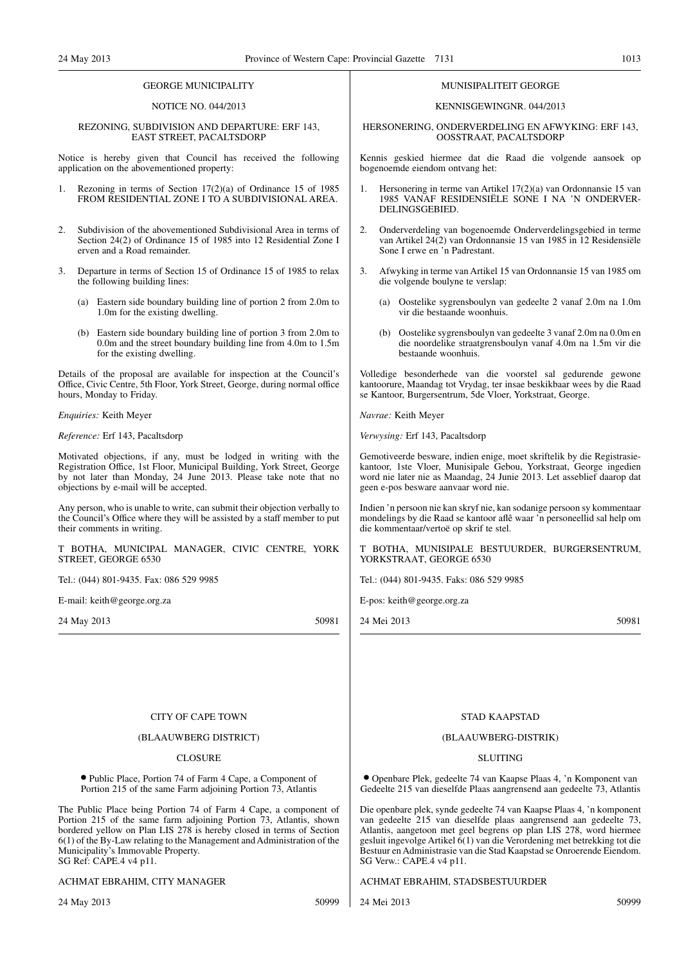#### GEORGE MUNICIPALITY

#### NOTICE NO. 044/2013

#### REZONING, SUBDIVISION AND DEPARTURE: ERF 143, EAST STREET, PACALTSDORP

Notice is hereby given that Council has received the following application on the abovementioned property:

- Rezoning in terms of Section 17(2)(a) of Ordinance 15 of 1985 FROM RESIDENTIAL ZONE I TO A SUBDIVISIONAL AREA.
- 2. Subdivision of the abovementioned Subdivisional Area in terms of Section 24(2) of Ordinance 15 of 1985 into 12 Residential Zone I erven and a Road remainder.
- 3. Departure in terms of Section 15 of Ordinance 15 of 1985 to relax the following building lines:
	- (a) Eastern side boundary building line of portion 2 from 2.0m to 1.0m for the existing dwelling.
	- (b) Eastern side boundary building line of portion 3 from 2.0m to 0.0m and the street boundary building line from 4.0m to 1.5m for the existing dwelling.

Details of the proposal are available for inspection at the Council's Office, Civic Centre, 5th Floor, York Street, George, during normal office hours, Monday to Friday.

*Enquiries:* Keith Meyer

*Reference:* Erf 143, Pacaltsdorp

Motivated objections, if any, must be lodged in writing with the Registration Office, 1st Floor, Municipal Building, York Street, George by not later than Monday, 24 June 2013. Please take note that no objections by e-mail will be accepted.

Any person, who is unable to write, can submit their objection verbally to the Council's Office where they will be assisted by a staff member to put their comments in writing.

T BOTHA, MUNICIPAL MANAGER, CIVIC CENTRE, YORK STREET, GEORGE 6530

Tel.: (044) 801-9435. Fax: 086 529 9985

E-mail: keith@george.org.za

24 May 2013 50981

#### MUNISIPALITEIT GEORGE

#### KENNISGEWINGNR. 044/2013

#### HERSONERING, ONDERVERDELING EN AFWYKING: ERF 143, OOSSTRAAT, PACALTSDORP

Kennis geskied hiermee dat die Raad die volgende aansoek op bogenoemde eiendom ontvang het:

- 1. Hersonering in terme van Artikel 17(2)(a) van Ordonnansie 15 van 1985 VANAF RESIDENSIËLE SONE I NA 'N ONDERVER-DELINGSGEBIED.
- 2. Onderverdeling van bogenoemde Onderverdelingsgebied in terme van Artikel 24(2) van Ordonnansie 15 van 1985 in 12 Residensiële Sone I erwe en 'n Padrestant.
- 3. Afwyking in terme van Artikel 15 van Ordonnansie 15 van 1985 om die volgende boulyne te verslap:
	- (a) Oostelike sygrensboulyn van gedeelte 2 vanaf 2.0m na 1.0m vir die bestaande woonhuis.
	- (b) Oostelike sygrensboulyn van gedeelte 3 vanaf 2.0m na 0.0m en die noordelike straatgrensboulyn vanaf 4.0m na 1.5m vir die bestaande woonhuis.

Volledige besonderhede van die voorstel sal gedurende gewone kantoorure, Maandag tot Vrydag, ter insae beskikbaar wees by die Raad se Kantoor, Burgersentrum, 5de Vloer, Yorkstraat, George.

*Navrae:* Keith Meyer

*Verwysing:* Erf 143, Pacaltsdorp

Gemotiveerde besware, indien enige, moet skriftelik by die Registrasiekantoor, 1ste Vloer, Munisipale Gebou, Yorkstraat, George ingedien word nie later nie as Maandag, 24 Junie 2013. Let asseblief daarop dat geen e-pos besware aanvaar word nie.

Indien 'n persoon nie kan skryf nie, kan sodanige persoon sy kommentaar mondelings by die Raad se kantoor aflê waar 'n personeellid sal help om die kommentaar/vertoë op skrif te stel.

T BOTHA, MUNISIPALE BESTUURDER, BURGERSENTRUM, YORKSTRAAT, GEORGE 6530

Tel.: (044) 801-9435. Faks: 086 529 9985

E-pos: keith@george.org.za

24 Mei 2013 50981

#### CITY OF CAPE TOWN

#### (BLAAUWBERG DISTRICT)

#### **CLOSURE**

● Public Place, Portion 74 of Farm 4 Cape, a Component of Portion 215 of the same Farm adjoining Portion 73, Atlantis

The Public Place being Portion 74 of Farm 4 Cape, a component of Portion 215 of the same farm adjoining Portion 73, Atlantis, shown bordered yellow on Plan LIS 278 is hereby closed in terms of Section 6(1) of the By-Law relating to the Management and Administration of the Municipality's Immovable Property. SG Ref: CAPE.4 v4 p11.

#### ACHMAT EBRAHIM, CITY MANAGER

24 May 2013 50999

## STAD KAAPSTAD

#### (BLAAUWBERG-DISTRIK)

#### **SLUITING**

● Openbare Plek, gedeelte 74 van Kaapse Plaas 4, 'n Komponent van Gedeelte 215 van dieselfde Plaas aangrensend aan gedeelte 73, Atlantis

Die openbare plek, synde gedeelte 74 van Kaapse Plaas 4, 'n komponent van gedeelte 215 van dieselfde plaas aangrensend aan gedeelte 73, Atlantis, aangetoon met geel begrens op plan LIS 278, word hiermee gesluit ingevolge Artikel  $\vec{\delta}(1)$  van die Verordening met betrekking tot die Bestuur en Administrasie van die Stad Kaapstad se Onroerende Eiendom. SG Verw.: CAPE.4 v4 p11.

ACHMAT EBRAHIM, STADSBESTUURDER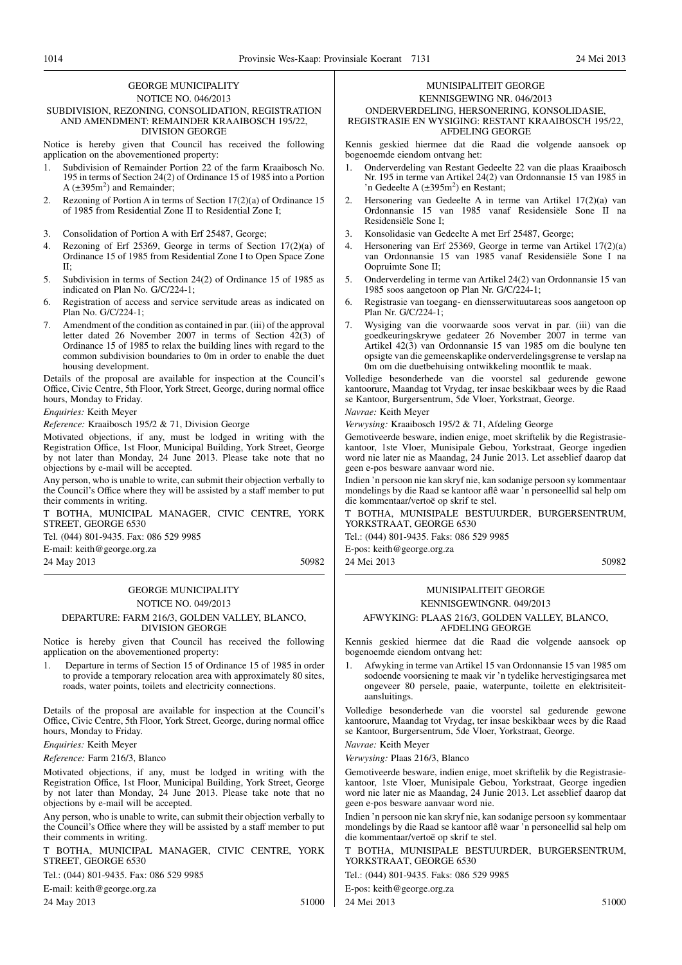#### GEORGE MUNICIPALITY NOTICE NO. 046/2013

#### SUBDIVISION, REZONING, CONSOLIDATION, REGISTRATION AND AMENDMENT: REMAINDER KRAAIBOSCH 195/22, DIVISION GEORGE

Notice is hereby given that Council has received the following application on the abovementioned property:

- 1. Subdivision of Remainder Portion 22 of the farm Kraaibosch No. 195 in terms of Section 24(2) of Ordinance 15 of 1985 into a Portion A  $(\pm 395 \text{m}^2)$  and Remainder;
- 2. Rezoning of Portion A in terms of Section 17(2)(a) of Ordinance 15 of 1985 from Residential Zone II to Residential Zone I;
- 3. Consolidation of Portion A with Erf 25487, George;
- 4. Rezoning of Erf 25369, George in terms of Section 17(2)(a) of Ordinance 15 of 1985 from Residential Zone I to Open Space Zone II;
- 5. Subdivision in terms of Section 24(2) of Ordinance 15 of 1985 as indicated on Plan No. G/C/224-1;
- 6. Registration of access and service servitude areas as indicated on Plan No. G/C/224-1;
- 7. Amendment of the condition as contained in par. (iii) of the approval letter dated 26 November 2007 in terms of Section 42(3) of Ordinance 15 of 1985 to relax the building lines with regard to the common subdivision boundaries to 0m in order to enable the duet housing development.

Details of the proposal are available for inspection at the Council's Office, Civic Centre, 5th Floor, York Street, George, during normal office hours, Monday to Friday.

*Enquiries:* Keith Meyer

*Reference:* Kraaibosch 195/2 & 71, Division George

Motivated objections, if any, must be lodged in writing with the Registration Office, 1st Floor, Municipal Building, York Street, George by not later than Monday, 24 June 2013. Please take note that no objections by e-mail will be accepted.

Any person, who is unable to write, can submit their objection verbally to the Council's Office where they will be assisted by a staff member to put their comments in writing.

T BOTHA, MUNICIPAL MANAGER, CIVIC CENTRE, YORK STREET, GEORGE 6530

Tel. (044) 801-9435. Fax: 086 529 9985

E-mail: keith@george.org.za

24 May 2013 50982

## GEORGE MUNICIPALITY NOTICE NO. 049/2013 DEPARTURE: FARM 216/3, GOLDEN VALLEY, BLANCO,

Notice is hereby given that Council has received the following

1. Departure in terms of Section 15 of Ordinance 15 of 1985 in order to provide a temporary relocation area with approximately 80 sites, roads, water points, toilets and electricity connections.

Details of the proposal are available for inspection at the Council's Office, Civic Centre, 5th Floor, York Street, George, during normal office hours, Monday to Friday.

*Enquiries:* Keith Meyer

*Reference:* Farm 216/3, Blanco

Motivated objections, if any, must be lodged in writing with the Registration Office, 1st Floor, Municipal Building, York Street, George by not later than Monday, 24 June 2013. Please take note that no objections by e-mail will be accepted.

Any person, who is unable to write, can submit their objection verbally to the Council's Office where they will be assisted by a staff member to put their comments in writing.

T BOTHA, MUNICIPAL MANAGER, CIVIC CENTRE, YORK STREET, GEORGE 6530

Tel.: (044) 801-9435. Fax: 086 529 9985

E-mail: keith@george.org.za

24 May 2013 51000

## MUNISIPALITEIT GEORGE

## KENNISGEWING NR. 046/2013

ONDERVERDELING, HERSONERING, KONSOLIDASIE,

REGISTRASIE EN WYSIGING: RESTANT KRAAIBOSCH 195/22, AFDELING GEORGE

Kennis geskied hiermee dat die Raad die volgende aansoek op bogenoemde eiendom ontvang het:

- 1. Onderverdeling van Restant Gedeelte 22 van die plaas Kraaibosch Nr. 195 in terme van Artikel 24(2) van Ordonnansie 15 van 1985 in 'n Gedeelte A  $(\pm 395 \text{m}^2)$  en Restant;
- 2. Hersonering van Gedeelte A in terme van Artikel 17(2)(a) van Ordonnansie 15 van 1985 vanaf Residensiële Sone II na Residensiële Sone I;
- 3. Konsolidasie van Gedeelte A met Erf 25487, George;
- 4. Hersonering van Erf 25369, George in terme van Artikel 17(2)(a) van Ordonnansie 15 van 1985 vanaf Residensiële Sone I na Oopruimte Sone II;
- 5. Onderverdeling in terme van Artikel 24(2) van Ordonnansie 15 van 1985 soos aangetoon op Plan Nr. G/C/224-1;
- 6. Registrasie van toegang- en diensserwituutareas soos aangetoon op Plan Nr. G/C/224-1;
- 7. Wysiging van die voorwaarde soos vervat in par. (iii) van die goedkeuringskrywe gedateer 26 November 2007 in terme van Artikel 42(3) van Ordonnansie 15 van 1985 om die boulyne ten opsigte van die gemeenskaplike onderverdelingsgrense te verslap na 0m om die duetbehuising ontwikkeling moontlik te maak.

Volledige besonderhede van die voorstel sal gedurende gewone kantoorure, Maandag tot Vrydag, ter insae beskikbaar wees by die Raad se Kantoor, Burgersentrum, 5de Vloer, Yorkstraat, George.

*Navrae:* Keith Meyer

*Verwysing:* Kraaibosch 195/2 & 71, Afdeling George

Gemotiveerde besware, indien enige, moet skriftelik by die Registrasiekantoor, 1ste Vloer, Munisipale Gebou, Yorkstraat, George ingedien word nie later nie as Maandag, 24 Junie 2013. Let asseblief daarop dat geen e-pos besware aanvaar word nie.

Indien 'n persoon nie kan skryf nie, kan sodanige persoon sy kommentaar mondelings by die Raad se kantoor aflê waar 'n personeellid sal help om die kommentaar/vertoë op skrif te stel.

T BOTHA, MUNISIPALE BESTUURDER, BURGERSENTRUM, YORKSTRAAT, GEORGE 6530

Tel.: (044) 801-9435. Faks: 086 529 9985

E-pos: keith@george.org.za 24 Mei 2013 50982

# MUNISIPALITEIT GEORGE

#### AFWYKING: PLAAS 216/3, GOLDEN VALLEY, BLANCO, AFDELING GEORGE

Kennis geskied hiermee dat die Raad die volgende aansoek op bogenoemde eiendom ontvang het:

1. Afwyking in terme van Artikel 15 van Ordonnansie 15 van 1985 om sodoende voorsiening te maak vir 'n tydelike hervestigingsarea met ongeveer 80 persele, paaie, waterpunte, toilette en elektrisiteitaansluitings.

Volledige besonderhede van die voorstel sal gedurende gewone kantoorure, Maandag tot Vrydag, ter insae beskikbaar wees by die Raad se Kantoor, Burgersentrum, 5de Vloer, Yorkstraat, George.

*Navrae:* Keith Meyer

*Verwysing:* Plaas 216/3, Blanco

Gemotiveerde besware, indien enige, moet skriftelik by die Registrasiekantoor, 1ste Vloer, Munisipale Gebou, Yorkstraat, George ingedien word nie later nie as Maandag, 24 Junie 2013. Let asseblief daarop dat geen e-pos besware aanvaar word nie.

Indien 'n persoon nie kan skryf nie, kan sodanige persoon sy kommentaar mondelings by die Raad se kantoor aflê waar 'n personeellid sal help om die kommentaar/vertoë op skrif te stel.

T BOTHA, MUNISIPALE BESTUURDER, BURGERSENTRUM, YORKSTRAAT, GEORGE 6530

Tel.: (044) 801-9435. Faks: 086 529 9985

E-pos: keith@george.org.za

24 Mei 2013 51000

# KENNISGEWINGNR. 049/2013

DIVISION GEORGE application on the abovementioned property: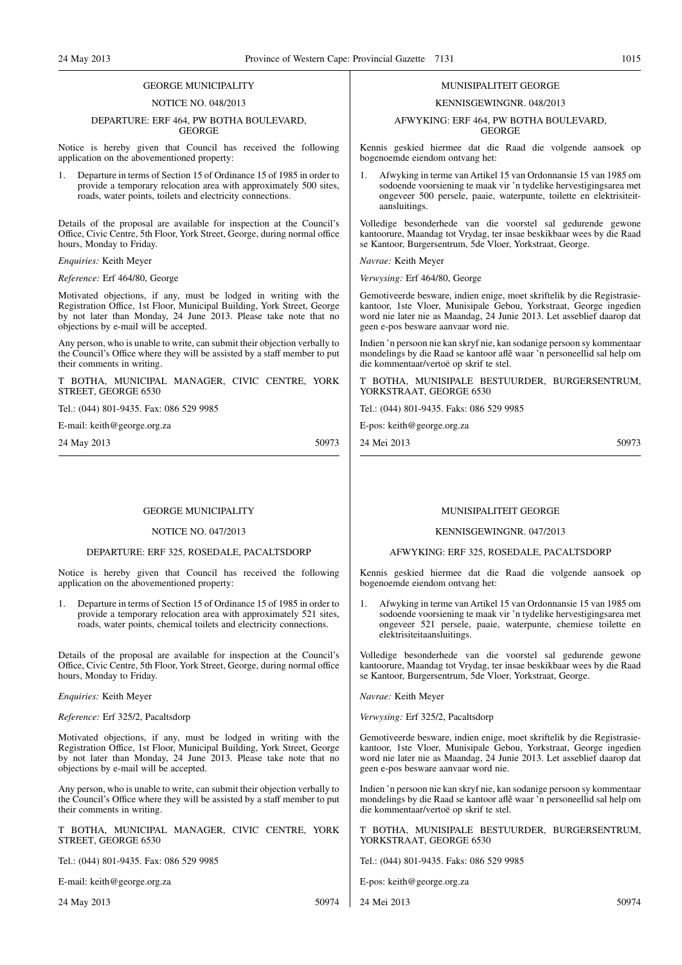#### GEORGE MUNICIPALITY

#### NOTICE NO. 048/2013

#### DEPARTURE: ERF 464, PW BOTHA BOULEVARD, GEORGE

Notice is hereby given that Council has received the following application on the abovementioned property:

1. Departure in terms of Section 15 of Ordinance 15 of 1985 in order to provide a temporary relocation area with approximately 500 sites, roads, water points, toilets and electricity connections.

Details of the proposal are available for inspection at the Council's Office, Civic Centre, 5th Floor, York Street, George, during normal office hours, Monday to Friday.

#### *Enquiries:* Keith Meyer

*Reference:* Erf 464/80, George

Motivated objections, if any, must be lodged in writing with the Registration Office, 1st Floor, Municipal Building, York Street, George by not later than Monday, 24 June 2013. Please take note that no objections by e-mail will be accepted.

Any person, who is unable to write, can submit their objection verbally to the Council's Office where they will be assisted by a staff member to put their comments in writing.

T BOTHA, MUNICIPAL MANAGER, CIVIC CENTRE, YORK STREET, GEORGE 6530

Tel.: (044) 801-9435. Fax: 086 529 9985

E-mail: keith@george.org.za

24 May 2013 50973

#### GEORGE MUNICIPALITY

#### NOTICE NO. 047/2013

#### DEPARTURE: ERF 325, ROSEDALE, PACALTSDORP

Notice is hereby given that Council has received the following application on the abovementioned property:

1. Departure in terms of Section 15 of Ordinance 15 of 1985 in order to provide a temporary relocation area with approximately 521 sites, roads, water points, chemical toilets and electricity connections.

Details of the proposal are available for inspection at the Council's Office, Civic Centre, 5th Floor, York Street, George, during normal office hours, Monday to Friday.

#### *Enquiries:* Keith Meyer

*Reference:* Erf 325/2, Pacaltsdorp

Motivated objections, if any, must be lodged in writing with the Registration Office, 1st Floor, Municipal Building, York Street, George by not later than Monday, 24 June 2013. Please take note that no objections by e-mail will be accepted.

Any person, who is unable to write, can submit their objection verbally to the Council's Office where they will be assisted by a staff member to put their comments in writing.

T BOTHA, MUNICIPAL MANAGER, CIVIC CENTRE, YORK STREET, GEORGE 6530

Tel.: (044) 801-9435. Fax: 086 529 9985

E-mail: keith@george.org.za

24 May 2013 50974

#### MUNISIPALITEIT GEORGE

#### KENNISGEWINGNR. 048/2013

#### AFWYKING: ERF 464, PW BOTHA BOULEVARD, GEORGE

Kennis geskied hiermee dat die Raad die volgende aansoek op bogenoemde eiendom ontvang het:

1. Afwyking in terme van Artikel 15 van Ordonnansie 15 van 1985 om sodoende voorsiening te maak vir 'n tydelike hervestigingsarea met ongeveer 500 persele, paaie, waterpunte, toilette en elektrisiteitaansluitings.

Volledige besonderhede van die voorstel sal gedurende gewone kantoorure, Maandag tot Vrydag, ter insae beskikbaar wees by die Raad se Kantoor, Burgersentrum, 5de Vloer, Yorkstraat, George.

*Navrae:* Keith Meyer

*Verwysing:* Erf 464/80, George

Gemotiveerde besware, indien enige, moet skriftelik by die Registrasiekantoor, 1ste Vloer, Munisipale Gebou, Yorkstraat, George ingedien word nie later nie as Maandag, 24 Junie 2013. Let asseblief daarop dat geen e-pos besware aanvaar word nie.

Indien 'n persoon nie kan skryf nie, kan sodanige persoon sy kommentaar mondelings by die Raad se kantoor aflê waar 'n personeellid sal help om die kommentaar/vertoë op skrif te stel.

T BOTHA, MUNISIPALE BESTUURDER, BURGERSENTRUM, YORKSTRAAT, GEORGE 6530

Tel.: (044) 801-9435. Faks: 086 529 9985

E-pos: keith@george.org.za

24 Mei 2013 50973

#### MUNISIPALITEIT GEORGE

#### KENNISGEWINGNR. 047/2013

#### AFWYKING: ERF 325, ROSEDALE, PACALTSDORP

Kennis geskied hiermee dat die Raad die volgende aansoek op bogenoemde eiendom ontvang het:

1. Afwyking in terme van Artikel 15 van Ordonnansie 15 van 1985 om sodoende voorsiening te maak vir 'n tydelike hervestigingsarea met ongeveer 521 persele, paaie, waterpunte, chemiese toilette en elektrisiteitaansluitings.

Volledige besonderhede van die voorstel sal gedurende gewone kantoorure, Maandag tot Vrydag, ter insae beskikbaar wees by die Raad se Kantoor, Burgersentrum, 5de Vloer, Yorkstraat, George.

*Navrae:* Keith Meyer

*Verwysing:* Erf 325/2, Pacaltsdorp

Gemotiveerde besware, indien enige, moet skriftelik by die Registrasiekantoor, 1ste Vloer, Munisipale Gebou, Yorkstraat, George ingedien word nie later nie as Maandag, 24 Junie 2013. Let asseblief daarop dat geen e-pos besware aanvaar word nie.

Indien 'n persoon nie kan skryf nie, kan sodanige persoon sy kommentaar mondelings by die Raad se kantoor aflê waar 'n personeellid sal help om die kommentaar/vertoë op skrif te stel.

T BOTHA, MUNISIPALE BESTUURDER, BURGERSENTRUM, YORKSTRAAT, GEORGE 6530

Tel.: (044) 801-9435. Faks: 086 529 9985

E-pos: keith@george.org.za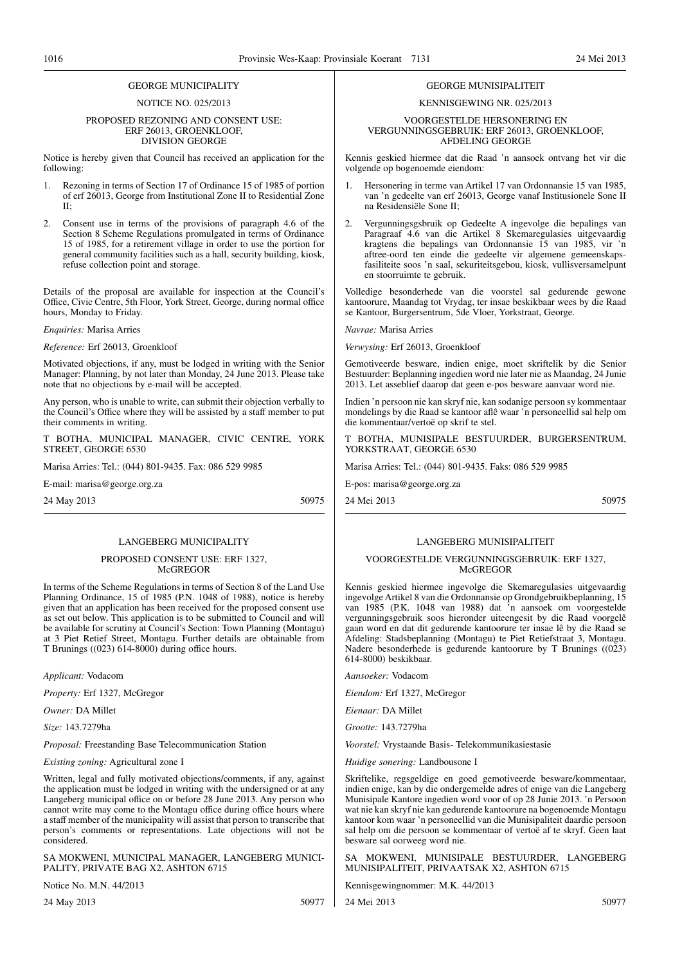### GEORGE MUNICIPALITY

#### NOTICE NO. 025/2013

#### PROPOSED REZONING AND CONSENT USE: ERF 26013, GROENKLOOF, DIVISION GEORGE

Notice is hereby given that Council has received an application for the following:

- Rezoning in terms of Section 17 of Ordinance 15 of 1985 of portion of erf 26013, George from Institutional Zone II to Residential Zone II;
- 2. Consent use in terms of the provisions of paragraph 4.6 of the Section 8 Scheme Regulations promulgated in terms of Ordinance 15 of 1985, for a retirement village in order to use the portion for general community facilities such as a hall, security building, kiosk, refuse collection point and storage.

Details of the proposal are available for inspection at the Council's Office, Civic Centre, 5th Floor, York Street, George, during normal office hours, Monday to Friday.

*Enquiries:* Marisa Arries

*Reference:* Erf 26013, Groenkloof

Motivated objections, if any, must be lodged in writing with the Senior Manager: Planning, by not later than Monday, 24 June 2013. Please take note that no objections by e-mail will be accepted.

Any person, who is unable to write, can submit their objection verbally to the Council's Office where they will be assisted by a staff member to put their comments in writing.

T BOTHA, MUNICIPAL MANAGER, CIVIC CENTRE, YORK STREET, GEORGE 6530

Marisa Arries: Tel.: (044) 801-9435. Fax: 086 529 9985

E-mail: marisa@george.org.za

24 May 2013 50975

#### LANGEBERG MUNICIPALITY

#### PROPOSED CONSENT USE: ERF 1327, **McGREGOR**

In terms of the Scheme Regulations in terms of Section 8 of the Land Use Planning Ordinance, 15 of 1985 (P.N. 1048 of 1988), notice is hereby given that an application has been received for the proposed consent use as set out below. This application is to be submitted to Council and will be available for scrutiny at Council's Section: Town Planning (Montagu) at 3 Piet Retief Street, Montagu. Further details are obtainable from T Brunings ((023) 614-8000) during office hours.

*Applicant:* Vodacom

*Property:* Erf 1327, McGregor

*Owner:* DA Millet

*Size:* 143.7279ha

*Proposal:* Freestanding Base Telecommunication Station

*Existing zoning:* Agricultural zone I

Written, legal and fully motivated objections/comments, if any, against the application must be lodged in writing with the undersigned or at any Langeberg municipal office on or before 28 June 2013. Any person who cannot write may come to the Montagu office during office hours where a staff member of the municipality will assist that person to transcribe that person's comments or representations. Late objections will not be considered.

SA MOKWENI, MUNICIPAL MANAGER, LANGEBERG MUNICI-PALITY, PRIVATE BAG X2, ASHTON 6715

Notice No. M.N. 44/2013

24 May 2013 50977

## KENNISGEWING NR. 025/2013

#### VOORGESTELDE HERSONERING EN VERGUNNINGSGEBRUIK: ERF 26013, GROENKLOOF, AFDELING GEORGE

GEORGE MUNISIPALITEIT

Kennis geskied hiermee dat die Raad 'n aansoek ontvang het vir die volgende op bogenoemde eiendom:

- 1. Hersonering in terme van Artikel 17 van Ordonnansie 15 van 1985, van 'n gedeelte van erf 26013, George vanaf Institusionele Sone II na Residensiële Sone II;
- 2. Vergunningsgsbruik op Gedeelte A ingevolge die bepalings van Paragraaf 4.6 van die Artikel 8 Skemaregulasies uitgevaardig kragtens die bepalings van Ordonnansie 15 van 1985, vir 'n aftree-oord ten einde die gedeelte vir algemene gemeenskapsfasiliteite soos 'n saal, sekuriteitsgebou, kiosk, vullisversamelpunt en stoorruimte te gebruik.

Volledige besonderhede van die voorstel sal gedurende gewone kantoorure, Maandag tot Vrydag, ter insae beskikbaar wees by die Raad se Kantoor, Burgersentrum, 5de Vloer, Yorkstraat, George.

*Navrae:* Marisa Arries

*Verwysing:* Erf 26013, Groenkloof

Gemotiveerde besware, indien enige, moet skriftelik by die Senior Bestuurder: Beplanning ingedien word nie later nie as Maandag, 24 Junie 2013. Let asseblief daarop dat geen e-pos besware aanvaar word nie.

Indien 'n persoon nie kan skryf nie, kan sodanige persoon sy kommentaar mondelings by die Raad se kantoor aflê waar 'n personeellid sal help om die kommentaar/vertoë op skrif te stel.

T BOTHA, MUNISIPALE BESTUURDER, BURGERSENTRUM, YORKSTRAAT, GEORGE 6530

Marisa Arries: Tel.: (044) 801-9435. Faks: 086 529 9985

E-pos: marisa@george.org.za

24 Mei 2013 50975

#### LANGEBERG MUNISIPALITEIT

#### VOORGESTELDE VERGUNNINGSGEBRUIK: ERF 1327, **McGREGOR**

Kennis geskied hiermee ingevolge die Skemaregulasies uitgevaardig ingevolge Artikel 8 van die Ordonnansie op Grondgebruikbeplanning, 15 van 1985 (P.K. 1048 van 1988) dat 'n aansoek om voorgestelde vergunningsgebruik soos hieronder uiteengesit by die Raad voorgelê gaan word en dat dit gedurende kantoorure ter insae lê by die Raad se Afdeling: Stadsbeplanning (Montagu) te Piet Retiefstraat 3, Montagu. Nadere besonderhede is gedurende kantoorure by T Brunings ((023) 614-8000) beskikbaar.

*Aansoeker:* Vodacom

*Eiendom:* Erf 1327, McGregor

*Eienaar:* DA Millet

*Grootte:* 143.7279ha

*Voorstel:* Vrystaande Basis- Telekommunikasiestasie

*Huidige sonering:* Landbousone I

Skriftelike, regsgeldige en goed gemotiveerde besware/kommentaar, indien enige, kan by die ondergemelde adres of enige van die Langeberg Munisipale Kantore ingedien word voor of op 28 Junie 2013. 'n Persoon wat nie kan skryf nie kan gedurende kantoorure na bogenoemde Montagu kantoor kom waar 'n personeellid van die Munisipaliteit daardie persoon sal help om die persoon se kommentaar of vertoë af te skryf. Geen laat besware sal oorweeg word nie.

SA MOKWENI, MUNISIPALE BESTUURDER, LANGEBERG MUNISIPALITEIT, PRIVAATSAK X2, ASHTON 6715

Kennisgewingnommer: M.K. 44/2013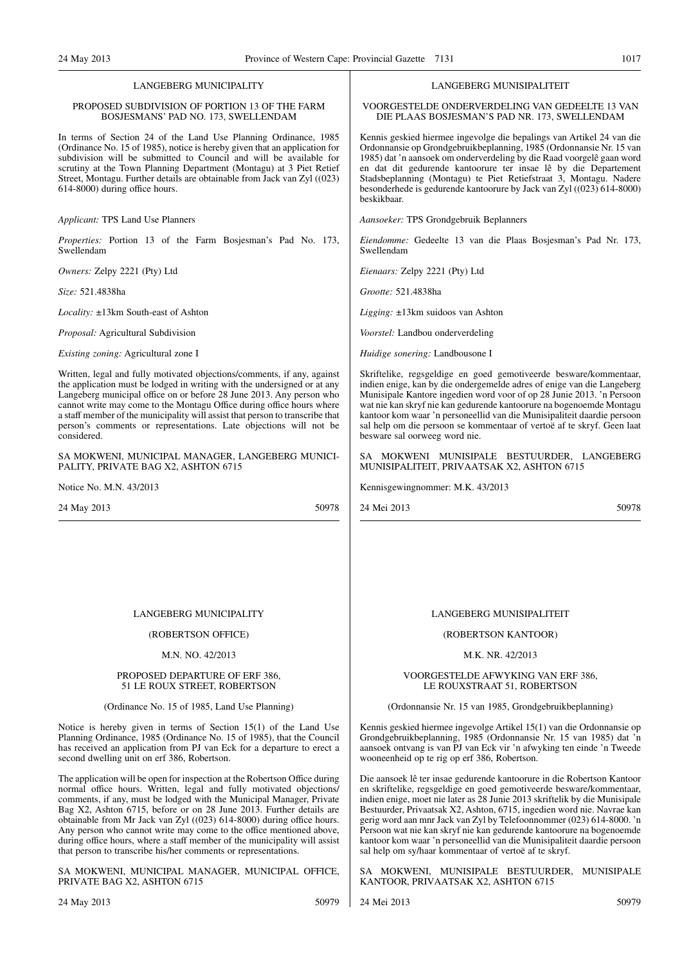#### LANGEBERG MUNICIPALITY

#### PROPOSED SUBDIVISION OF PORTION 13 OF THE FARM BOSJESMANS' PAD NO. 173, SWELLENDAM

In terms of Section 24 of the Land Use Planning Ordinance, 1985 (Ordinance No. 15 of 1985), notice is hereby given that an application for subdivision will be submitted to Council and will be available for scrutiny at the Town Planning Department (Montagu) at 3 Piet Retief Street, Montagu. Further details are obtainable from Jack van Zyl ((023) 614-8000) during office hours.

*Applicant:* TPS Land Use Planners

*Properties:* Portion 13 of the Farm Bosjesman's Pad No. 173, Swellendam

*Owners:* Zelpy 2221 (Pty) Ltd

*Size:* 521.4838ha

*Locality:* ±13km South-east of Ashton

*Proposal:* Agricultural Subdivision

*Existing zoning:* Agricultural zone I

Written, legal and fully motivated objections/comments, if any, against the application must be lodged in writing with the undersigned or at any Langeberg municipal office on or before 28 June 2013. Any person who cannot write may come to the Montagu Office during office hours where a staff member of the municipality will assist that person to transcribe that person's comments or representations. Late objections will not be considered.

SA MOKWENI, MUNICIPAL MANAGER, LANGEBERG MUNICI-PALITY, PRIVATE BAG X2, ASHTON 6715

Notice No. M.N. 43/2013

24 May 2013 50978

## LANGEBERG MUNICIPALITY

#### (ROBERTSON OFFICE)

#### M.N. NO. 42/2013

#### PROPOSED DEPARTURE OF ERF 386, 51 LE ROUX STREET, ROBERTSON

#### (Ordinance No. 15 of 1985, Land Use Planning)

Notice is hereby given in terms of Section 15(1) of the Land Use Planning Ordinance, 1985 (Ordinance No. 15 of 1985), that the Council has received an application from PJ van Eck for a departure to erect a second dwelling unit on erf 386, Robertson.

The application will be open for inspection at the Robertson Office during normal office hours. Written, legal and fully motivated objections/ comments, if any, must be lodged with the Municipal Manager, Private Bag X2, Ashton 6715, before or on 28 June 2013. Further details are obtainable from Mr Jack van Zyl ((023) 614-8000) during office hours. Any person who cannot write may come to the office mentioned above, during office hours, where a staff member of the municipality will assist that person to transcribe his/her comments or representations.

SA MOKWENI, MUNICIPAL MANAGER, MUNICIPAL OFFICE, PRIVATE BAG X2, ASHTON 6715

#### LANGEBERG MUNISIPALITEIT

VOORGESTELDE ONDERVERDELING VAN GEDEELTE 13 VAN DIE PLAAS BOSJESMAN'S PAD NR. 173, SWELLENDAM

Kennis geskied hiermee ingevolge die bepalings van Artikel 24 van die Ordonnansie op Grondgebruikbeplanning, 1985 (Ordonnansie Nr. 15 van 1985) dat 'n aansoek om onderverdeling by die Raad voorgelê gaan word en dat dit gedurende kantoorure ter insae lê by die Departement Stadsbeplanning (Montagu) te Piet Retiefstraat 3, Montagu. Nadere besonderhede is gedurende kantoorure by Jack van Zyl ((023) 614-8000) beskikbaar.

*Aansoeker:* TPS Grondgebruik Beplanners

*Eiendomme:* Gedeelte 13 van die Plaas Bosjesman's Pad Nr. 173, Swellendam

*Eienaars:* Zelpy 2221 (Pty) Ltd

*Grootte:* 521.4838ha

*Ligging:* ±13km suidoos van Ashton

*Voorstel:* Landbou onderverdeling

*Huidige sonering:* Landbousone I

Skriftelike, regsgeldige en goed gemotiveerde besware/kommentaar, indien enige, kan by die ondergemelde adres of enige van die Langeberg Munisipale Kantore ingedien word voor of op 28 Junie 2013. 'n Persoon wat nie kan skryf nie kan gedurende kantoorure na bogenoemde Montagu kantoor kom waar 'n personeellid van die Munisipaliteit daardie persoon sal help om die persoon se kommentaar of vertoë af te skryf. Geen laat besware sal oorweeg word nie.

SA MOKWENI MUNISIPALE BESTUURDER, LANGEBERG MUNISIPALITEIT, PRIVAATSAK X2, ASHTON 6715

Kennisgewingnommer: M.K. 43/2013

24 Mei 2013 50978

## LANGEBERG MUNISIPALITEIT

#### (ROBERTSON KANTOOR)

#### M.K. NR. 42/2013

#### VOORGESTELDE AFWYKING VAN ERF 386, LE ROUXSTRAAT 51, ROBERTSON

(Ordonnansie Nr. 15 van 1985, Grondgebruikbeplanning)

Kennis geskied hiermee ingevolge Artikel 15(1) van die Ordonnansie op Grondgebruikbeplanning, 1985 (Ordonnansie Nr. 15 van 1985) dat 'n aansoek ontvang is van PJ van Eck vir 'n afwyking ten einde 'n Tweede wooneenheid op te rig op erf 386, Robertson.

Die aansoek lê ter insae gedurende kantoorure in die Robertson Kantoor en skriftelike, regsgeldige en goed gemotiveerde besware/kommentaar, indien enige, moet nie later as 28 Junie 2013 skriftelik by die Munisipale Bestuurder, Privaatsak X2, Ashton, 6715, ingedien word nie. Navrae kan gerig word aan mnr Jack van Zyl by Telefoonnommer (023) 614-8000. 'n Persoon wat nie kan skryf nie kan gedurende kantoorure na bogenoemde kantoor kom waar 'n personeellid van die Munisipaliteit daardie persoon sal help om sy/haar kommentaar of vertoë af te skryf.

SA MOKWENI, MUNISIPALE BESTUURDER, MUNISIPALE KANTOOR, PRIVAATSAK X2, ASHTON 6715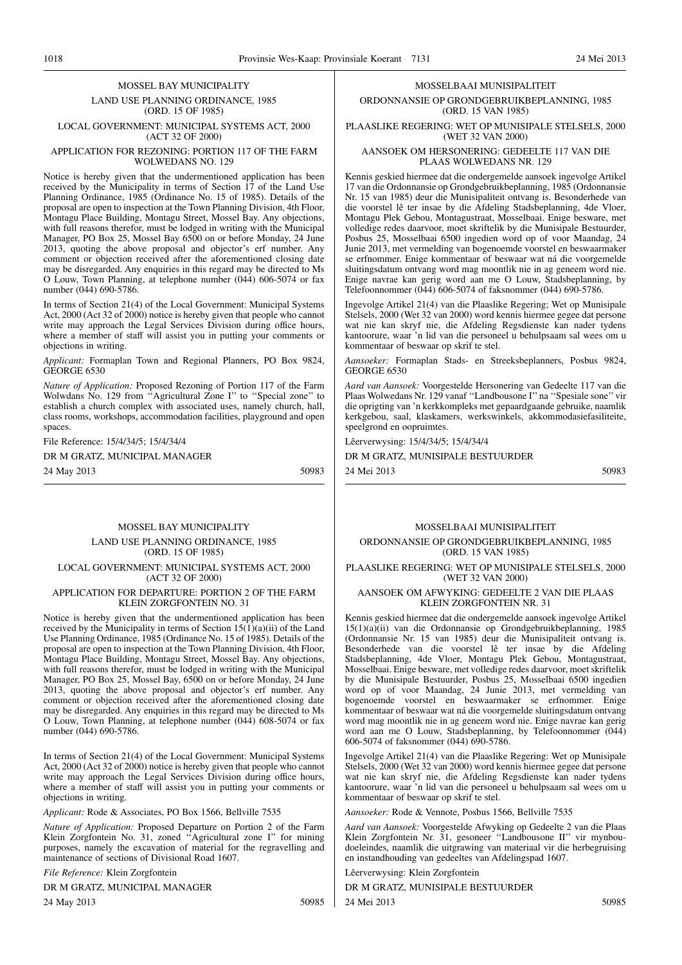1018 Provinsie Wes-Kaap: Provinsiale Koerant 7131 24 Mei 2013

#### MOSSEL BAY MUNICIPALITY LAND USE PLANNING ORDINANCE, 1985 (ORD. 15 OF 1985)

LOCAL GOVERNMENT: MUNICIPAL SYSTEMS ACT, 2000 (ACT 32 OF 2000)

#### APPLICATION FOR REZONING: PORTION 117 OF THE FARM WOLWEDANS NO. 129

Notice is hereby given that the undermentioned application has been received by the Municipality in terms of Section 17 of the Land Use Planning Ordinance, 1985 (Ordinance No. 15 of 1985). Details of the proposal are open to inspection at the Town Planning Division, 4th Floor, Montagu Place Building, Montagu Street, Mossel Bay. Any objections, with full reasons therefor, must be lodged in writing with the Municipal Manager, PO Box 25, Mossel Bay 6500 on or before Monday, 24 June 2013, quoting the above proposal and objector's erf number. Any comment or objection received after the aforementioned closing date may be disregarded. Any enquiries in this regard may be directed to Ms O Louw, Town Planning, at telephone number (044) 606-5074 or fax number (044) 690-5786.

In terms of Section 21(4) of the Local Government: Municipal Systems Act, 2000 (Act 32 of 2000) notice is hereby given that people who cannot write may approach the Legal Services Division during office hours, where a member of staff will assist you in putting your comments or objections in writing.

*Applicant:* Formaplan Town and Regional Planners, PO Box 9824, GEORGE 6530

*Nature of Application:* Proposed Rezoning of Portion 117 of the Farm Wolwdans No. 129 from ''Agricultural Zone I'' to ''Special zone'' to establish a church complex with associated uses, namely church, hall, class rooms, workshops, accommodation facilities, playground and open spaces.

File Reference: 15/4/34/5; 15/4/34/4

DR M GRATZ, MUNICIPAL MANAGER

24 May 2013 50983

#### MOSSEL BAY MUNICIPALITY

#### LAND USE PLANNING ORDINANCE, 1985 (ORD. 15 OF 1985) LOCAL GOVERNMENT: MUNICIPAL SYSTEMS ACT, 2000 (ACT 32 OF 2000)

#### APPLICATION FOR DEPARTURE: PORTION 2 OF THE FARM KLEIN ZORGFONTEIN NO. 31

Notice is hereby given that the undermentioned application has been received by the Municipality in terms of Section 15(1)(a)(ii) of the Land Use Planning Ordinance, 1985 (Ordinance No. 15 of 1985). Details of the proposal are open to inspection at the Town Planning Division, 4th Floor, Montagu Place Building, Montagu Street, Mossel Bay. Any objections, with full reasons therefor, must be lodged in writing with the Municipal Manager, PO Box 25, Mossel Bay, 6500 on or before Monday, 24 June 2013, quoting the above proposal and objector's erf number. Any comment or objection received after the aforementioned closing date may be disregarded. Any enquiries in this regard may be directed to Ms O Louw, Town Planning, at telephone number (044) 608-5074 or fax number (044) 690-5786.

In terms of Section 21(4) of the Local Government: Municipal Systems Act, 2000 (Act 32 of 2000) notice is hereby given that people who cannot write may approach the Legal Services Division during office hours, where a member of staff will assist you in putting your comments or objections in writing.

*Applicant:* Rode & Associates, PO Box 1566, Bellville 7535

*Nature of Application:* Proposed Departure on Portion 2 of the Farm Klein Zorgfontein No. 31, zoned ''Agricultural zone I'' for mining purposes, namely the excavation of material for the regravelling and maintenance of sections of Divisional Road 1607.

*File Reference:* Klein Zorgfontein

DR M GRATZ, MUNICIPAL MANAGER

24 May 2013 50985

#### MOSSELBAAI MUNISIPALITEIT

ORDONNANSIE OP GRONDGEBRUIKBEPLANNING, 1985 (ORD. 15 VAN 1985)

PLAASLIKE REGERING: WET OP MUNISIPALE STELSELS, 2000 (WET 32 VAN 2000)

#### AANSOEK OM HERSONERING: GEDEELTE 117 VAN DIE PLAAS WOLWEDANS NR. 129

Kennis geskied hiermee dat die ondergemelde aansoek ingevolge Artikel 17 van die Ordonnansie op Grondgebruikbeplanning, 1985 (Ordonnansie Nr. 15 van 1985) deur die Munisipaliteit ontvang is. Besonderhede van die voorstel lê ter insae by die Afdeling Stadsbeplanning, 4de Vloer, Montagu Plek Gebou, Montagustraat, Mosselbaai. Enige besware, met volledige redes daarvoor, moet skriftelik by die Munisipale Bestuurder, Posbus 25, Mosselbaai 6500 ingedien word op of voor Maandag, 24 Junie 2013, met vermelding van bogenoemde voorstel en beswaarmaker se erfnommer. Enige kommentaar of beswaar wat ná die voorgemelde sluitingsdatum ontvang word mag moontlik nie in ag geneem word nie. Enige navrae kan gerig word aan me O Louw, Stadsbeplanning, by Telefoonnommer (044) 606-5074 of faksnommer (044) 690-5786.

Ingevolge Artikel 21(4) van die Plaaslike Regering; Wet op Munisipale Stelsels, 2000 (Wet 32 van 2000) word kennis hiermee gegee dat persone wat nie kan skryf nie, die Afdeling Regsdienste kan nader tydens kantoorure, waar 'n lid van die personeel u behulpsaam sal wees om u kommentaar of beswaar op skrif te stel.

*Aansoeker:* Formaplan Stads- en Streeksbeplanners, Posbus 9824, GEORGE 6530

*Aard van Aansoek:* Voorgestelde Hersonering van Gedeelte 117 van die Plaas Wolwedans Nr. 129 vanaf ''Landbousone I'' na ''Spesiale sone'' vir die oprigting van 'n kerkkompleks met gepaardgaande gebruike, naamlik kerkgebou, saal, klaskamers, werkswinkels, akkommodasiefasiliteite, speelgrond en oopruimtes.

Lêerverwysing: 15/4/34/5; 15/4/34/4

DR M GRATZ, MUNISIPALE BESTUURDER

24 Mei 2013 50983

#### MOSSELBAAI MUNISIPALITEIT

ORDONNANSIE OP GRONDGEBRUIKBEPLANNING, 1985 (ORD. 15 VAN 1985)

PLAASLIKE REGERING: WET OP MUNISIPALE STELSELS, 2000 (WET 32 VAN 2000)

#### AANSOEK OM AFWYKING: GEDEELTE 2 VAN DIE PLAAS KLEIN ZORGFONTEIN NR. 31

Kennis geskied hiermee dat die ondergemelde aansoek ingevolge Artikel 15(1)(a)(ii) van die Ordonnansie op Grondgebruikbeplanning, 1985 (Ordonnansie Nr. 15 van 1985) deur die Munisipaliteit ontvang is. Besonderhede van die voorstel lê ter insae by die Afdeling Stadsbeplanning, 4de Vloer, Montagu Plek Gebou, Montagustraat, Mosselbaai. Enige besware, met volledige redes daarvoor, moet skriftelik by die Munisipale Bestuurder, Posbus 25, Mosselbaai 6500 ingedien word op of voor Maandag, 24 Junie 2013, met vermelding van bogenoemde voorstel en beswaarmaker se erfnommer. Enige kommentaar of beswaar wat ná die voorgemelde sluitingsdatum ontvang word mag moontlik nie in ag geneem word nie. Enige navrae kan gerig word aan me O Louw, Stadsbeplanning, by Telefoonnommer (044) 606-5074 of faksnommer (044) 690-5786.

Ingevolge Artikel 21(4) van die Plaaslike Regering: Wet op Munisipale Stelsels, 2000 (Wet 32 van 2000) word kennis hiermee gegee dat persone wat nie kan skryf nie, die Afdeling Regsdienste kan nader tydens kantoorure, waar 'n lid van die personeel u behulpsaam sal wees om u kommentaar of beswaar op skrif te stel.

*Aansoeker:* Rode & Vennote, Posbus 1566, Bellville 7535

*Aard van Aansoek:* Voorgestelde Afwyking op Gedeelte 2 van die Plaas Klein Zorgfontein Nr. 31, gesoneer ''Landbousone II'' vir mynboudoeleindes, naamlik die uitgrawing van materiaal vir die herbegruising en instandhouding van gedeeltes van Afdelingspad 1607.

Lêerverwysing: Klein Zorgfontein

DR M GRATZ, MUNISIPALE BESTUURDER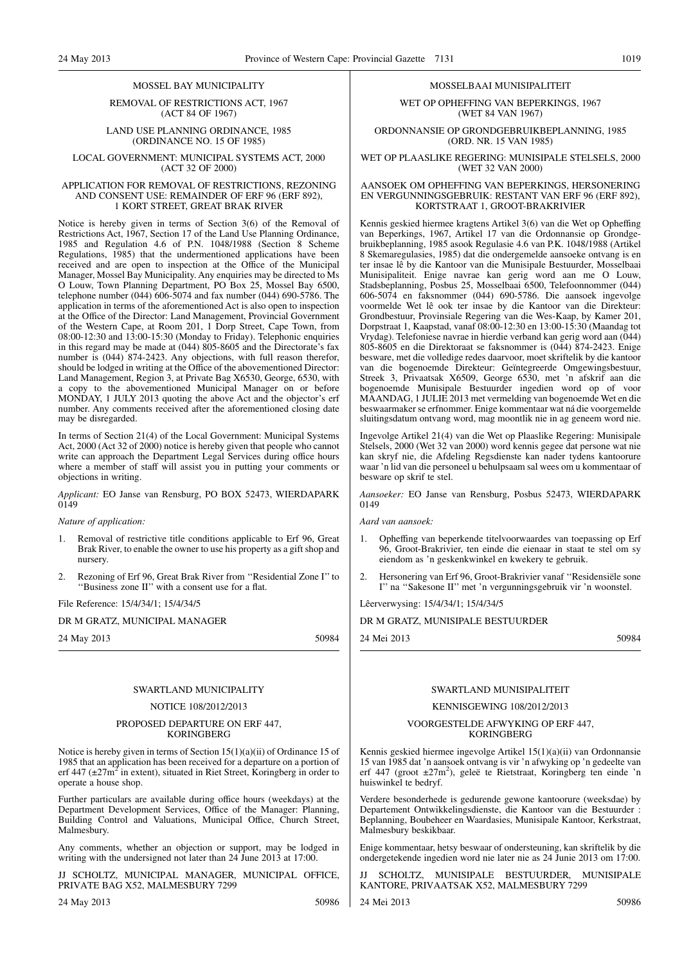#### MOSSEL BAY MUNICIPALITY

REMOVAL OF RESTRICTIONS ACT, 1967 (ACT 84 OF 1967)

LAND USE PLANNING ORDINANCE, 1985 (ORDINANCE NO. 15 OF 1985)

LOCAL GOVERNMENT: MUNICIPAL SYSTEMS ACT, 2000 (ACT 32 OF 2000)

#### APPLICATION FOR REMOVAL OF RESTRICTIONS, REZONING AND CONSENT USE: REMAINDER OF ERF 96 (ERF 892), 1 KORT STREET, GREAT BRAK RIVER

Notice is hereby given in terms of Section 3(6) of the Removal of Restrictions Act, 1967, Section 17 of the Land Use Planning Ordinance, 1985 and Regulation 4.6 of P.N. 1048/1988 (Section 8 Scheme Regulations, 1985) that the undermentioned applications have been received and are open to inspection at the Office of the Municipal Manager, Mossel Bay Municipality. Any enquiries may be directed to Ms O Louw, Town Planning Department, PO Box 25, Mossel Bay 6500, telephone number (044) 606-5074 and fax number (044) 690-5786. The application in terms of the aforementioned Act is also open to inspection at the Office of the Director: Land Management, Provincial Government of the Western Cape, at Room 201, 1 Dorp Street, Cape Town, from 08:00-12:30 and 13:00-15:30 (Monday to Friday). Telephonic enquiries in this regard may be made at (044) 805-8605 and the Directorate's fax number is (044) 874-2423. Any objections, with full reason therefor, should be lodged in writing at the Office of the abovementioned Director: Land Management, Region 3, at Private Bag X6530, George, 6530, with a copy to the abovementioned Municipal Manager on or before MONDAY, 1 JULY 2013 quoting the above Act and the objector's erf number. Any comments received after the aforementioned closing date may be disregarded.

In terms of Section 21(4) of the Local Government: Municipal Systems Act, 2000 (Act 32 of 2000) notice is hereby given that people who cannot write can approach the Department Legal Services during office hours where a member of staff will assist you in putting your comments or objections in writing.

*Applicant:* EO Janse van Rensburg, PO BOX 52473, WIERDAPARK 0149

*Nature of application:*

- 1. Removal of restrictive title conditions applicable to Erf 96, Great Brak River, to enable the owner to use his property as a gift shop and nursery.
- 2. Rezoning of Erf 96, Great Brak River from ''Residential Zone I'' to "Business zone II" with a consent use for a flat.

File Reference: 15/4/34/1; 15/4/34/5

#### DR M GRATZ, MUNICIPAL MANAGER

24 May 2013 50984

#### SWARTLAND MUNICIPALITY

#### NOTICE 108/2012/2013

#### PROPOSED DEPARTURE ON ERF 447, KORINGBERG

Notice is hereby given in terms of Section 15(1)(a)(ii) of Ordinance 15 of 1985 that an application has been received for a departure on a portion of erf  $447 \left( \pm 27 \right)$  in extent), situated in Riet Street, Koringberg in order to operate a house shop.

Further particulars are available during office hours (weekdays) at the Department Development Services, Office of the Manager: Planning, Building Control and Valuations, Municipal Office, Church Street, Malmesbury.

Any comments, whether an objection or support, may be lodged in writing with the undersigned not later than 24 June 2013 at 17:00.

JJ SCHOLTZ, MUNICIPAL MANAGER, MUNICIPAL OFFICE, PRIVATE BAG X52, MALMESBURY 7299

24 May 2013 50986

### MOSSELBAAI MUNISIPALITEIT

WET OP OPHEFFING VAN BEPERKINGS, 1967 (WET 84 VAN 1967)

ORDONNANSIE OP GRONDGEBRUIKBEPLANNING, 1985 (ORD. NR. 15 VAN 1985)

WET OP PLAASLIKE REGERING: MUNISIPALE STELSELS, 2000 (WET 32 VAN 2000)

#### AANSOEK OM OPHEFFING VAN BEPERKINGS, HERSONERING EN VERGUNNINGSGEBRUIK: RESTANT VAN ERF 96 (ERF 892), KORTSTRAAT 1, GROOT-BRAKRIVIER

Kennis geskied hiermee kragtens Artikel 3(6) van die Wet op Opheffing van Beperkings, 1967, Artikel 17 van die Ordonnansie op Grondgebruikbeplanning, 1985 asook Regulasie 4.6 van P.K. 1048/1988 (Artikel 8 Skemaregulasies, 1985) dat die ondergemelde aansoeke ontvang is en ter insae lê by die Kantoor van die Munisipale Bestuurder, Mosselbaai Munisipaliteit. Enige navrae kan gerig word aan me O Louw, Stadsbeplanning, Posbus 25, Mosselbaai 6500, Telefoonnommer (044) 606-5074 en faksnommer (044) 690-5786. Die aansoek ingevolge voormelde Wet lê ook ter insae by die Kantoor van die Direkteur: Grondbestuur, Provinsiale Regering van die Wes-Kaap, by Kamer 201, Dorpstraat 1, Kaapstad, vanaf 08:00-12:30 en 13:00-15:30 (Maandag tot Vrydag). Telefoniese navrae in hierdie verband kan gerig word aan (044) 805-8605 en die Direktoraat se faksnommer is (044) 874-2423. Enige besware, met die volledige redes daarvoor, moet skriftelik by die kantoor van die bogenoemde Direkteur: Geïntegreerde Omgewingsbestuur, Streek 3, Privaatsak X6509, George 6530, met 'n afskrif aan die bogenoemde Munisipale Bestuurder ingedien word op of voor MAANDAG, 1 JULIE 2013 met vermelding van bogenoemde Wet en die beswaarmaker se erfnommer. Enige kommentaar wat ná die voorgemelde sluitingsdatum ontvang word, mag moontlik nie in ag geneem word nie.

Ingevolge Artikel 21(4) van die Wet op Plaaslike Regering: Munisipale Stelsels, 2000 (Wet 32 van 2000) word kennis gegee dat persone wat nie kan skryf nie, die Afdeling Regsdienste kan nader tydens kantoorure waar 'n lid van die personeel u behulpsaam sal wees om u kommentaar of besware op skrif te stel.

*Aansoeker:* EO Janse van Rensburg, Posbus 52473, WIERDAPARK 0149

*Aard van aansoek:*

- 1. Opheffing van beperkende titelvoorwaardes van toepassing op Erf 96, Groot-Brakrivier, ten einde die eienaar in staat te stel om sy eiendom as 'n geskenkwinkel en kwekery te gebruik.
- 2. Hersonering van Erf 96, Groot-Brakrivier vanaf ''Residensiële sone I'' na ''Sakesone II'' met 'n vergunningsgebruik vir 'n woonstel.

Lêerverwysing: 15/4/34/1; 15/4/34/5

#### DR M GRATZ, MUNISIPALE BESTUURDER

24 Mei 2013 50984

#### SWARTLAND MUNISIPALITEIT

#### KENNISGEWING 108/2012/2013

#### VOORGESTELDE AFWYKING OP ERF 447, KORINGBERG

Kennis geskied hiermee ingevolge Artikel 15(1)(a)(ii) van Ordonnansie 15 van 1985 dat 'n aansoek ontvang is vir 'n afwyking op 'n gedeelte van erf 447 (groot ±27m<sup>2</sup>), geleë te Rietstraat, Koringberg ten einde 'n huiswinkel te bedryf.

Verdere besonderhede is gedurende gewone kantoorure (weeksdae) by Departement Ontwikkelingsdienste, die Kantoor van die Bestuurder : Beplanning, Boubeheer en Waardasies, Munisipale Kantoor, Kerkstraat, Malmesbury beskikbaar.

Enige kommentaar, hetsy beswaar of ondersteuning, kan skriftelik by die ondergetekende ingedien word nie later nie as 24 Junie 2013 om 17:00.

SCHOLTZ, MUNISIPALE BESTUURDER, MUNISIPALE KANTORE, PRIVAATSAK X52, MALMESBURY 7299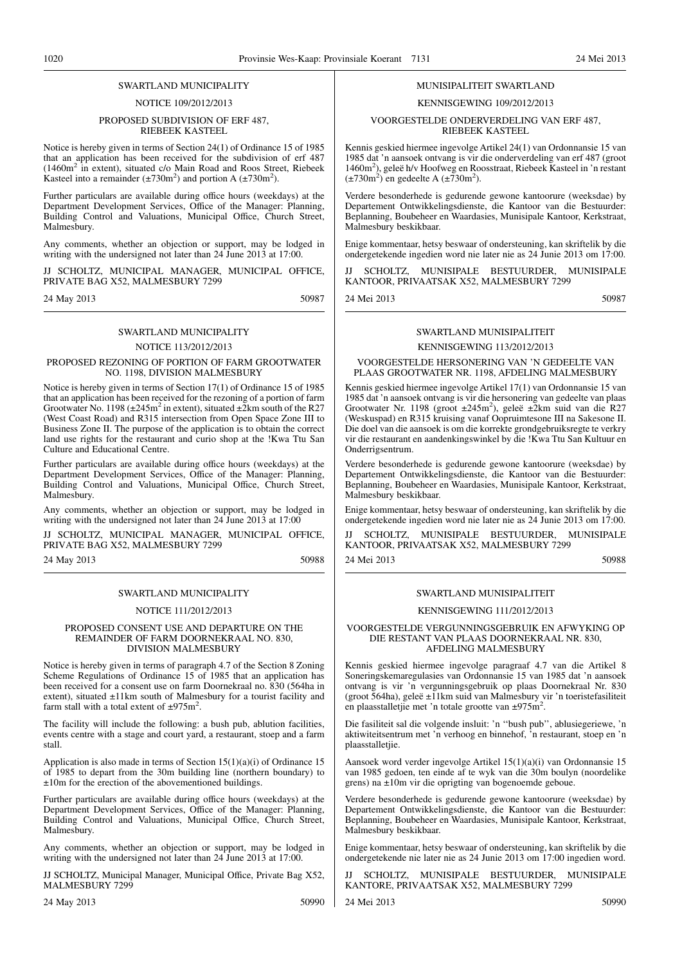#### SWARTLAND MUNICIPALITY

#### NOTICE 109/2012/2013

#### PROPOSED SUBDIVISION OF ERF 487, RIEBEEK KASTEEL

Notice is hereby given in terms of Section 24(1) of Ordinance 15 of 1985 that an application has been received for the subdivision of erf 487 (1460m2 in extent), situated c/o Main Road and Roos Street, Riebeek Kasteel into a remainder  $(\pm 730 \text{m}^2)$  and portion A  $(\pm 730 \text{m}^2)$ .

Further particulars are available during office hours (weekdays) at the Department Development Services, Office of the Manager: Planning, Building Control and Valuations, Municipal Office, Church Street, Malmesbury.

Any comments, whether an objection or support, may be lodged in writing with the undersigned not later than 24 June 2013 at 17:00.

JJ SCHOLTZ, MUNICIPAL MANAGER, MUNICIPAL OFFICE, PRIVATE BAG X52, MALMESBURY 7299

24 May 2013 50987

## SWARTLAND MUNICIPALITY NOTICE 113/2012/2013

#### PROPOSED REZONING OF PORTION OF FARM GROOTWATER NO. 1198, DIVISION MALMESBURY

Notice is hereby given in terms of Section 17(1) of Ordinance 15 of 1985 that an application has been received for the rezoning of a portion of farm Grootwater No. 1198 ( $\pm 245$ m<sup>2</sup> in extent), situated  $\pm 2$ km south of the R27 (West Coast Road) and R315 intersection from Open Space Zone III to Business Zone II. The purpose of the application is to obtain the correct land use rights for the restaurant and curio shop at the !Kwa Ttu San Culture and Educational Centre.

Further particulars are available during office hours (weekdays) at the Department Development Services, Office of the Manager: Planning, Building Control and Valuations, Municipal Office, Church Street, Malmesbury.

Any comments, whether an objection or support, may be lodged in writing with the undersigned not later than 24 June 2013 at 17:00

JJ SCHOLTZ, MUNICIPAL MANAGER, MUNICIPAL OFFICE, PRIVATE BAG X52, MALMESBURY 7299

24 May 2013 50988

#### SWARTLAND MUNICIPALITY

## NOTICE 111/2012/2013

#### PROPOSED CONSENT USE AND DEPARTURE ON THE REMAINDER OF FARM DOORNEKRAAL NO. 830, DIVISION MALMESBURY

Notice is hereby given in terms of paragraph 4.7 of the Section 8 Zoning Scheme Regulations of Ordinance 15 of 1985 that an application has been received for a consent use on farm Doornekraal no. 830 (564ha in extent), situated ±11km south of Malmesbury for a tourist facility and farm stall with a total extent of  $\pm 975$ m<sup>2</sup>.

The facility will include the following: a bush pub, ablution facilities, events centre with a stage and court yard, a restaurant, stoep and a farm stall.

Application is also made in terms of Section 15(1)(a)(i) of Ordinance 15 of 1985 to depart from the 30m building line (northern boundary) to ±10m for the erection of the abovementioned buildings.

Further particulars are available during office hours (weekdays) at the Department Development Services, Office of the Manager: Planning, Building Control and Valuations, Municipal Office, Church Street, Malmesbury.

Any comments, whether an objection or support, may be lodged in writing with the undersigned not later than 24 June 2013 at 17:00.

JJ SCHOLTZ, Municipal Manager, Municipal Office, Private Bag X52, MALMESBURY 7299

#### MUNISIPALITEIT SWARTLAND

#### KENNISGEWING 109/2012/2013

#### VOORGESTELDE ONDERVERDELING VAN ERF 487, RIEBEEK KASTEEL

Kennis geskied hiermee ingevolge Artikel 24(1) van Ordonnansie 15 van 1985 dat 'n aansoek ontvang is vir die onderverdeling van erf 487 (groot 1460m<sup>2</sup> ), geleë h/v Hoofweg en Roosstraat, Riebeek Kasteel in 'n restant  $(\pm 730 \text{m}^2)$  en gedeelte A ( $\pm 730 \text{m}^2$ ).

Verdere besonderhede is gedurende gewone kantoorure (weeksdae) by Departement Ontwikkelingsdienste, die Kantoor van die Bestuurder: Beplanning, Boubeheer en Waardasies, Munisipale Kantoor, Kerkstraat, Malmesbury beskikbaar.

Enige kommentaar, hetsy beswaar of ondersteuning, kan skriftelik by die ondergetekende ingedien word nie later nie as 24 Junie 2013 om 17:00.

SCHOLTZ, MUNISIPALE BESTUURDER, MUNISIPALE KANTOOR, PRIVAATSAK X52, MALMESBURY 7299

24 Mei 2013 50987

## SWARTLAND MUNISIPALITEIT

## KENNISGEWING 113/2012/2013

VOORGESTELDE HERSONERING VAN 'N GEDEELTE VAN PLAAS GROOTWATER NR. 1198, AFDELING MALMESBURY

Kennis geskied hiermee ingevolge Artikel 17(1) van Ordonnansie 15 van 1985 dat 'n aansoek ontvang is vir die hersonering van gedeelte van plaas Grootwater Nr. 1198 (groot ±245m<sup>2</sup> ), geleë ±2km suid van die R27 (Weskuspad) en R315 kruising vanaf Oopruimtesone III na Sakesone II. Die doel van die aansoek is om die korrekte grondgebruiksregte te verkry vir die restaurant en aandenkingswinkel by die !Kwa Ttu San Kultuur en Onderrigsentrum.

Verdere besonderhede is gedurende gewone kantoorure (weeksdae) by Departement Ontwikkelingsdienste, die Kantoor van die Bestuurder: Beplanning, Boubeheer en Waardasies, Munisipale Kantoor, Kerkstraat, Malmesbury beskikbaar.

Enige kommentaar, hetsy beswaar of ondersteuning, kan skriftelik by die ondergetekende ingedien word nie later nie as 24 Junie 2013 om 17:00.

JJ SCHOLTZ, MUNISIPALE BESTUURDER, MUNISIPALE KANTOOR, PRIVAATSAK X52, MALMESBURY 7299 24 Mei 2013 50988

# SWARTLAND MUNISIPALITEIT

## KENNISGEWING 111/2012/2013

VOORGESTELDE VERGUNNINGSGEBRUIK EN AFWYKING OP DIE RESTANT VAN PLAAS DOORNEKRAAL NR. 830, AFDELING MALMESBURY

Kennis geskied hiermee ingevolge paragraaf 4.7 van die Artikel 8 Soneringskemaregulasies van Ordonnansie 15 van 1985 dat 'n aansoek ontvang is vir 'n vergunningsgebruik op plaas Doornekraal Nr. 830 (groot 564ha), geleë ±11km suid van Malmesbury vir 'n toeristefasiliteit en plaasstalletjie met 'n totale grootte van ±975m<sup>2</sup>.

Die fasiliteit sal die volgende insluit: 'n ''bush pub'', ablusiegeriewe, 'n aktiwiteitsentrum met 'n verhoog en binnehof, 'n restaurant, stoep en 'n plaasstalletiie.

Aansoek word verder ingevolge Artikel 15(1)(a)(i) van Ordonnansie 15 van 1985 gedoen, ten einde af te wyk van die 30m boulyn (noordelike grens) na ±10m vir die oprigting van bogenoemde geboue.

Verdere besonderhede is gedurende gewone kantoorure (weeksdae) by Departement Ontwikkelingsdienste, die Kantoor van die Bestuurder: Beplanning, Boubeheer en Waardasies, Munisipale Kantoor, Kerkstraat, Malmesbury beskikbaar.

Enige kommentaar, hetsy beswaar of ondersteuning, kan skriftelik by die ondergetekende nie later nie as 24 Junie 2013 om 17:00 ingedien word.

SCHOLTZ, MUNISIPALE BESTUURDER, MUNISIPALE KANTORE, PRIVAATSAK X52, MALMESBURY 7299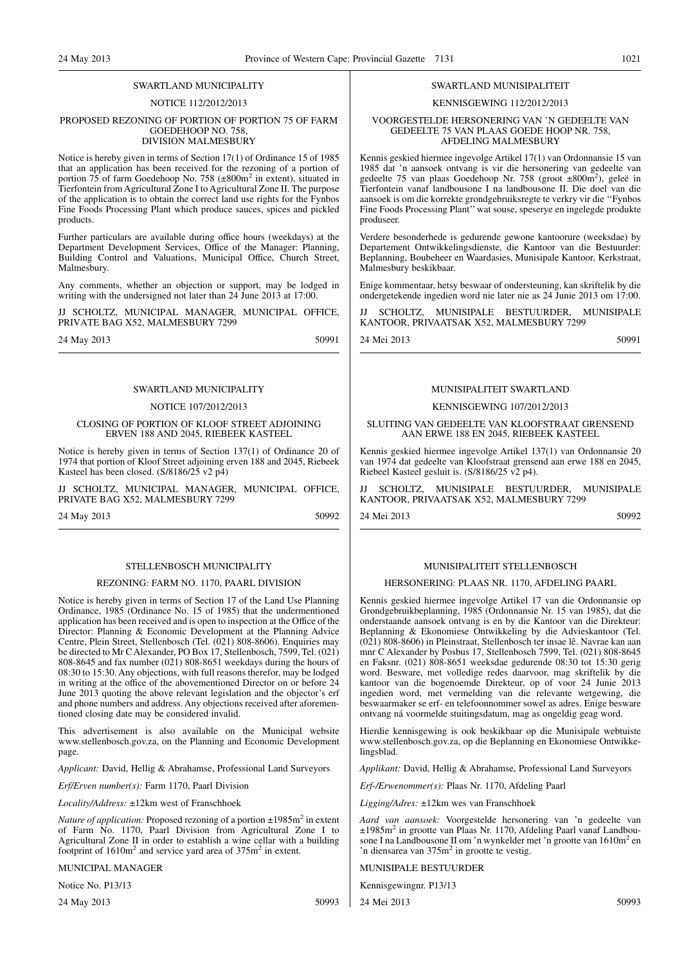#### SWARTLAND MUNICIPALITY

#### NOTICE 112/2012/2013

#### PROPOSED REZONING OF PORTION OF PORTION 75 OF FARM GOEDEHOOP NO. 758, DIVISION MALMESBURY

Notice is hereby given in terms of Section 17(1) of Ordinance 15 of 1985 that an application has been received for the rezoning of a portion of portion 75 of farm Goedehoop No. 758 (±800m<sup>2</sup> in extent), situated in Tierfontein from Agricultural Zone I to Agricultural Zone II. The purpose of the application is to obtain the correct land use rights for the Fynbos Fine Foods Processing Plant which produce sauces, spices and pickled products.

Further particulars are available during office hours (weekdays) at the Department Development Services, Office of the Manager: Planning, Building Control and Valuations, Municipal Office, Church Street, Malmesbury.

Any comments, whether an objection or support, may be lodged in writing with the undersigned not later than 24 June 2013 at 17:00.

JJ SCHOLTZ, MUNICIPAL MANAGER, MUNICIPAL OFFICE, PRIVATE BAG X52, MALMESBURY 7299

24 May 2013 50991

## SWARTLAND MUNICIPALITY

#### NOTICE 107/2012/2013

CLOSING OF PORTION OF KLOOF STREET ADJOINING ERVEN 188 AND 2045, RIEBEEK KASTEEL

Notice is hereby given in terms of Section 137(1) of Ordinance 20 of 1974 that portion of Kloof Street adjoining erven 188 and 2045, Riebeek Kasteel has been closed. (S/8186/25 v2 p4)

SCHOLTZ, MUNICIPAL MANAGER, MUNICIPAL OFFICE, PRIVATE BAG X52, MALMESBURY 7299

24 May 2013 50992

#### STELLENBOSCH MUNICIPALITY

#### REZONING: FARM NO. 1170, PAARL DIVISION

Notice is hereby given in terms of Section 17 of the Land Use Planning Ordinance, 1985 (Ordinance No. 15 of 1985) that the undermentioned application has been received and is open to inspection at the Office of the Director: Planning & Economic Development at the Planning Advice Centre, Plein Street, Stellenbosch (Tel. (021) 808-8606). Enquiries may be directed to Mr C Alexander, PO Box 17, Stellenbosch, 7599, Tel. (021) 808-8645 and fax number (021) 808-8651 weekdays during the hours of 08:30 to 15:30. Any objections, with full reasons therefor, may be lodged in writing at the office of the abovementioned Director on or before 24 June 2013 quoting the above relevant legislation and the objector's erf and phone numbers and address. Any objections received after aforementioned closing date may be considered invalid.

This advertisement is also available on the Municipal website www.stellenbosch.gov.za, on the Planning and Economic Development page.

*Applicant:* David, Hellig & Abrahamse, Professional Land Surveyors

*Erf/Erven number(s):* Farm 1170, Paarl Division

*Locality/Address:* ±12km west of Franschhoek

*Nature of application:* Proposed rezoning of a portion  $\pm 1985$ m<sup>2</sup> in extent of Farm No. 1170, Paarl Division from Agricultural Zone I to Agricultural Zone II in order to establish a wine cellar with a building footprint of 1610m<sup>2</sup> and service yard area of 375m<sup>2</sup> in extent.

MUNICIPAL MANAGER

Notice No. P13/13

24 May 2013 50993

#### SWARTLAND MUNISIPALITEIT

#### KENNISGEWING 112/2012/2013

#### VOORGESTELDE HERSONERING VAN 'N GEDEELTE VAN GEDEELTE 75 VAN PLAAS GOEDE HOOP NR. 758, AFDELING MALMESBURY

Kennis geskied hiermee ingevolge Artikel 17(1) van Ordonnansie 15 van 1985 dat 'n aansoek ontvang is vir die hersonering van gedeelte van gedeelte 75 van plaas Goedehoop Nr. 758 (groot ±800m<sup>2</sup>), geleë in Tierfontein vanaf landbousone I na landbousone II. Die doel van die aansoek is om die korrekte grondgebruiksregte te verkry vir die ''Fynbos Fine Foods Processing Plant'' wat souse, speserye en ingelegde produkte produseer.

Verdere besonderhede is gedurende gewone kantoorure (weeksdae) by Departement Ontwikkelingsdienste, die Kantoor van die Bestuurder: Beplanning, Boubeheer en Waardasies, Munisipale Kantoor, Kerkstraat, Malmesbury beskikbaar.

Enige kommentaar, hetsy beswaar of ondersteuning, kan skriftelik by die ondergetekende ingedien word nie later nie as 24 Junie 2013 om 17:00.

SCHOLTZ, MUNISIPALE BESTUURDER, MUNISIPALE KANTOOR, PRIVAATSAK X52, MALMESBURY 7299

24 Mei 2013 50991

#### MUNISIPALITEIT SWARTLAND

#### KENNISGEWING 107/2012/2013

SLUITING VAN GEDEELTE VAN KLOOFSTRAAT GRENSEND AAN ERWE 188 EN 2045, RIEBEEK KASTEEL

Kennis geskied hiermee ingevolge Artikel 137(1) van Ordonnansie 20 van 1974 dat gedeelte van Kloofstraat grensend aan erwe 188 en 2045, Riebeel Kasteel gesluit is. (S/8186/25 v2 p4).

SCHOLTZ, MUNISIPALE BESTUURDER, MUNISIPALE KANTOOR, PRIVAATSAK X52, MALMESBURY 7299

24 Mei 2013 50992

#### MUNISIPALITEIT STELLENBOSCH

#### HERSONERING: PLAAS NR. 1170, AFDELING PAARL

Kennis geskied hiermee ingevolge Artikel 17 van die Ordonnansie op Grondgebruikbeplanning, 1985 (Ordonnansie Nr. 15 van 1985), dat die onderstaande aansoek ontvang is en by die Kantoor van die Direkteur: Beplanning & Ekonomiese Ontwikkeling by die Advieskantoor (Tel. (021) 808-8606) in Pleinstraat, Stellenbosch ter insae lê. Navrae kan aan mnr C Alexander by Posbus 17, Stellenbosch 7599, Tel. (021) 808-8645 en Faksnr. (021) 808-8651 weeksdae gedurende 08:30 tot 15:30 gerig word. Besware, met volledige redes daarvoor, mag skriftelik by die kantoor van die bogenoemde Direkteur, op of voor 24 Junie 2013 ingedien word, met vermelding van die relevante wetgewing, die beswaarmaker se erf- en telefoonnommer sowel as adres. Enige besware ontvang ná voormelde stuitingsdatum, mag as ongeldig geag word.

Hierdie kennisgewing is ook beskikbaar op die Munisipale webtuiste www.stellenbosch.gov.za, op die Beplanning en Ekonomiese Ontwikkelingsblad.

*Applikant:* David, Hellig & Abrahamse, Professional Land Surveyors

*Erf-/Erwenommer(s):* Plaas Nr. 1170, Afdeling Paarl

*Ligging/Adres:* ±12km wes van Franschhoek

*Aard van aansoek:* Voorgestelde hersonering van 'n gedeelte van ±1985m<sup>2</sup> in grootte van Plaas Nr. 1170, Afdeling Paarl vanaf Landbousone I na Landbousone II om 'n wynkelder met 'n grootte van 1610m<sup>2</sup> en 'n diensarea van  $375m^2$  in grootte te vestig.

MUNISIPALE BESTUURDER

Kennisgewingnr. P13/13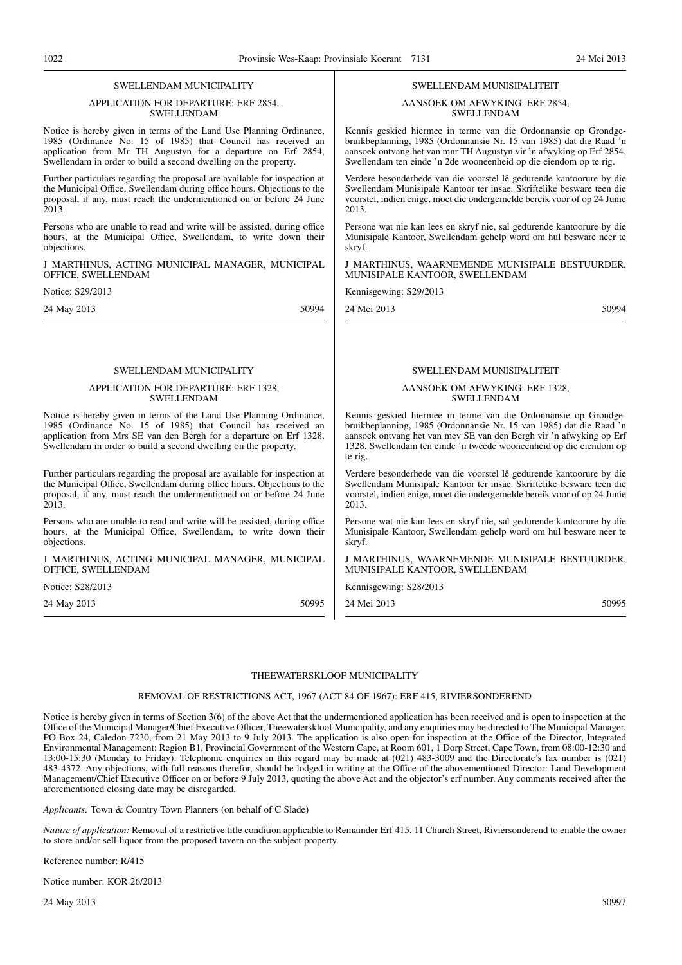#### SWELLENDAM MUNICIPALITY

#### APPLICATION FOR DEPARTURE: ERF 2854, SWELLENDAM

Notice is hereby given in terms of the Land Use Planning Ordinance, 1985 (Ordinance No. 15 of 1985) that Council has received an application from Mr TH Augustyn for a departure on Erf 2854, Swellendam in order to build a second dwelling on the property.

Further particulars regarding the proposal are available for inspection at the Municipal Office, Swellendam during office hours. Objections to the proposal, if any, must reach the undermentioned on or before 24 June 2013.

Persons who are unable to read and write will be assisted, during office hours, at the Municipal Office, Swellendam, to write down their objections.

J MARTHINUS, ACTING MUNICIPAL MANAGER, MUNICIPAL OFFICE, SWELLENDAM

Notice: S29/2013

24 May 2013 50994

#### SWELLENDAM MUNICIPALITY

#### APPLICATION FOR DEPARTURE: ERF 1328, SWELLENDAM

Notice is hereby given in terms of the Land Use Planning Ordinance, 1985 (Ordinance No. 15 of 1985) that Council has received an application from Mrs SE van den Bergh for a departure on Erf 1328, Swellendam in order to build a second dwelling on the property.

Further particulars regarding the proposal are available for inspection at the Municipal Office, Swellendam during office hours. Objections to the proposal, if any, must reach the undermentioned on or before 24 June 2013.

Persons who are unable to read and write will be assisted, during office hours, at the Municipal Office, Swellendam, to write down their objections.

J MARTHINUS, ACTING MUNICIPAL MANAGER, MUNICIPAL OFFICE, SWELLENDAM

Notice: S28/2013

24 May 2013 50995

#### SWELLENDAM MUNISIPALITEIT

#### AANSOEK OM AFWYKING: ERF 2854, SWELLENDAM

Kennis geskied hiermee in terme van die Ordonnansie op Grondgebruikbeplanning, 1985 (Ordonnansie Nr. 15 van 1985) dat die Raad 'n aansoek ontvang het van mnr TH Augustyn vir 'n afwyking op Erf 2854, Swellendam ten einde 'n 2de wooneenheid op die eiendom op te rig.

Verdere besonderhede van die voorstel lê gedurende kantoorure by die Swellendam Munisipale Kantoor ter insae. Skriftelike besware teen die voorstel, indien enige, moet die ondergemelde bereik voor of op 24 Junie 2013.

Persone wat nie kan lees en skryf nie, sal gedurende kantoorure by die Munisipale Kantoor, Swellendam gehelp word om hul besware neer te skryf.

J MARTHINUS, WAARNEMENDE MUNISIPALE BESTUURDER, MUNISIPALE KANTOOR, SWELLENDAM

Kennisgewing: S29/2013

24 Mei 2013 50994

#### SWELLENDAM MUNISIPALITEIT

#### AANSOEK OM AFWYKING: ERF 1328, SWELLENDAM

Kennis geskied hiermee in terme van die Ordonnansie op Grondgebruikbeplanning, 1985 (Ordonnansie Nr. 15 van 1985) dat die Raad 'n aansoek ontvang het van mev SE van den Bergh vir 'n afwyking op Erf 1328, Swellendam ten einde 'n tweede wooneenheid op die eiendom op te rig.

Verdere besonderhede van die voorstel lê gedurende kantoorure by die Swellendam Munisipale Kantoor ter insae. Skriftelike besware teen die voorstel, indien enige, moet die ondergemelde bereik voor of op 24 Junie 2013.

Persone wat nie kan lees en skryf nie, sal gedurende kantoorure by die Munisipale Kantoor, Swellendam gehelp word om hul besware neer te skryf.

J MARTHINUS, WAARNEMENDE MUNISIPALE BESTUURDER, MUNISIPALE KANTOOR, SWELLENDAM

Kennisgewing: S28/2013

24 Mei 2013 50995

#### THEEWATERSKLOOF MUNICIPALITY

#### REMOVAL OF RESTRICTIONS ACT, 1967 (ACT 84 OF 1967): ERF 415, RIVIERSONDEREND

Notice is hereby given in terms of Section 3(6) of the above Act that the undermentioned application has been received and is open to inspection at the Office of the Municipal Manager/Chief Executive Officer, Theewaterskloof Municipality, and any enquiries may be directed to The Municipal Manager, PO Box 24, Caledon 7230, from 21 May 2013 to 9 July 2013. The application is also open for inspection at the Office of the Director, Integrated Environmental Management: Region B1, Provincial Government of the Western Cape, at Room 601, 1 Dorp Street, Cape Town, from 08:00-12:30 and 13:00-15:30 (Monday to Friday). Telephonic enquiries in this regard may be made at (021) 483-3009 and the Directorate's fax number is (021) 483-4372. Any objections, with full reasons therefor, should be lodged in writing at the Office of the abovementioned Director: Land Development Management/Chief Executive Officer on or before 9 July 2013, quoting the above Act and the objector's erf number. Any comments received after the aforementioned closing date may be disregarded.

*Applicants:* Town & Country Town Planners (on behalf of C Slade)

*Nature of application:* Removal of a restrictive title condition applicable to Remainder Erf 415, 11 Church Street, Riviersonderend to enable the owner to store and/or sell liquor from the proposed tavern on the subject property.

#### Reference number: R/415

Notice number: KOR 26/2013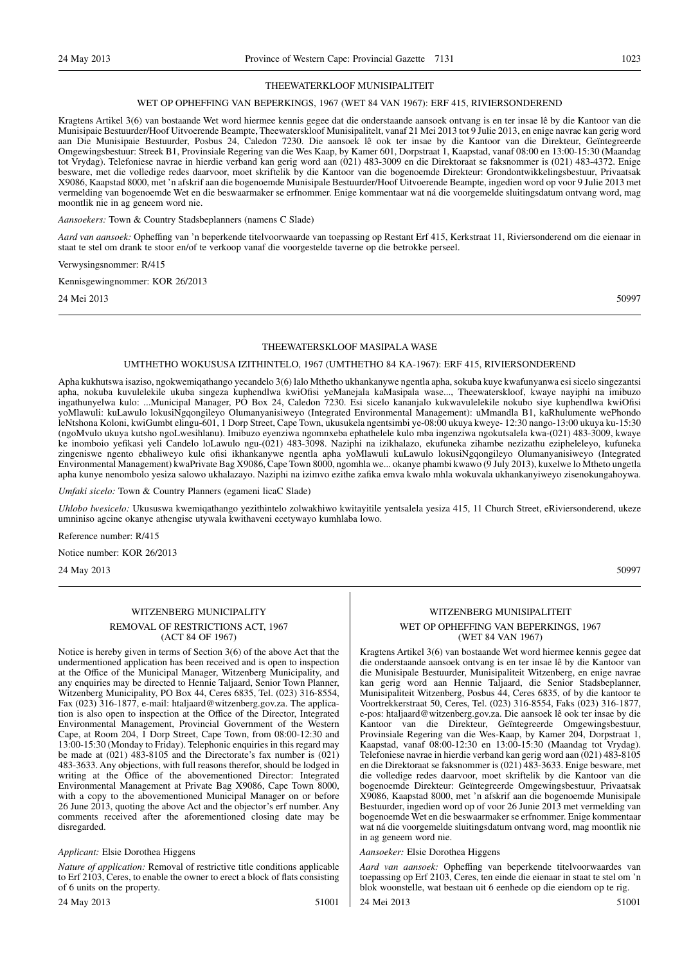#### THEEWATERKLOOF MUNISIPALITEIT

#### WET OP OPHEFFING VAN BEPERKINGS, 1967 (WET 84 VAN 1967): ERF 415, RIVIERSONDEREND

Kragtens Artikel 3(6) van bostaande Wet word hiermee kennis gegee dat die onderstaande aansoek ontvang is en ter insae lê by die Kantoor van die Munisipaie Bestuurder/Hoof Uitvoerende Beampte, Theewaterskloof Munisipalitelt, vanaf 21 Mei 2013 tot 9 Julie 2013, en enige navrae kan gerig word aan Die Munisipaie Bestuurder, Posbus 24, Caledon 7230. Die aansoek lê ook ter insae by die Kantoor van die Direkteur, Geïntegreerde Omgewingsbestuur: Streek B1, Provinsiale Regering van die Wes Kaap, by Kamer 601, Dorpstraat 1, Kaapstad, vanaf 08:00 en 13:00-15:30 (Maandag tot Vrydag). Telefoniese navrae in hierdie verband kan gerig word aan (021) 483-3009 en die Direktoraat se faksnommer is (021) 483-4372. Enige besware, met die volledige redes daarvoor, moet skriftelik by die Kantoor van die bogenoemde Direkteur: Grondontwikkelingsbestuur, Privaatsak X9086, Kaapstad 8000, met 'n afskrif aan die bogenoemde Munisipale Bestuurder/Hoof Uitvoerende Beampte, ingedien word op voor 9 Julie 2013 met vermelding van bogenoemde Wet en die beswaarmaker se erfnommer. Enige kommentaar wat ná die voorgemelde sluitingsdatum ontvang word, mag moontlik nie in ag geneem word nie.

*Aansoekers:* Town & Country Stadsbeplanners (namens C Slade)

*Aard van aansoek:* Opheffing van 'n beperkende titelvoorwaarde van toepassing op Restant Erf 415, Kerkstraat 11, Riviersonderend om die eienaar in staat te stel om drank te stoor en/of te verkoop vanaf die voorgestelde taverne op die betrokke perseel.

Verwysingsnommer: R/415

Kennisgewingnommer: KOR 26/2013

24 Mei 2013 50997

#### THEEWATERSKLOOF MASIPALA WASE

#### UMTHETHO WOKUSUSA IZITHINTELO, 1967 (UMTHETHO 84 KA-1967): ERF 415, RIVIERSONDEREND

Apha kukhutswa isaziso, ngokwemiqathango yecandelo 3(6) lalo Mthetho ukhankanywe ngentla apha, sokuba kuye kwafunyanwa esi sicelo singezantsi apha, nokuba kuvulelekile ukuba singeza kuphendlwa kwiOfisi yeManejala kaMasipala wase..., Theewaterskloof, kwaye nayiphi na imibuzo ingathunyelwa kulo: ...Municipal Manager, PO Box 24, Caledon 7230. Esi sicelo kananjalo kukwavulelekile nokubo siye kuphendlwa kwiOfisi yoMlawuli: kuLawulo lokusiNgqongileyo Olumanyanisiweyo (Integrated Environmental Management): uMmandla B1, kaRhulumente wePhondo leNtshona Koloni, kwiGumbt elingu-601, 1 Dorp Street, Cape Town, ukusukela ngentsimbi ye-08:00 ukuya kweye- 12:30 nango-13:00 ukuya ku-15:30 (ngoMvulo ukuya kutsho ngoLwesihlanu). Imibuzo eyenziwa ngomnxeba ephathelele kulo mba ingenziwa ngokutsalela kwa-(021) 483-3009, kwaye ke inomboio yefikasi yeli Candelo loLawulo ngu-(021) 483-3098. Naziphi na izikhalazo, ekufuneka zihambe nezizathu ezipheleleyo, kufuneka zingeniswe ngento ebhaliweyo kule ofisi ikhankanywe ngentla apha yoMlawuli kuLawulo lokusiNgqongileyo Olumanyanisiweyo (Integrated Environmental Management) kwaPrivate Bag X9086, Cape Town 8000, ngomhla we... okanye phambi kwawo (9 July 2013), kuxelwe lo Mtheto ungetla apha kunye nenombolo yesiza salowo ukhalazayo. Naziphi na izimvo ezithe zafika emva kwalo mhla wokuvala ukhankanyiweyo zisenokungahoywa.

*Umfaki sicelo:* Town & Country Planners (egameni licaC Slade)

*Uhlobo lwesicelo:* Ukususwa kwemiqathango yezithintelo zolwakhiwo kwitayitile yentsalela yesiza 415, 11 Church Street, eRiviersonderend, ukeze umniniso agcine okanye athengise utywala kwithaveni ecetywayo kumhlaba lowo.

Reference number: R/415

Notice number: KOR 26/2013

24 May 2013 50997

#### WITZENBERG MUNICIPALITY

REMOVAL OF RESTRICTIONS ACT, 1967 (ACT 84 OF 1967)

Notice is hereby given in terms of Section 3(6) of the above Act that the undermentioned application has been received and is open to inspection at the Office of the Municipal Manager, Witzenberg Municipality, and any enquiries may be directed to Hennie Taljaard, Senior Town Planner, Witzenberg Municipality, PO Box 44, Ceres 6835, Tel. (023) 316-8554, Fax (023) 316-1877, e-mail: htaljaard@witzenberg.gov.za. The application is also open to inspection at the Office of the Director, Integrated Environmental Management, Provincial Government of the Western Cape, at Room 204, 1 Dorp Street, Cape Town, from 08:00-12:30 and 13:00-15:30 (Monday to Friday). Telephonic enquiries in this regard may be made at (021) 483-8105 and the Directorate's fax number is (021) 483-3633. Any objections, with full reasons therefor, should be lodged in writing at the Office of the abovementioned Director: Integrated Environmental Management at Private Bag X9086, Cape Town 8000, with a copy to the abovementioned Municipal Manager on or before 26 June 2013, quoting the above Act and the objector's erf number. Any comments received after the aforementioned closing date may be disregarded.

#### *Applicant:* Elsie Dorothea Higgens

*Nature of application:* Removal of restrictive title conditions applicable to Erf 2103, Ceres, to enable the owner to erect a block of flats consisting of 6 units on the property.

24 May 2013 51001

## WITZENBERG MUNISIPALITEIT

#### WET OP OPHEFFING VAN BEPERKINGS, 1967 (WET 84 VAN 1967)

Kragtens Artikel 3(6) van bostaande Wet word hiermee kennis gegee dat die onderstaande aansoek ontvang is en ter insae lê by die Kantoor van die Munisipale Bestuurder, Munisipaliteit Witzenberg, en enige navrae kan gerig word aan Hennie Taljaard, die Senior Stadsbeplanner, Munisipaliteit Witzenberg, Posbus 44, Ceres 6835, of by die kantoor te Voortrekkerstraat 50, Ceres, Tel. (023) 316-8554, Faks (023) 316-1877, e-pos: htaljaard@witzenberg.gov.za. Die aansoek lê ook ter insae by die Kantoor van die Direkteur, Geïntegreerde Omgewingsbestuur, Provinsiale Regering van die Wes-Kaap, by Kamer 204, Dorpstraat 1, Kaapstad, vanaf 08:00-12:30 en 13:00-15:30 (Maandag tot Vrydag). Telefoniese navrae in hierdie verband kan gerig word aan (021) 483-8105 en die Direktoraat se faksnommer is (021) 483-3633. Enige besware, met die volledige redes daarvoor, moet skriftelik by die Kantoor van die bogenoemde Direkteur: Geïntegreerde Omgewingsbestuur, Privaatsak X9086, Kaapstad 8000, met 'n afskrif aan die bogenoemde Munisipale Bestuurder, ingedien word op of voor 26 Junie 2013 met vermelding van bogenoemde Wet en die beswaarmaker se erfnommer. Enige kommentaar wat ná die voorgemelde sluitingsdatum ontvang word, mag moontlik nie in ag geneem word nie.

#### *Aansoeker:* Elsie Dorothea Higgens

*Aard van aansoek:* Opheffing van beperkende titelvoorwaardes van toepassing op Erf 2103, Ceres, ten einde die eienaar in staat te stel om 'n blok woonstelle, wat bestaan uit 6 eenhede op die eiendom op te rig. 24 Mei 2013 51001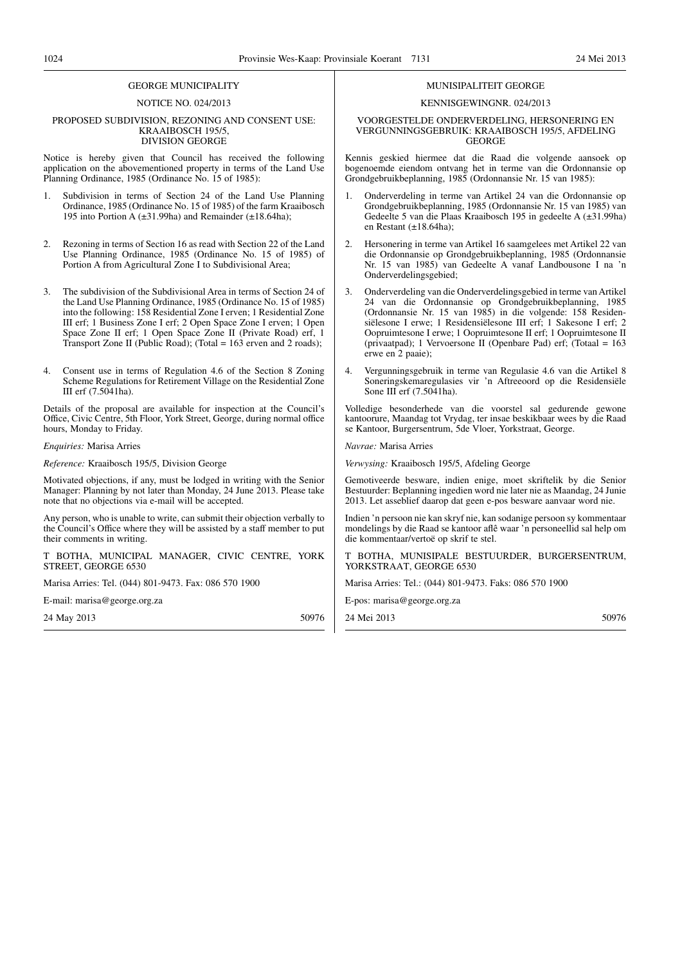#### GEORGE MUNICIPALITY

#### NOTICE NO. 024/2013

#### PROPOSED SUBDIVISION, REZONING AND CONSENT USE: KRAAIBOSCH 195/5, DIVISION GEORGE

Notice is hereby given that Council has received the following application on the abovementioned property in terms of the Land Use Planning Ordinance, 1985 (Ordinance No. 15 of 1985):

- 1. Subdivision in terms of Section 24 of the Land Use Planning Ordinance, 1985 (Ordinance No. 15 of 1985) of the farm Kraaibosch 195 into Portion A (±31.99ha) and Remainder (±18.64ha);
- 2. Rezoning in terms of Section 16 as read with Section 22 of the Land Use Planning Ordinance, 1985 (Ordinance No. 15 of 1985) of Portion A from Agricultural Zone I to Subdivisional Area;
- The subdivision of the Subdivisional Area in terms of Section 24 of the Land Use Planning Ordinance, 1985 (Ordinance No. 15 of 1985) into the following: 158 Residential Zone I erven; 1 Residential Zone III erf; 1 Business Zone I erf; 2 Open Space Zone I erven; 1 Open Space Zone II erf; 1 Open Space Zone II (Private Road) erf, 1 Transport Zone II (Public Road); (Total = 163 erven and 2 roads);
- 4. Consent use in terms of Regulation 4.6 of the Section 8 Zoning Scheme Regulations for Retirement Village on the Residential Zone III erf (7.5041ha).

Details of the proposal are available for inspection at the Council's Office, Civic Centre, 5th Floor, York Street, George, during normal office hours, Monday to Friday.

#### *Enquiries:* Marisa Arries

*Reference:* Kraaibosch 195/5, Division George

Motivated objections, if any, must be lodged in writing with the Senior Manager: Planning by not later than Monday, 24 June 2013. Please take note that no objections via e-mail will be accepted.

Any person, who is unable to write, can submit their objection verbally to the Council's Office where they will be assisted by a staff member to put their comments in writing.

T BOTHA, MUNICIPAL MANAGER, CIVIC CENTRE, YORK STREET, GEORGE 6530

Marisa Arries: Tel. (044) 801-9473. Fax: 086 570 1900

E-mail: marisa@george.org.za

24 May 2013 50976

#### MUNISIPALITEIT GEORGE

#### KENNISGEWINGNR. 024/2013

#### VOORGESTELDE ONDERVERDELING, HERSONERING EN VERGUNNINGSGEBRUIK: KRAAIBOSCH 195/5, AFDELING GEORGE

Kennis geskied hiermee dat die Raad die volgende aansoek op bogenoemde eiendom ontvang het in terme van die Ordonnansie op Grondgebruikbeplanning, 1985 (Ordonnansie Nr. 15 van 1985):

- 1. Onderverdeling in terme van Artikel 24 van die Ordonnansie op Grondgebruikbeplanning, 1985 (Ordonnansie Nr. 15 van 1985) van Gedeelte 5 van die Plaas Kraaibosch 195 in gedeelte A (±31.99ha) en Restant (±18.64ha);
- 2. Hersonering in terme van Artikel 16 saamgelees met Artikel 22 van die Ordonnansie op Grondgebruikbeplanning, 1985 (Ordonnansie Nr. 15 van 1985) van Gedeelte A vanaf Landbousone I na 'n Onderverdelingsgebied;
- 3. Onderverdeling van die Onderverdelingsgebied in terme van Artikel 24 van die Ordonnansie op Grondgebruikbeplanning, 1985 (Ordonnansie Nr. 15 van 1985) in die volgende: 158 Residensiëlesone I erwe; 1 Residensiëlesone III erf; 1 Sakesone I erf; 2 Oopruimtesone I erwe; 1 Oopruimtesone II erf; 1 Oopruimtesone II (privaatpad); 1 Vervoersone II (Openbare Pad) erf; (Totaal = 163 erwe en 2 paaie);
- 4. Vergunningsgebruik in terme van Regulasie 4.6 van die Artikel 8 Soneringskemaregulasies vir 'n Aftreeoord op die Residensiële Sone III erf (7.5041ha).

Volledige besonderhede van die voorstel sal gedurende gewone kantoorure, Maandag tot Vrydag, ter insae beskikbaar wees by die Raad se Kantoor, Burgersentrum, 5de Vloer, Yorkstraat, George.

*Navrae:* Marisa Arries

*Verwysing:* Kraaibosch 195/5, Afdeling George

Gemotiveerde besware, indien enige, moet skriftelik by die Senior Bestuurder: Beplanning ingedien word nie later nie as Maandag, 24 Junie 2013. Let asseblief daarop dat geen e-pos besware aanvaar word nie.

Indien 'n persoon nie kan skryf nie, kan sodanige persoon sy kommentaar mondelings by die Raad se kantoor aflê waar 'n personeellid sal help om die kommentaar/vertoë op skrif te stel.

T BOTHA, MUNISIPALE BESTUURDER, BURGERSENTRUM, YORKSTRAAT, GEORGE 6530

Marisa Arries: Tel.: (044) 801-9473. Faks: 086 570 1900

E-pos: marisa@george.org.za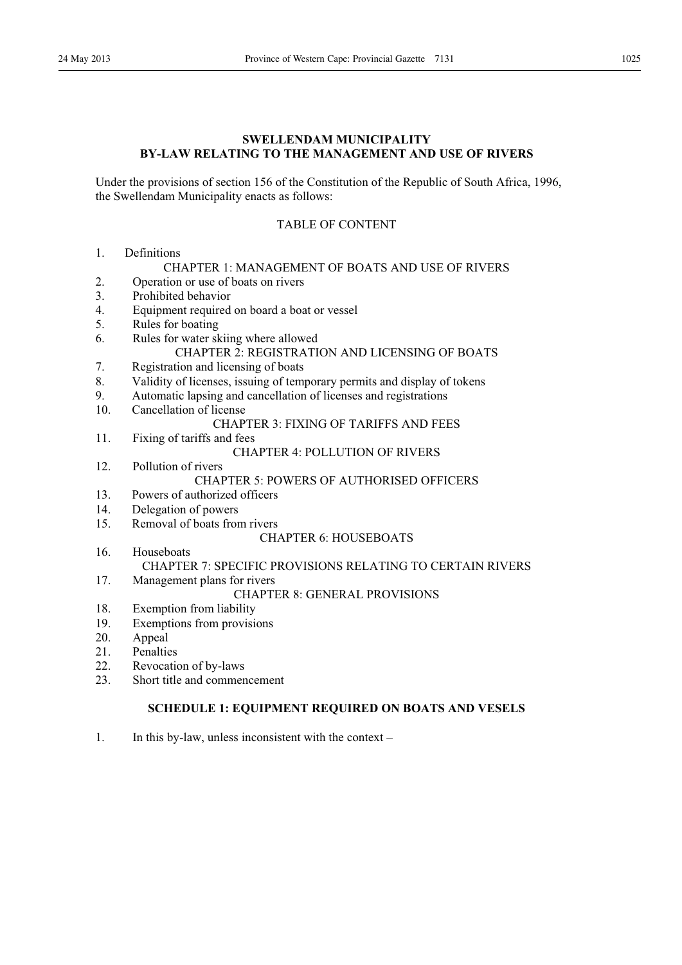## **SWELLENDAM MUNICIPALITY BY-LAW RELATING TO THE MANAGEMENT AND USE OF RIVERS**

Under the provisions of section 156 of the Constitution of the Republic of South Africa, 1996, the Swellendam Municipality enacts as follows:

## TABLE OF CONTENT

1. Definitions

#### CHAPTER 1: MANAGEMENT OF BOATS AND USE OF RIVERS

- 2. Operation or use of boats on rivers
- 3. Prohibited behavior
- 4. Equipment required on board a boat or vessel
- 5. Rules for boating
- 6. Rules for water skiing where allowed CHAPTER 2: REGISTRATION AND LICENSING OF BOATS
- 7. Registration and licensing of boats
- 8. Validity of licenses, issuing of temporary permits and display of tokens
- 9. Automatic lapsing and cancellation of licenses and registrations
- 10. Cancellation of license

## CHAPTER 3: FIXING OF TARIFFS AND FEES

11. Fixing of tariffs and fees

## CHAPTER 4: POLLUTION OF RIVERS

- 12. Pollution of rivers CHAPTER 5: POWERS OF AUTHORISED OFFICERS
- 13. Powers of authorized officers
- 14. Delegation of powers
- 15. Removal of boats from rivers

## CHAPTER 6: HOUSEBOATS

16. Houseboats CHAPTER 7: SPECIFIC PROVISIONS RELATING TO CERTAIN RIVERS 17. Management plans for rivers

## CHAPTER 8: GENERAL PROVISIONS

- 18. Exemption from liability
- 19. Exemptions from provisions
- 20. Appeal
- 21. Penalties
- 22. Revocation of by-laws
- 23. Short title and commencement

## **SCHEDULE 1: EQUIPMENT REQUIRED ON BOATS AND VESELS**

1. In this by-law, unless inconsistent with the context –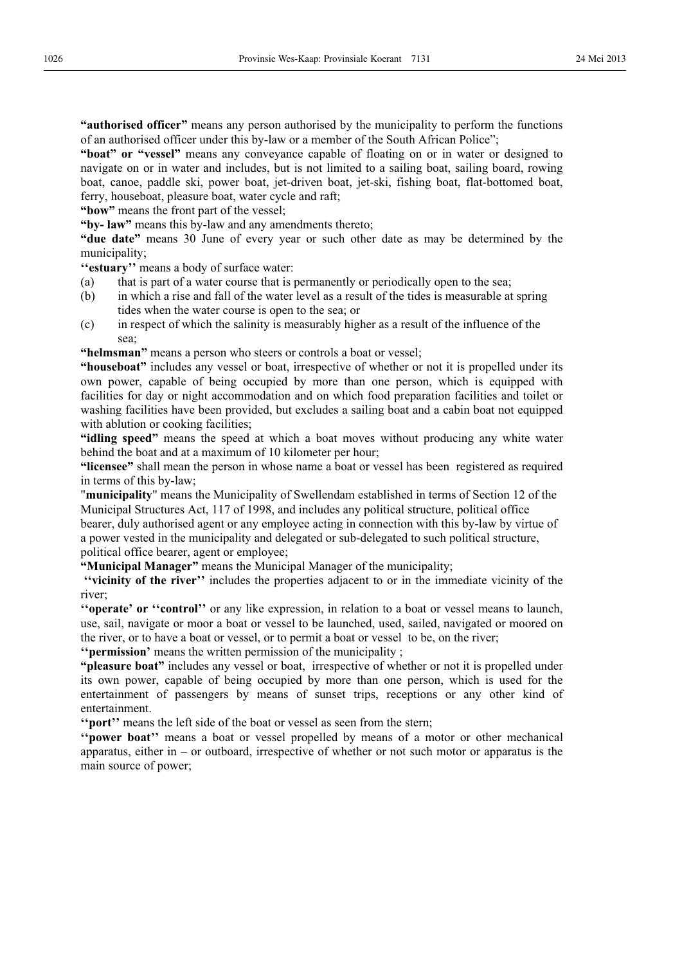**"authorised officer"** means any person authorised by the municipality to perform the functions of an authorised officer under this by-law or a member of the South African Police";

**"boat" or "vessel"** means any conveyance capable of floating on or in water or designed to navigate on or in water and includes, but is not limited to a sailing boat, sailing board, rowing boat, canoe, paddle ski, power boat, jet-driven boat, jet-ski, fishing boat, flat-bottomed boat, ferry, houseboat, pleasure boat, water cycle and raft;

**"bow"** means the front part of the vessel;

**"by- law"** means this by-law and any amendments thereto;

**"due date"** means 30 June of every year or such other date as may be determined by the municipality;

**''estuary''** means a body of surface water:

- (a) that is part of a water course that is permanently or periodically open to the sea;
- (b) in which a rise and fall of the water level as a result of the tides is measurable at spring tides when the water course is open to the sea; or
- (c) in respect of which the salinity is measurably higher as a result of the influence of the sea;

**"helmsman"** means a person who steers or controls a boat or vessel;

**"houseboat"** includes any vessel or boat, irrespective of whether or not it is propelled under its own power, capable of being occupied by more than one person, which is equipped with facilities for day or night accommodation and on which food preparation facilities and toilet or washing facilities have been provided, but excludes a sailing boat and a cabin boat not equipped with ablution or cooking facilities;

**"idling speed"** means the speed at which a boat moves without producing any white water behind the boat and at a maximum of 10 kilometer per hour;

**"licensee"** shall mean the person in whose name a boat or vessel has been registered as required in terms of this by-law;

"**municipality**" means the Municipality of Swellendam established in terms of Section 12 of the Municipal Structures Act, 117 of 1998, and includes any political structure, political office

bearer, duly authorised agent or any employee acting in connection with this by-law by virtue of a power vested in the municipality and delegated or sub-delegated to such political structure, political office bearer, agent or employee;

**"Municipal Manager"** means the Municipal Manager of the municipality;

 **''vicinity of the river''** includes the properties adjacent to or in the immediate vicinity of the river;

**''operate' or ''control''** or any like expression, in relation to a boat or vessel means to launch, use, sail, navigate or moor a boat or vessel to be launched, used, sailed, navigated or moored on the river, or to have a boat or vessel, or to permit a boat or vessel to be, on the river;

**''permission'** means the written permission of the municipality ;

**"pleasure boat"** includes any vessel or boat, irrespective of whether or not it is propelled under its own power, capable of being occupied by more than one person, which is used for the entertainment of passengers by means of sunset trips, receptions or any other kind of entertainment.

**''port''** means the left side of the boat or vessel as seen from the stern;

**''power boat''** means a boat or vessel propelled by means of a motor or other mechanical apparatus, either in – or outboard, irrespective of whether or not such motor or apparatus is the main source of power;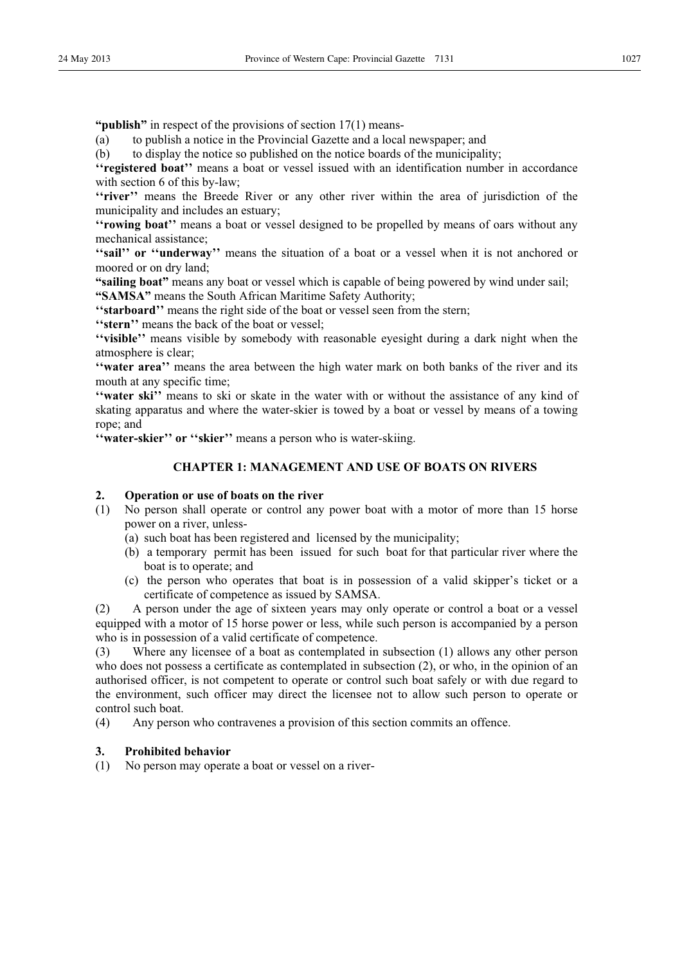**"publish"** in respect of the provisions of section 17(1) means-

(a) to publish a notice in the Provincial Gazette and a local newspaper; and

(b) to display the notice so published on the notice boards of the municipality;

**''registered boat''** means a boat or vessel issued with an identification number in accordance with section 6 of this by-law;

**''river''** means the Breede River or any other river within the area of jurisdiction of the municipality and includes an estuary;

**''rowing boat''** means a boat or vessel designed to be propelled by means of oars without any mechanical assistance;

"sail" or "underway" means the situation of a boat or a vessel when it is not anchored or moored or on dry land;

**"sailing boat"** means any boat or vessel which is capable of being powered by wind under sail;

**"SAMSA"** means the South African Maritime Safety Authority;

**''starboard''** means the right side of the boat or vessel seen from the stern;

**''stern''** means the back of the boat or vessel;

**''visible''** means visible by somebody with reasonable eyesight during a dark night when the atmosphere is clear;

**''water area''** means the area between the high water mark on both banks of the river and its mouth at any specific time;

**''water ski''** means to ski or skate in the water with or without the assistance of any kind of skating apparatus and where the water-skier is towed by a boat or vessel by means of a towing rope; and

"water-skier" or "skier" means a person who is water-skiing.

## **CHAPTER 1: MANAGEMENT AND USE OF BOATS ON RIVERS**

## **2. Operation or use of boats on the river**

- (1) No person shall operate or control any power boat with a motor of more than 15 horse power on a river, unless-
	- (a) such boat has been registered and licensed by the municipality;
	- (b) a temporary permit has been issued for such boat for that particular river where the boat is to operate; and
	- (c) the person who operates that boat is in possession of a valid skipper's ticket or a certificate of competence as issued by SAMSA.

(2) A person under the age of sixteen years may only operate or control a boat or a vessel equipped with a motor of 15 horse power or less, while such person is accompanied by a person who is in possession of a valid certificate of competence.

(3) Where any licensee of a boat as contemplated in subsection (1) allows any other person who does not possess a certificate as contemplated in subsection (2), or who, in the opinion of an authorised officer, is not competent to operate or control such boat safely or with due regard to the environment, such officer may direct the licensee not to allow such person to operate or control such boat.

(4) Any person who contravenes a provision of this section commits an offence.

## **3. Prohibited behavior**

(1) No person may operate a boat or vessel on a river-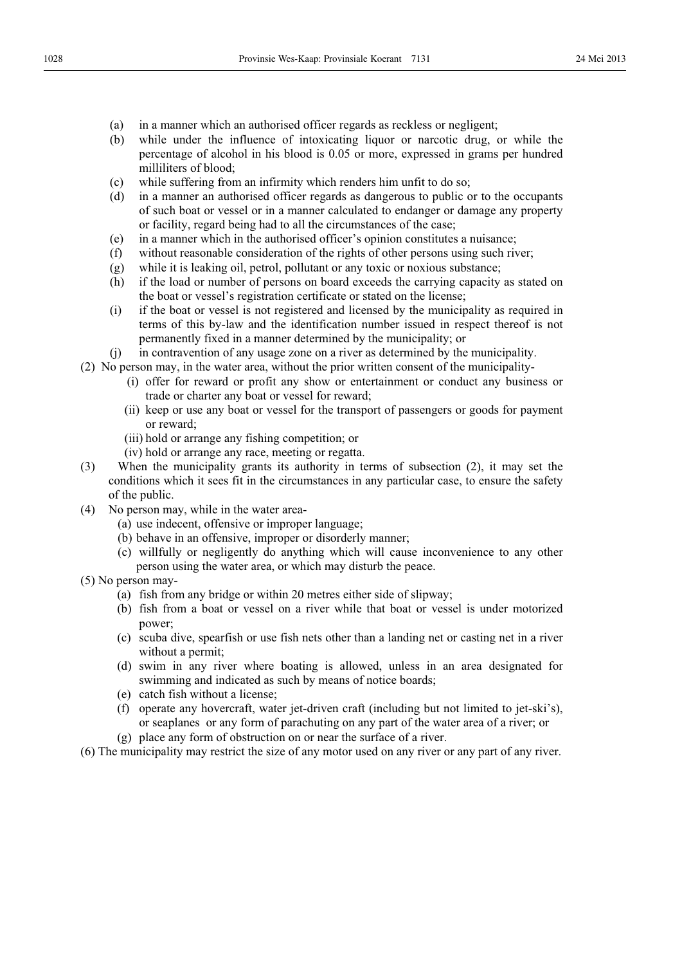- (a) in a manner which an authorised officer regards as reckless or negligent;
- (b) while under the influence of intoxicating liquor or narcotic drug, or while the percentage of alcohol in his blood is 0.05 or more, expressed in grams per hundred milliliters of blood;
- (c) while suffering from an infirmity which renders him unfit to do so;
- (d) in a manner an authorised officer regards as dangerous to public or to the occupants of such boat or vessel or in a manner calculated to endanger or damage any property or facility, regard being had to all the circumstances of the case;
- (e) in a manner which in the authorised officer's opinion constitutes a nuisance;
- (f) without reasonable consideration of the rights of other persons using such river;
- (g) while it is leaking oil, petrol, pollutant or any toxic or noxious substance;
- (h) if the load or number of persons on board exceeds the carrying capacity as stated on the boat or vessel's registration certificate or stated on the license;
- (i) if the boat or vessel is not registered and licensed by the municipality as required in terms of this by-law and the identification number issued in respect thereof is not permanently fixed in a manner determined by the municipality; or
- (j) in contravention of any usage zone on a river as determined by the municipality.
- (2) No person may, in the water area, without the prior written consent of the municipality-
	- (i) offer for reward or profit any show or entertainment or conduct any business or trade or charter any boat or vessel for reward;
	- (ii) keep or use any boat or vessel for the transport of passengers or goods for payment or reward;
	- (iii) hold or arrange any fishing competition; or
	- (iv) hold or arrange any race, meeting or regatta.
- (3) When the municipality grants its authority in terms of subsection (2), it may set the conditions which it sees fit in the circumstances in any particular case, to ensure the safety of the public.
- (4) No person may, while in the water area-
	- (a) use indecent, offensive or improper language;
	- (b) behave in an offensive, improper or disorderly manner;
	- (c) willfully or negligently do anything which will cause inconvenience to any other person using the water area, or which may disturb the peace.
- (5) No person may-
	- (a) fish from any bridge or within 20 metres either side of slipway;
	- (b) fish from a boat or vessel on a river while that boat or vessel is under motorized power;
	- (c) scuba dive, spearfish or use fish nets other than a landing net or casting net in a river without a permit;
	- (d) swim in any river where boating is allowed, unless in an area designated for swimming and indicated as such by means of notice boards;
	- (e) catch fish without a license;
	- (f) operate any hovercraft, water jet-driven craft (including but not limited to jet-ski's), or seaplanes or any form of parachuting on any part of the water area of a river; or
	- (g) place any form of obstruction on or near the surface of a river.
- (6) The municipality may restrict the size of any motor used on any river or any part of any river.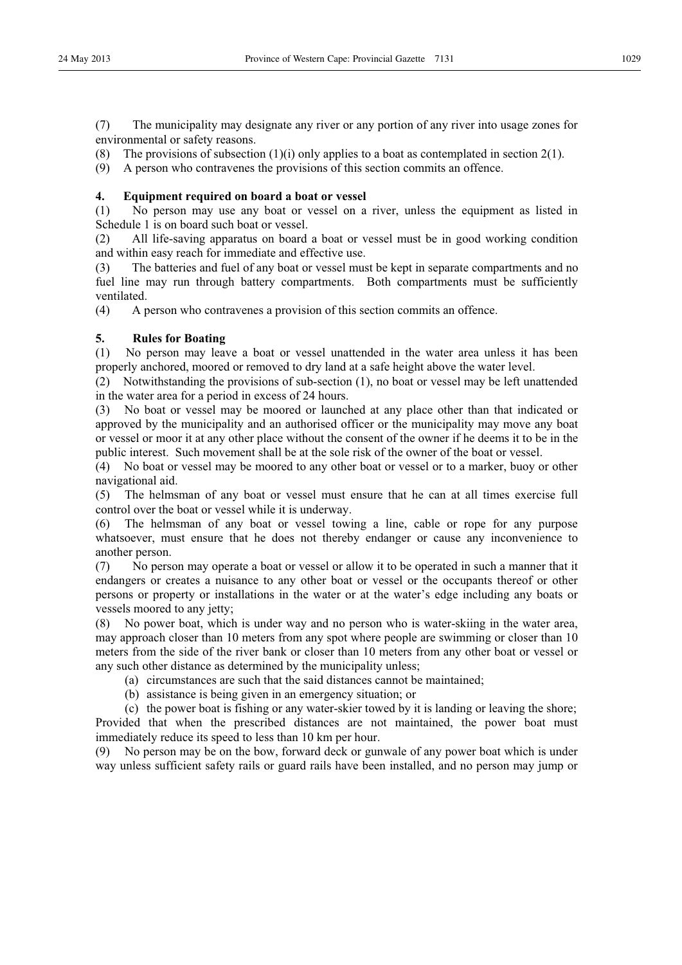(7) The municipality may designate any river or any portion of any river into usage zones for environmental or safety reasons.

(8) The provisions of subsection  $(1)(i)$  only applies to a boat as contemplated in section  $2(1)$ .

(9) A person who contravenes the provisions of this section commits an offence.

## **4. Equipment required on board a boat or vessel**

(1) No person may use any boat or vessel on a river, unless the equipment as listed in Schedule 1 is on board such boat or vessel.

(2) All life-saving apparatus on board a boat or vessel must be in good working condition and within easy reach for immediate and effective use.

(3) The batteries and fuel of any boat or vessel must be kept in separate compartments and no fuel line may run through battery compartments. Both compartments must be sufficiently ventilated.

(4) A person who contravenes a provision of this section commits an offence.

## **5. Rules for Boating**

(1) No person may leave a boat or vessel unattended in the water area unless it has been properly anchored, moored or removed to dry land at a safe height above the water level.

(2) Notwithstanding the provisions of sub-section (1), no boat or vessel may be left unattended in the water area for a period in excess of 24 hours.

(3) No boat or vessel may be moored or launched at any place other than that indicated or approved by the municipality and an authorised officer or the municipality may move any boat or vessel or moor it at any other place without the consent of the owner if he deems it to be in the public interest. Such movement shall be at the sole risk of the owner of the boat or vessel.

(4) No boat or vessel may be moored to any other boat or vessel or to a marker, buoy or other navigational aid.

(5) The helmsman of any boat or vessel must ensure that he can at all times exercise full control over the boat or vessel while it is underway.

(6) The helmsman of any boat or vessel towing a line, cable or rope for any purpose whatsoever, must ensure that he does not thereby endanger or cause any inconvenience to another person.

(7) No person may operate a boat or vessel or allow it to be operated in such a manner that it endangers or creates a nuisance to any other boat or vessel or the occupants thereof or other persons or property or installations in the water or at the water's edge including any boats or vessels moored to any jetty;

(8) No power boat, which is under way and no person who is water-skiing in the water area, may approach closer than 10 meters from any spot where people are swimming or closer than 10 meters from the side of the river bank or closer than 10 meters from any other boat or vessel or any such other distance as determined by the municipality unless;

- (a) circumstances are such that the said distances cannot be maintained;
- (b) assistance is being given in an emergency situation; or

(c) the power boat is fishing or any water-skier towed by it is landing or leaving the shore; Provided that when the prescribed distances are not maintained, the power boat must immediately reduce its speed to less than 10 km per hour.

(9) No person may be on the bow, forward deck or gunwale of any power boat which is under way unless sufficient safety rails or guard rails have been installed, and no person may jump or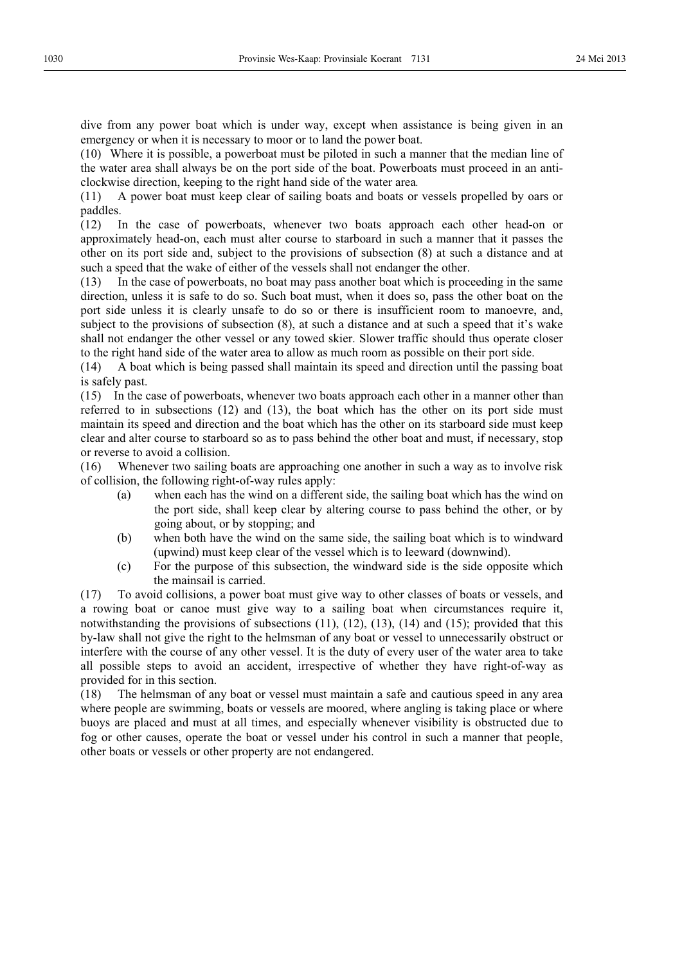dive from any power boat which is under way, except when assistance is being given in an emergency or when it is necessary to moor or to land the power boat.

(10) Where it is possible, a powerboat must be piloted in such a manner that the median line of the water area shall always be on the port side of the boat. Powerboats must proceed in an anticlockwise direction, keeping to the right hand side of the water area*.* 

(11) A power boat must keep clear of sailing boats and boats or vessels propelled by oars or paddles.

(12) In the case of powerboats, whenever two boats approach each other head-on or approximately head-on, each must alter course to starboard in such a manner that it passes the other on its port side and, subject to the provisions of subsection (8) at such a distance and at such a speed that the wake of either of the vessels shall not endanger the other.

(13) In the case of powerboats, no boat may pass another boat which is proceeding in the same direction, unless it is safe to do so. Such boat must, when it does so, pass the other boat on the port side unless it is clearly unsafe to do so or there is insufficient room to manoevre, and, subject to the provisions of subsection (8), at such a distance and at such a speed that it's wake shall not endanger the other vessel or any towed skier. Slower traffic should thus operate closer to the right hand side of the water area to allow as much room as possible on their port side.

(14) A boat which is being passed shall maintain its speed and direction until the passing boat is safely past.

(15) In the case of powerboats, whenever two boats approach each other in a manner other than referred to in subsections (12) and (13), the boat which has the other on its port side must maintain its speed and direction and the boat which has the other on its starboard side must keep clear and alter course to starboard so as to pass behind the other boat and must, if necessary, stop or reverse to avoid a collision.

(16) Whenever two sailing boats are approaching one another in such a way as to involve risk of collision, the following right-of-way rules apply:

- (a) when each has the wind on a different side, the sailing boat which has the wind on the port side, shall keep clear by altering course to pass behind the other, or by going about, or by stopping; and
- (b) when both have the wind on the same side, the sailing boat which is to windward (upwind) must keep clear of the vessel which is to leeward (downwind).
- (c) For the purpose of this subsection, the windward side is the side opposite which the mainsail is carried.

(17) To avoid collisions, a power boat must give way to other classes of boats or vessels, and a rowing boat or canoe must give way to a sailing boat when circumstances require it, notwithstanding the provisions of subsections  $(11)$ ,  $(12)$ ,  $(13)$ ,  $(14)$  and  $(15)$ ; provided that this by-law shall not give the right to the helmsman of any boat or vessel to unnecessarily obstruct or interfere with the course of any other vessel. It is the duty of every user of the water area to take all possible steps to avoid an accident, irrespective of whether they have right-of-way as provided for in this section.

(18) The helmsman of any boat or vessel must maintain a safe and cautious speed in any area where people are swimming, boats or vessels are moored, where angling is taking place or where buoys are placed and must at all times, and especially whenever visibility is obstructed due to fog or other causes, operate the boat or vessel under his control in such a manner that people, other boats or vessels or other property are not endangered.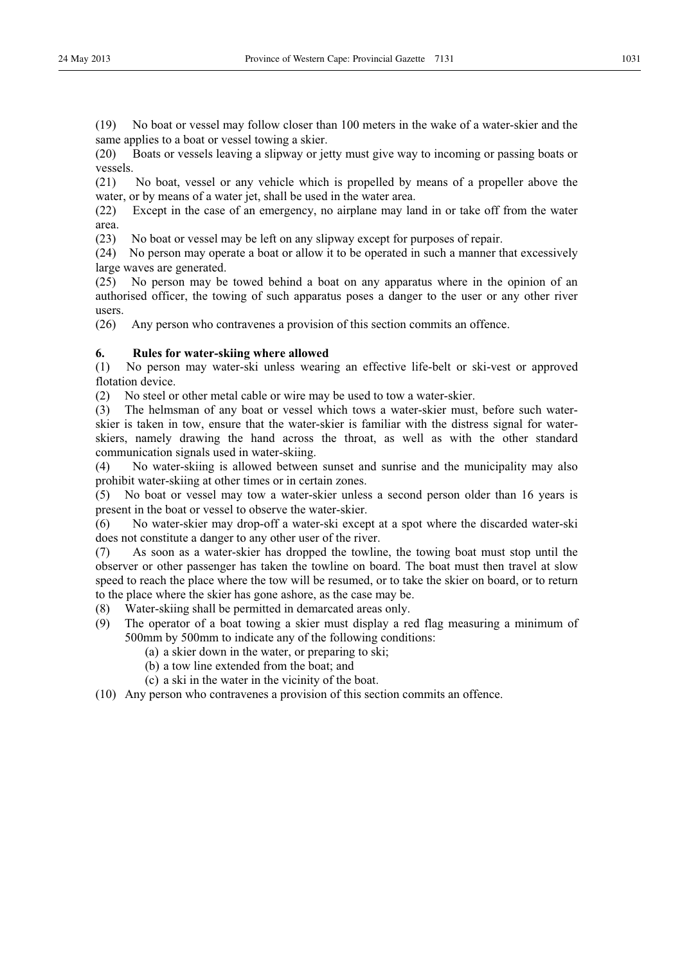(19) No boat or vessel may follow closer than 100 meters in the wake of a water-skier and the same applies to a boat or vessel towing a skier.

(20) Boats or vessels leaving a slipway or jetty must give way to incoming or passing boats or vessels.

(21) No boat, vessel or any vehicle which is propelled by means of a propeller above the water, or by means of a water jet, shall be used in the water area.

(22) Except in the case of an emergency, no airplane may land in or take off from the water area.

(23) No boat or vessel may be left on any slipway except for purposes of repair.

(24) No person may operate a boat or allow it to be operated in such a manner that excessively large waves are generated.

(25) No person may be towed behind a boat on any apparatus where in the opinion of an authorised officer, the towing of such apparatus poses a danger to the user or any other river users.

(26) Any person who contravenes a provision of this section commits an offence.

#### **6. Rules for water-skiing where allowed**

(1) No person may water-ski unless wearing an effective life-belt or ski-vest or approved flotation device.

(2) No steel or other metal cable or wire may be used to tow a water-skier.

(3) The helmsman of any boat or vessel which tows a water-skier must, before such waterskier is taken in tow, ensure that the water-skier is familiar with the distress signal for waterskiers, namely drawing the hand across the throat, as well as with the other standard communication signals used in water-skiing.

(4) No water-skiing is allowed between sunset and sunrise and the municipality may also prohibit water-skiing at other times or in certain zones.

(5) No boat or vessel may tow a water-skier unless a second person older than 16 years is present in the boat or vessel to observe the water-skier.

(6) No water-skier may drop-off a water-ski except at a spot where the discarded water-ski does not constitute a danger to any other user of the river.

(7) As soon as a water-skier has dropped the towline, the towing boat must stop until the observer or other passenger has taken the towline on board. The boat must then travel at slow speed to reach the place where the tow will be resumed, or to take the skier on board, or to return to the place where the skier has gone ashore, as the case may be.

- (8) Water-skiing shall be permitted in demarcated areas only.
- (9) The operator of a boat towing a skier must display a red flag measuring a minimum of 500mm by 500mm to indicate any of the following conditions:
	- (a) a skier down in the water, or preparing to ski;
	- (b) a tow line extended from the boat; and
	- (c) a ski in the water in the vicinity of the boat.

(10) Any person who contravenes a provision of this section commits an offence.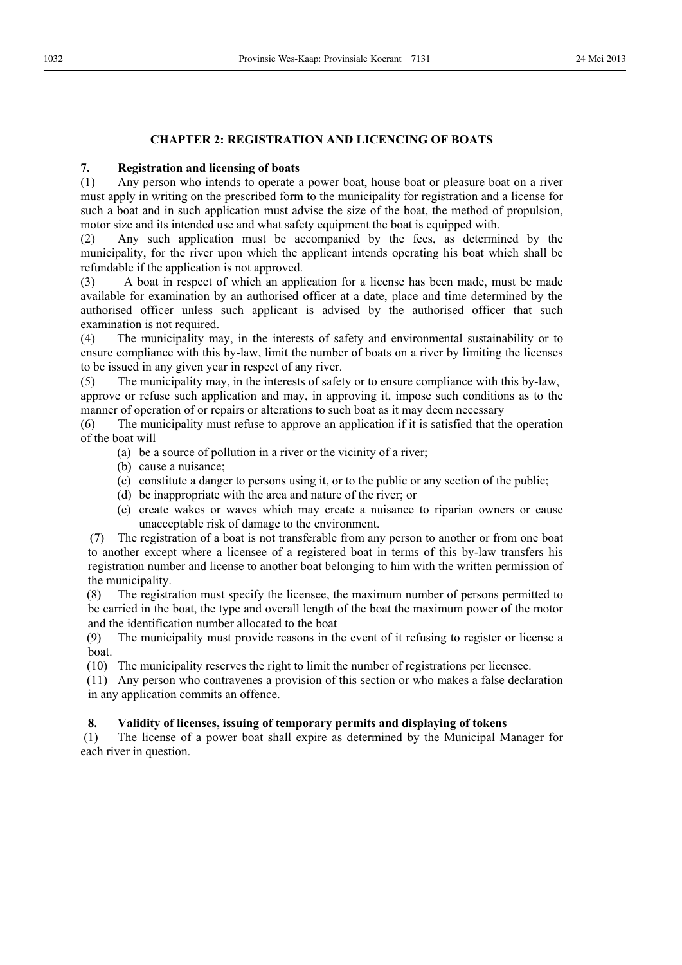## **CHAPTER 2: REGISTRATION AND LICENCING OF BOATS**

## **7. Registration and licensing of boats**

(1) Any person who intends to operate a power boat, house boat or pleasure boat on a river must apply in writing on the prescribed form to the municipality for registration and a license for such a boat and in such application must advise the size of the boat, the method of propulsion, motor size and its intended use and what safety equipment the boat is equipped with.

(2) Any such application must be accompanied by the fees, as determined by the municipality, for the river upon which the applicant intends operating his boat which shall be refundable if the application is not approved.

(3) A boat in respect of which an application for a license has been made, must be made available for examination by an authorised officer at a date, place and time determined by the authorised officer unless such applicant is advised by the authorised officer that such examination is not required.

(4) The municipality may, in the interests of safety and environmental sustainability or to ensure compliance with this by-law, limit the number of boats on a river by limiting the licenses to be issued in any given year in respect of any river.

(5) The municipality may, in the interests of safety or to ensure compliance with this by-law, approve or refuse such application and may, in approving it, impose such conditions as to the manner of operation of or repairs or alterations to such boat as it may deem necessary

(6) The municipality must refuse to approve an application if it is satisfied that the operation of the boat will –

- (a) be a source of pollution in a river or the vicinity of a river;
- (b) cause a nuisance;
- (c) constitute a danger to persons using it, or to the public or any section of the public;
- (d) be inappropriate with the area and nature of the river; or
- (e) create wakes or waves which may create a nuisance to riparian owners or cause unacceptable risk of damage to the environment.

(7) The registration of a boat is not transferable from any person to another or from one boat to another except where a licensee of a registered boat in terms of this by-law transfers his registration number and license to another boat belonging to him with the written permission of the municipality.

(8) The registration must specify the licensee, the maximum number of persons permitted to be carried in the boat, the type and overall length of the boat the maximum power of the motor and the identification number allocated to the boat

(9) The municipality must provide reasons in the event of it refusing to register or license a boat.

(10) The municipality reserves the right to limit the number of registrations per licensee.

(11) Any person who contravenes a provision of this section or who makes a false declaration in any application commits an offence.

## **8. Validity of licenses, issuing of temporary permits and displaying of tokens**

 (1) The license of a power boat shall expire as determined by the Municipal Manager for each river in question.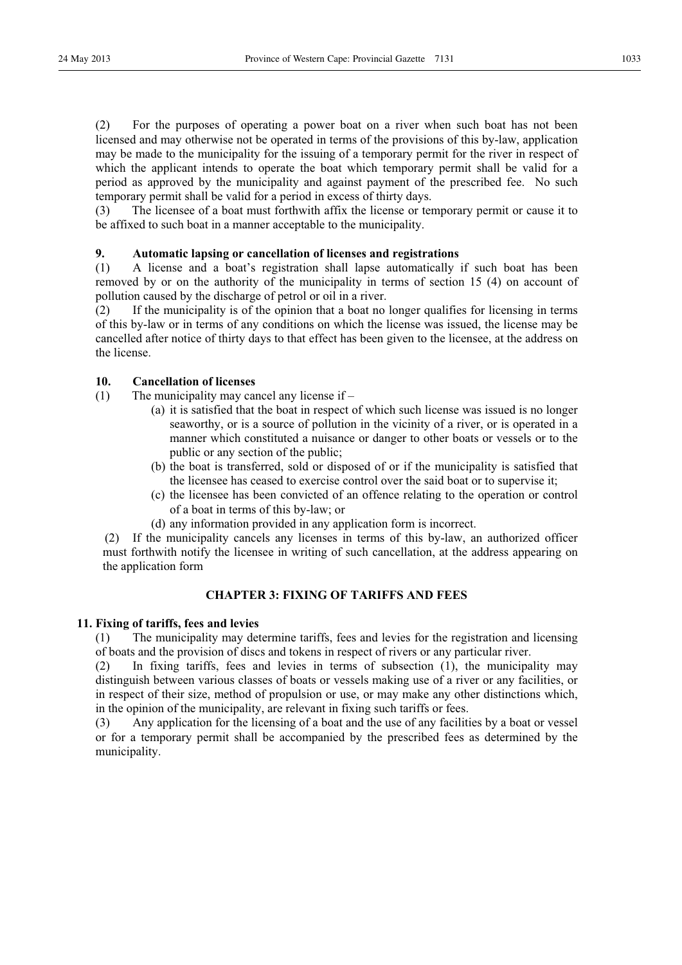which the applicant intends to operate the boat which temporary permit shall be valid for a period as approved by the municipality and against payment of the prescribed fee. No such temporary permit shall be valid for a period in excess of thirty days.

(3) The licensee of a boat must forthwith affix the license or temporary permit or cause it to be affixed to such boat in a manner acceptable to the municipality.

## **9. Automatic lapsing or cancellation of licenses and registrations**

(1) A license and a boat's registration shall lapse automatically if such boat has been removed by or on the authority of the municipality in terms of section 15 (4) on account of pollution caused by the discharge of petrol or oil in a river.

(2) If the municipality is of the opinion that a boat no longer qualifies for licensing in terms of this by-law or in terms of any conditions on which the license was issued, the license may be cancelled after notice of thirty days to that effect has been given to the licensee, at the address on the license.

## **10. Cancellation of licenses**

- (1) The municipality may cancel any license if
	- (a) it is satisfied that the boat in respect of which such license was issued is no longer seaworthy, or is a source of pollution in the vicinity of a river, or is operated in a manner which constituted a nuisance or danger to other boats or vessels or to the public or any section of the public;
	- (b) the boat is transferred, sold or disposed of or if the municipality is satisfied that the licensee has ceased to exercise control over the said boat or to supervise it;
	- (c) the licensee has been convicted of an offence relating to the operation or control of a boat in terms of this by-law; or
	- (d) any information provided in any application form is incorrect.

(2) If the municipality cancels any licenses in terms of this by-law, an authorized officer must forthwith notify the licensee in writing of such cancellation, at the address appearing on the application form

## **CHAPTER 3: FIXING OF TARIFFS AND FEES**

## **11. Fixing of tariffs, fees and levies**

(1) The municipality may determine tariffs, fees and levies for the registration and licensing of boats and the provision of discs and tokens in respect of rivers or any particular river.

(2) In fixing tariffs, fees and levies in terms of subsection (1), the municipality may distinguish between various classes of boats or vessels making use of a river or any facilities, or in respect of their size, method of propulsion or use, or may make any other distinctions which, in the opinion of the municipality, are relevant in fixing such tariffs or fees.

(3) Any application for the licensing of a boat and the use of any facilities by a boat or vessel or for a temporary permit shall be accompanied by the prescribed fees as determined by the municipality.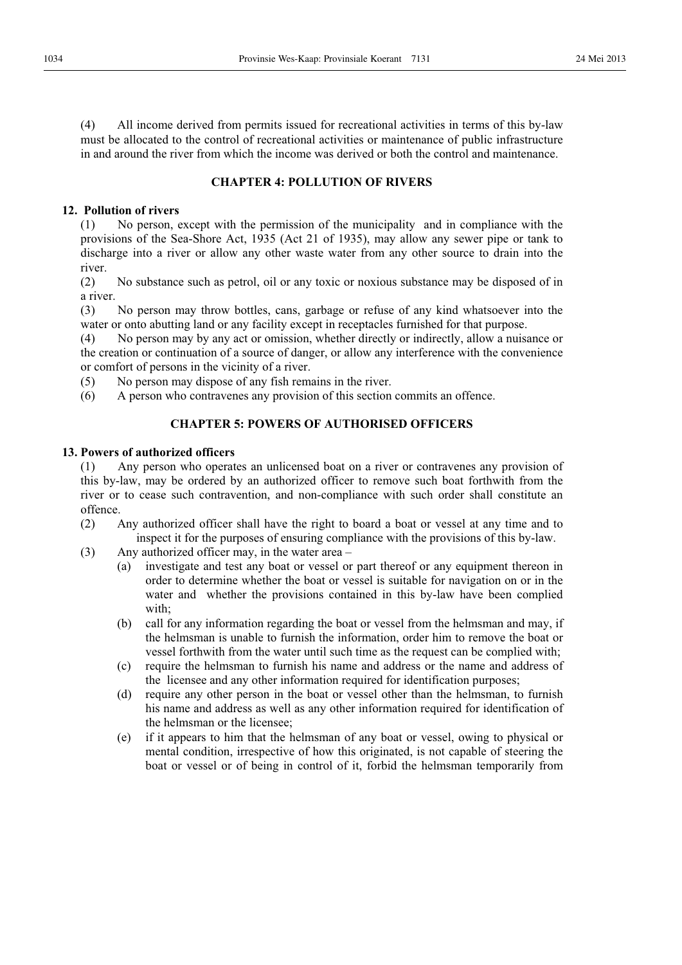(4) All income derived from permits issued for recreational activities in terms of this by-law must be allocated to the control of recreational activities or maintenance of public infrastructure in and around the river from which the income was derived or both the control and maintenance.

## **CHAPTER 4: POLLUTION OF RIVERS**

## **12. Pollution of rivers**

(1) No person, except with the permission of the municipality and in compliance with the provisions of the Sea-Shore Act, 1935 (Act 21 of 1935), may allow any sewer pipe or tank to discharge into a river or allow any other waste water from any other source to drain into the river.

(2) No substance such as petrol, oil or any toxic or noxious substance may be disposed of in a river.

(3) No person may throw bottles, cans, garbage or refuse of any kind whatsoever into the water or onto abutting land or any facility except in receptacles furnished for that purpose.

(4) No person may by any act or omission, whether directly or indirectly, allow a nuisance or the creation or continuation of a source of danger, or allow any interference with the convenience or comfort of persons in the vicinity of a river.

- (5) No person may dispose of any fish remains in the river.
- (6) A person who contravenes any provision of this section commits an offence.

## **CHAPTER 5: POWERS OF AUTHORISED OFFICERS**

## **13. Powers of authorized officers**

(1) Any person who operates an unlicensed boat on a river or contravenes any provision of this by-law, may be ordered by an authorized officer to remove such boat forthwith from the river or to cease such contravention, and non-compliance with such order shall constitute an offence.

- (2) Any authorized officer shall have the right to board a boat or vessel at any time and to inspect it for the purposes of ensuring compliance with the provisions of this by-law.
- (3) Any authorized officer may, in the water area
	- (a) investigate and test any boat or vessel or part thereof or any equipment thereon in order to determine whether the boat or vessel is suitable for navigation on or in the water and whether the provisions contained in this by-law have been complied with;
	- (b) call for any information regarding the boat or vessel from the helmsman and may, if the helmsman is unable to furnish the information, order him to remove the boat or vessel forthwith from the water until such time as the request can be complied with;
	- (c) require the helmsman to furnish his name and address or the name and address of the licensee and any other information required for identification purposes;
	- (d) require any other person in the boat or vessel other than the helmsman, to furnish his name and address as well as any other information required for identification of the helmsman or the licensee;
	- (e) if it appears to him that the helmsman of any boat or vessel, owing to physical or mental condition, irrespective of how this originated, is not capable of steering the boat or vessel or of being in control of it, forbid the helmsman temporarily from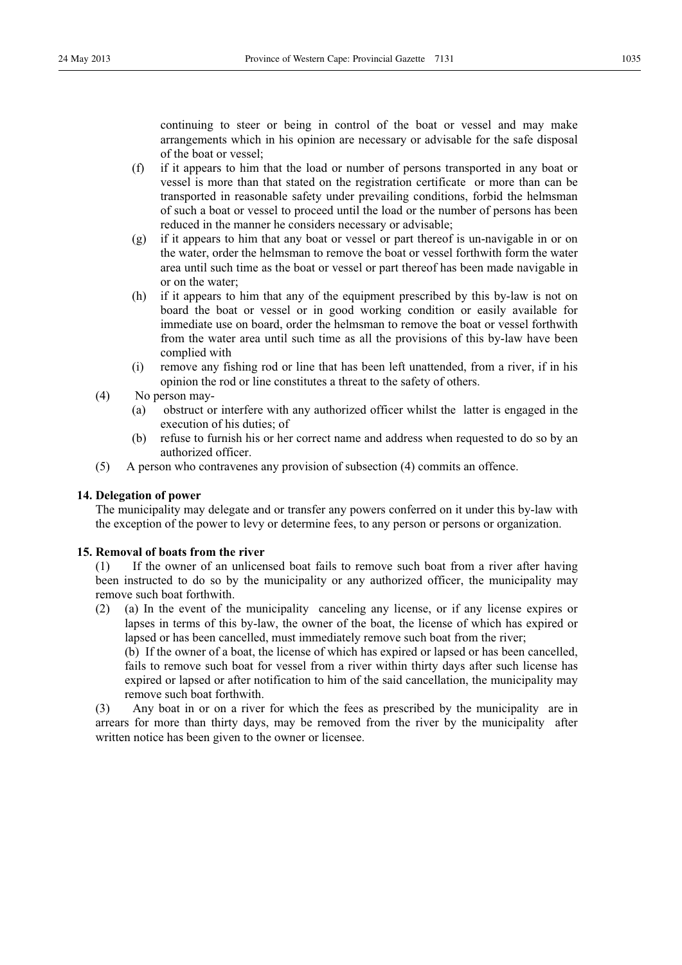continuing to steer or being in control of the boat or vessel and may make arrangements which in his opinion are necessary or advisable for the safe disposal of the boat or vessel;

- (f) if it appears to him that the load or number of persons transported in any boat or vessel is more than that stated on the registration certificate or more than can be transported in reasonable safety under prevailing conditions, forbid the helmsman of such a boat or vessel to proceed until the load or the number of persons has been reduced in the manner he considers necessary or advisable;
- (g) if it appears to him that any boat or vessel or part thereof is un-navigable in or on the water, order the helmsman to remove the boat or vessel forthwith form the water area until such time as the boat or vessel or part thereof has been made navigable in or on the water;
- (h) if it appears to him that any of the equipment prescribed by this by-law is not on board the boat or vessel or in good working condition or easily available for immediate use on board, order the helmsman to remove the boat or vessel forthwith from the water area until such time as all the provisions of this by-law have been complied with
- (i) remove any fishing rod or line that has been left unattended, from a river, if in his opinion the rod or line constitutes a threat to the safety of others.
- (4) No person may-
	- (a) obstruct or interfere with any authorized officer whilst the latter is engaged in the execution of his duties; of
	- (b) refuse to furnish his or her correct name and address when requested to do so by an authorized officer.
- (5) A person who contravenes any provision of subsection (4) commits an offence.

## **14. Delegation of power**

The municipality may delegate and or transfer any powers conferred on it under this by-law with the exception of the power to levy or determine fees, to any person or persons or organization.

#### **15. Removal of boats from the river**

(1) If the owner of an unlicensed boat fails to remove such boat from a river after having been instructed to do so by the municipality or any authorized officer, the municipality may remove such boat forthwith.

(2) (a) In the event of the municipality canceling any license, or if any license expires or lapses in terms of this by-law, the owner of the boat, the license of which has expired or lapsed or has been cancelled, must immediately remove such boat from the river;

(b) If the owner of a boat, the license of which has expired or lapsed or has been cancelled, fails to remove such boat for vessel from a river within thirty days after such license has expired or lapsed or after notification to him of the said cancellation, the municipality may remove such boat forthwith.

(3) Any boat in or on a river for which the fees as prescribed by the municipality are in arrears for more than thirty days, may be removed from the river by the municipality after written notice has been given to the owner or licensee.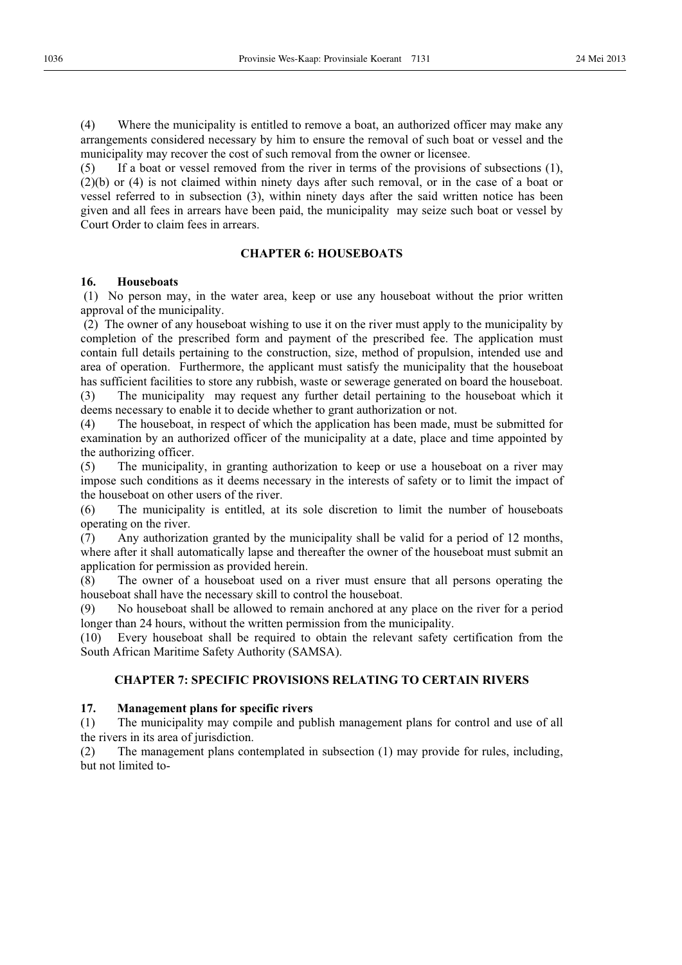(4) Where the municipality is entitled to remove a boat, an authorized officer may make any arrangements considered necessary by him to ensure the removal of such boat or vessel and the municipality may recover the cost of such removal from the owner or licensee.

(5) If a boat or vessel removed from the river in terms of the provisions of subsections (1), (2)(b) or (4) is not claimed within ninety days after such removal, or in the case of a boat or vessel referred to in subsection (3), within ninety days after the said written notice has been given and all fees in arrears have been paid, the municipality may seize such boat or vessel by Court Order to claim fees in arrears.

## **CHAPTER 6: HOUSEBOATS**

## **16. Houseboats**

 (1) No person may, in the water area, keep or use any houseboat without the prior written approval of the municipality.

 (2) The owner of any houseboat wishing to use it on the river must apply to the municipality by completion of the prescribed form and payment of the prescribed fee. The application must contain full details pertaining to the construction, size, method of propulsion, intended use and area of operation. Furthermore, the applicant must satisfy the municipality that the houseboat has sufficient facilities to store any rubbish, waste or sewerage generated on board the houseboat.

(3) The municipality may request any further detail pertaining to the houseboat which it deems necessary to enable it to decide whether to grant authorization or not.

(4) The houseboat, in respect of which the application has been made, must be submitted for examination by an authorized officer of the municipality at a date, place and time appointed by the authorizing officer.

(5) The municipality, in granting authorization to keep or use a houseboat on a river may impose such conditions as it deems necessary in the interests of safety or to limit the impact of the houseboat on other users of the river.

(6) The municipality is entitled, at its sole discretion to limit the number of houseboats operating on the river.

(7) Any authorization granted by the municipality shall be valid for a period of 12 months, where after it shall automatically lapse and thereafter the owner of the houseboat must submit an application for permission as provided herein.

(8) The owner of a houseboat used on a river must ensure that all persons operating the houseboat shall have the necessary skill to control the houseboat.

(9) No houseboat shall be allowed to remain anchored at any place on the river for a period longer than 24 hours, without the written permission from the municipality.

(10) Every houseboat shall be required to obtain the relevant safety certification from the South African Maritime Safety Authority (SAMSA).

## **CHAPTER 7: SPECIFIC PROVISIONS RELATING TO CERTAIN RIVERS**

## **17. Management plans for specific rivers**

(1) The municipality may compile and publish management plans for control and use of all the rivers in its area of jurisdiction.

(2) The management plans contemplated in subsection (1) may provide for rules, including, but not limited to-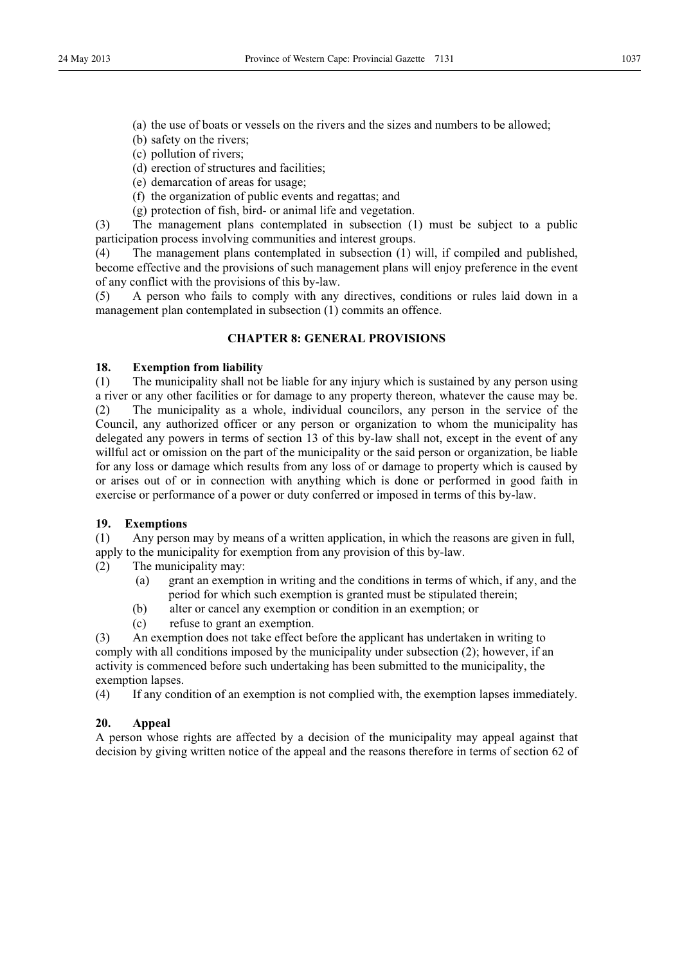- (a) the use of boats or vessels on the rivers and the sizes and numbers to be allowed;
- (b) safety on the rivers;
- (c) pollution of rivers;
- (d) erection of structures and facilities;
- (e) demarcation of areas for usage;
- (f) the organization of public events and regattas; and
- (g) protection of fish, bird- or animal life and vegetation.

(3) The management plans contemplated in subsection (1) must be subject to a public participation process involving communities and interest groups.

(4) The management plans contemplated in subsection (1) will, if compiled and published, become effective and the provisions of such management plans will enjoy preference in the event of any conflict with the provisions of this by-law.

(5) A person who fails to comply with any directives, conditions or rules laid down in a management plan contemplated in subsection (1) commits an offence.

## **CHAPTER 8: GENERAL PROVISIONS**

## **18. Exemption from liability**

(1) The municipality shall not be liable for any injury which is sustained by any person using a river or any other facilities or for damage to any property thereon, whatever the cause may be. (2) The municipality as a whole, individual councilors, any person in the service of the Council, any authorized officer or any person or organization to whom the municipality has delegated any powers in terms of section 13 of this by-law shall not, except in the event of any willful act or omission on the part of the municipality or the said person or organization, be liable for any loss or damage which results from any loss of or damage to property which is caused by or arises out of or in connection with anything which is done or performed in good faith in exercise or performance of a power or duty conferred or imposed in terms of this by-law.

## **19. Exemptions**

(1) Any person may by means of a written application, in which the reasons are given in full, apply to the municipality for exemption from any provision of this by-law.

- (2) The municipality may:
	- (a) grant an exemption in writing and the conditions in terms of which, if any, and the period for which such exemption is granted must be stipulated therein;
	- (b) alter or cancel any exemption or condition in an exemption; or
	- (c) refuse to grant an exemption.

(3) An exemption does not take effect before the applicant has undertaken in writing to comply with all conditions imposed by the municipality under subsection (2); however, if an activity is commenced before such undertaking has been submitted to the municipality, the exemption lapses.

(4) If any condition of an exemption is not complied with, the exemption lapses immediately.

## **20. Appeal**

A person whose rights are affected by a decision of the municipality may appeal against that decision by giving written notice of the appeal and the reasons therefore in terms of section 62 of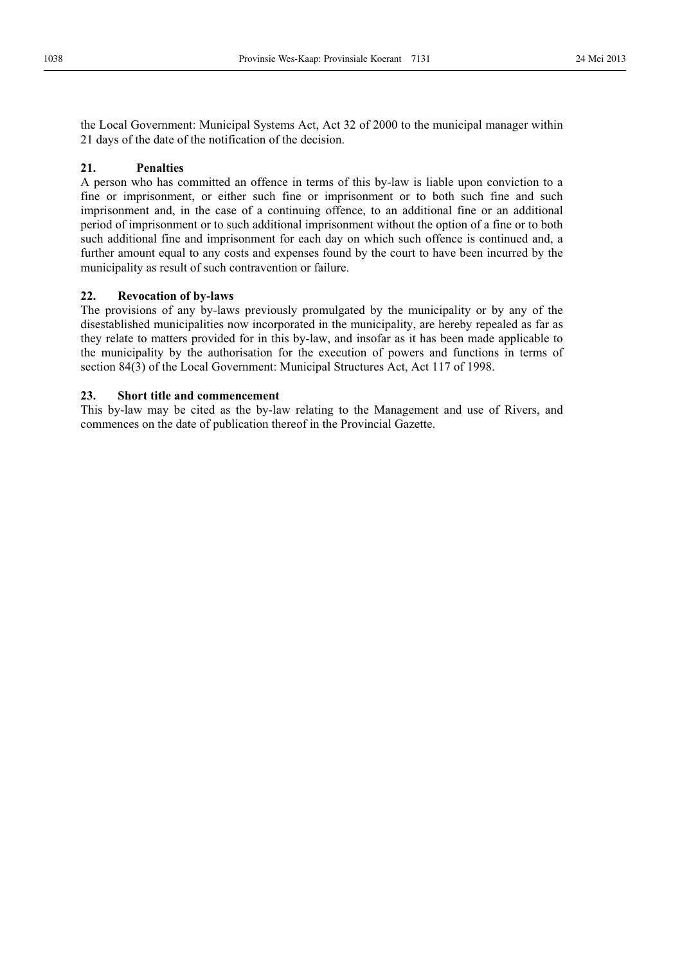the Local Government: Municipal Systems Act, Act 32 of 2000 to the municipal manager within 21 days of the date of the notification of the decision.

## **21. Penalties**

A person who has committed an offence in terms of this by-law is liable upon conviction to a fine or imprisonment, or either such fine or imprisonment or to both such fine and such imprisonment and, in the case of a continuing offence, to an additional fine or an additional period of imprisonment or to such additional imprisonment without the option of a fine or to both such additional fine and imprisonment for each day on which such offence is continued and, a further amount equal to any costs and expenses found by the court to have been incurred by the municipality as result of such contravention or failure.

## **22. Revocation of by-laws**

The provisions of any by-laws previously promulgated by the municipality or by any of the disestablished municipalities now incorporated in the municipality, are hereby repealed as far as they relate to matters provided for in this by-law, and insofar as it has been made applicable to the municipality by the authorisation for the execution of powers and functions in terms of section 84(3) of the Local Government: Municipal Structures Act, Act 117 of 1998.

## **23. Short title and commencement**

This by-law may be cited as the by-law relating to the Management and use of Rivers, and commences on the date of publication thereof in the Provincial Gazette.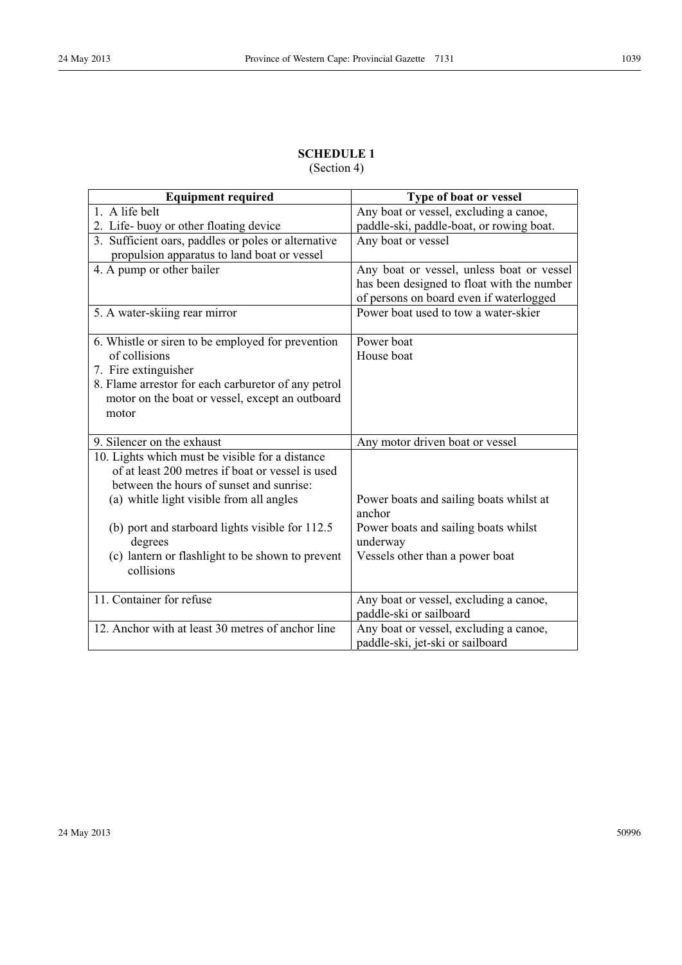## **SCHEDULE 1**

(Section 4)

| <b>Equipment required</b>                           | Type of boat or vessel                            |
|-----------------------------------------------------|---------------------------------------------------|
| 1. A life belt                                      | Any boat or vessel, excluding a canoe,            |
| 2. Life-buoy or other floating device               | paddle-ski, paddle-boat, or rowing boat.          |
| 3. Sufficient oars, paddles or poles or alternative | Any boat or vessel                                |
| propulsion apparatus to land boat or vessel         |                                                   |
| 4. A pump or other bailer                           | Any boat or vessel, unless boat or vessel         |
|                                                     | has been designed to float with the number        |
|                                                     | of persons on board even if waterlogged           |
| 5. A water-skiing rear mirror                       | Power boat used to tow a water-skier              |
| 6. Whistle or siren to be employed for prevention   | Power boat                                        |
| of collisions                                       | House boat                                        |
| 7. Fire extinguisher                                |                                                   |
| 8. Flame arrestor for each carburetor of any petrol |                                                   |
| motor on the boat or vessel, except an outboard     |                                                   |
| motor                                               |                                                   |
|                                                     |                                                   |
| 9. Silencer on the exhaust                          | Any motor driven boat or vessel                   |
| 10. Lights which must be visible for a distance     |                                                   |
| of at least 200 metres if boat or vessel is used    |                                                   |
| between the hours of sunset and sunrise:            |                                                   |
| (a) whitle light visible from all angles            | Power boats and sailing boats whilst at<br>anchor |
| (b) port and starboard lights visible for 112.5     | Power boats and sailing boats whilst              |
| degrees                                             | underway                                          |
| (c) lantern or flashlight to be shown to prevent    | Vessels other than a power boat                   |
| collisions                                          |                                                   |
|                                                     |                                                   |
| 11. Container for refuse                            | Any boat or vessel, excluding a canoe,            |
|                                                     | paddle-ski or sailboard                           |
| 12. Anchor with at least 30 metres of anchor line   | Any boat or vessel, excluding a canoe,            |
|                                                     | paddle-ski, jet-ski or sailboard                  |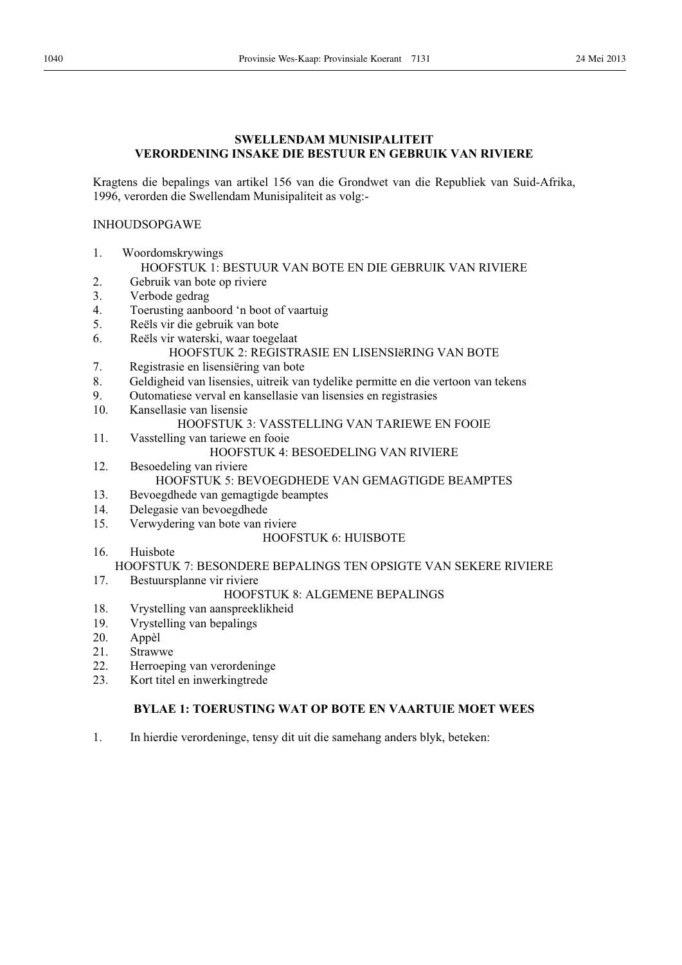## **SWELLENDAM MUNISIPALITEIT VERORDENING INSAKE DIE BESTUUR EN GEBRUIK VAN RIVIERE**

Kragtens die bepalings van artikel 156 van die Grondwet van die Republiek van Suid-Afrika, 1996, verorden die Swellendam Munisipaliteit as volg:-

## INHOUDSOPGAWE

1. Woordomskrywings

## HOOFSTUK 1: BESTUUR VAN BOTE EN DIE GEBRUIK VAN RIVIERE

- 2. Gebruik van bote op riviere
- 3. Verbode gedrag
- 4. Toerusting aanboord 'n boot of vaartuig
- 5. Reëls vir die gebruik van bote
- 6. Reëls vir waterski, waar toegelaat HOOFSTUK 2: REGISTRASIE EN LISENSIëRING VAN BOTE
- 7. Registrasie en lisensiëring van bote
- 8. Geldigheid van lisensies, uitreik van tydelike permitte en die vertoon van tekens
- 9. Outomatiese verval en kansellasie van lisensies en registrasies
- 10. Kansellasie van lisensie

## HOOFSTUK 3: VASSTELLING VAN TARIEWE EN FOOIE

- 11. Vasstelling van tariewe en fooie HOOFSTUK 4: BESOEDELING VAN RIVIERE
- 12. Besoedeling van riviere HOOFSTUK 5: BEVOEGDHEDE VAN GEMAGTIGDE BEAMPTES
- 13. Bevoegdhede van gemagtigde beamptes
- 14. Delegasie van bevoegdhede
- 15. Verwydering van bote van riviere

## HOOFSTUK 6: HUISBOTE

16. Huisbote

## HOOFSTUK 7: BESONDERE BEPALINGS TEN OPSIGTE VAN SEKERE RIVIERE

17. Bestuursplanne vir riviere

## HOOFSTUK 8: ALGEMENE BEPALINGS

- 18. Vrystelling van aanspreeklikheid
- 19. Vrystelling van bepalings
- 20. Appèl
- 21. Strawwe
- 22. Herroeping van verordeninge
- 23. Kort titel en inwerkingtrede

## **BYLAE 1: TOERUSTING WAT OP BOTE EN VAARTUIE MOET WEES**

1. In hierdie verordeninge, tensy dit uit die samehang anders blyk, beteken: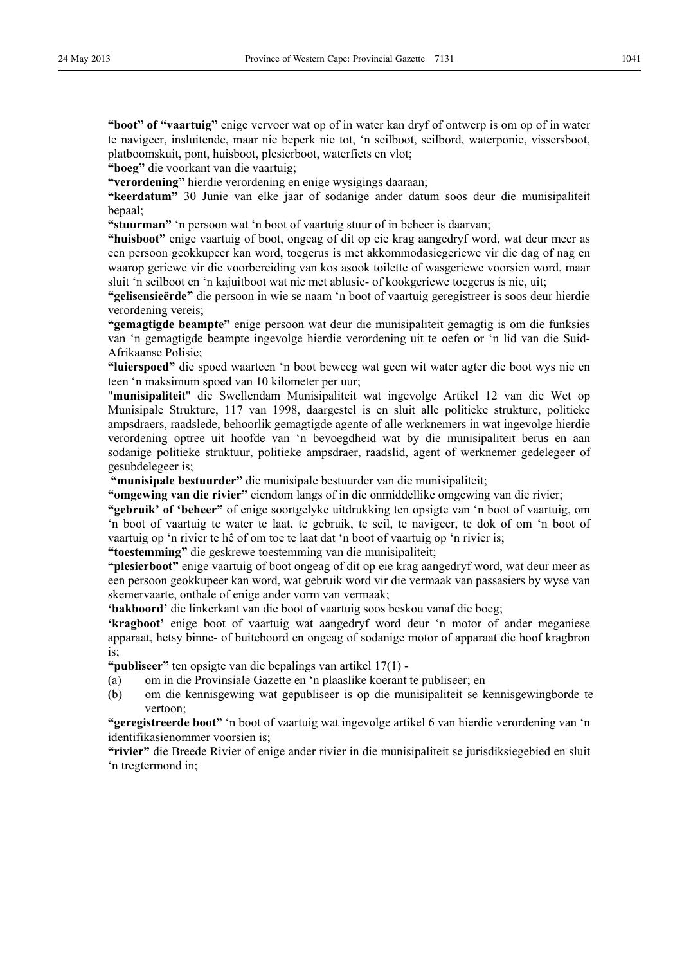**"boot" of "vaartuig"** enige vervoer wat op of in water kan dryf of ontwerp is om op of in water te navigeer, insluitende, maar nie beperk nie tot, 'n seilboot, seilbord, waterponie, vissersboot, platboomskuit, pont, huisboot, plesierboot, waterfiets en vlot;

**"boeg"** die voorkant van die vaartuig;

**"verordening"** hierdie verordening en enige wysigings daaraan;

**"keerdatum"** 30 Junie van elke jaar of sodanige ander datum soos deur die munisipaliteit bepaal;

**"stuurman"** 'n persoon wat 'n boot of vaartuig stuur of in beheer is daarvan;

**"huisboot"** enige vaartuig of boot, ongeag of dit op eie krag aangedryf word, wat deur meer as een persoon geokkupeer kan word, toegerus is met akkommodasiegeriewe vir die dag of nag en waarop geriewe vir die voorbereiding van kos asook toilette of wasgeriewe voorsien word, maar sluit 'n seilboot en 'n kajuitboot wat nie met ablusie- of kookgeriewe toegerus is nie, uit;

**"gelisensieërde"** die persoon in wie se naam 'n boot of vaartuig geregistreer is soos deur hierdie verordening vereis;

**"gemagtigde beampte"** enige persoon wat deur die munisipaliteit gemagtig is om die funksies van 'n gemagtigde beampte ingevolge hierdie verordening uit te oefen or 'n lid van die Suid-Afrikaanse Polisie;

**"luierspoed"** die spoed waarteen 'n boot beweeg wat geen wit water agter die boot wys nie en teen 'n maksimum spoed van 10 kilometer per uur;

"**munisipaliteit**" die Swellendam Munisipaliteit wat ingevolge Artikel 12 van die Wet op Munisipale Strukture, 117 van 1998, daargestel is en sluit alle politieke strukture, politieke ampsdraers, raadslede, behoorlik gemagtigde agente of alle werknemers in wat ingevolge hierdie verordening optree uit hoofde van 'n bevoegdheid wat by die munisipaliteit berus en aan sodanige politieke struktuur, politieke ampsdraer, raadslid, agent of werknemer gedelegeer of gesubdelegeer is;

 **"munisipale bestuurder"** die munisipale bestuurder van die munisipaliteit;

**"omgewing van die rivier"** eiendom langs of in die onmiddellike omgewing van die rivier;

**"gebruik' of 'beheer"** of enige soortgelyke uitdrukking ten opsigte van 'n boot of vaartuig, om 'n boot of vaartuig te water te laat, te gebruik, te seil, te navigeer, te dok of om 'n boot of vaartuig op 'n rivier te hê of om toe te laat dat 'n boot of vaartuig op 'n rivier is;

**"toestemming"** die geskrewe toestemming van die munisipaliteit;

**"plesierboot"** enige vaartuig of boot ongeag of dit op eie krag aangedryf word, wat deur meer as een persoon geokkupeer kan word, wat gebruik word vir die vermaak van passasiers by wyse van skemervaarte, onthale of enige ander vorm van vermaak;

**'bakboord'** die linkerkant van die boot of vaartuig soos beskou vanaf die boeg;

**'kragboot'** enige boot of vaartuig wat aangedryf word deur 'n motor of ander meganiese apparaat, hetsy binne- of buiteboord en ongeag of sodanige motor of apparaat die hoof kragbron is;

**"publiseer"** ten opsigte van die bepalings van artikel 17(1) -

- (a) om in die Provinsiale Gazette en 'n plaaslike koerant te publiseer; en
- (b) om die kennisgewing wat gepubliseer is op die munisipaliteit se kennisgewingborde te vertoon;

**"geregistreerde boot"** 'n boot of vaartuig wat ingevolge artikel 6 van hierdie verordening van 'n identifikasienommer voorsien is;

**"rivier"** die Breede Rivier of enige ander rivier in die munisipaliteit se jurisdiksiegebied en sluit 'n tregtermond in;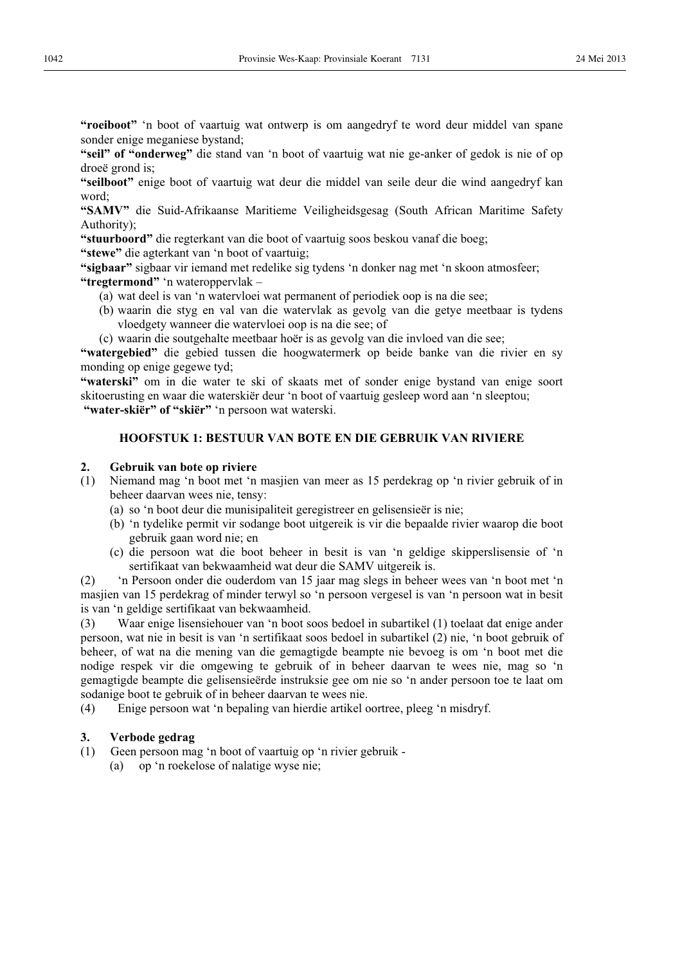**"roeiboot"** 'n boot of vaartuig wat ontwerp is om aangedryf te word deur middel van spane sonder enige meganiese bystand;

**"seil" of "onderweg"** die stand van 'n boot of vaartuig wat nie ge-anker of gedok is nie of op droeë grond is;

**"seilboot"** enige boot of vaartuig wat deur die middel van seile deur die wind aangedryf kan word;

**"SAMV"** die Suid-Afrikaanse Maritieme Veiligheidsgesag (South African Maritime Safety Authority);

**"stuurboord"** die regterkant van die boot of vaartuig soos beskou vanaf die boeg;

**"stewe"** die agterkant van 'n boot of vaartuig;

**"sigbaar"** sigbaar vir iemand met redelike sig tydens 'n donker nag met 'n skoon atmosfeer; **"tregtermond"** 'n wateroppervlak –

- (a) wat deel is van 'n watervloei wat permanent of periodiek oop is na die see;
- (b) waarin die styg en val van die watervlak as gevolg van die getye meetbaar is tydens vloedgety wanneer die watervloei oop is na die see; of

(c) waarin die soutgehalte meetbaar hoër is as gevolg van die invloed van die see;

**"watergebied"** die gebied tussen die hoogwatermerk op beide banke van die rivier en sy monding op enige gegewe tyd;

**"waterski"** om in die water te ski of skaats met of sonder enige bystand van enige soort skitoerusting en waar die waterskiër deur 'n boot of vaartuig gesleep word aan 'n sleeptou;  **"water-skiër" of "skiër"** 'n persoon wat waterski.

## **HOOFSTUK 1: BESTUUR VAN BOTE EN DIE GEBRUIK VAN RIVIERE**

## **2. Gebruik van bote op riviere**

- (1) Niemand mag 'n boot met 'n masjien van meer as 15 perdekrag op 'n rivier gebruik of in beheer daarvan wees nie, tensy:
	- (a) so 'n boot deur die munisipaliteit geregistreer en gelisensieër is nie;
	- (b) 'n tydelike permit vir sodange boot uitgereik is vir die bepaalde rivier waarop die boot gebruik gaan word nie; en
	- (c) die persoon wat die boot beheer in besit is van 'n geldige skipperslisensie of 'n sertifikaat van bekwaamheid wat deur die SAMV uitgereik is.

(2) 'n Persoon onder die ouderdom van 15 jaar mag slegs in beheer wees van 'n boot met 'n masjien van 15 perdekrag of minder terwyl so 'n persoon vergesel is van 'n persoon wat in besit is van 'n geldige sertifikaat van bekwaamheid.

(3) Waar enige lisensiehouer van 'n boot soos bedoel in subartikel (1) toelaat dat enige ander persoon, wat nie in besit is van 'n sertifikaat soos bedoel in subartikel (2) nie, 'n boot gebruik of beheer, of wat na die mening van die gemagtigde beampte nie bevoeg is om 'n boot met die nodige respek vir die omgewing te gebruik of in beheer daarvan te wees nie, mag so 'n gemagtigde beampte die gelisensieërde instruksie gee om nie so 'n ander persoon toe te laat om sodanige boot te gebruik of in beheer daarvan te wees nie.

(4) Enige persoon wat 'n bepaling van hierdie artikel oortree, pleeg 'n misdryf.

- **3. Verbode gedrag**  Geen persoon mag 'n boot of vaartuig op 'n rivier gebruik -
	- (a) op 'n roekelose of nalatige wyse nie;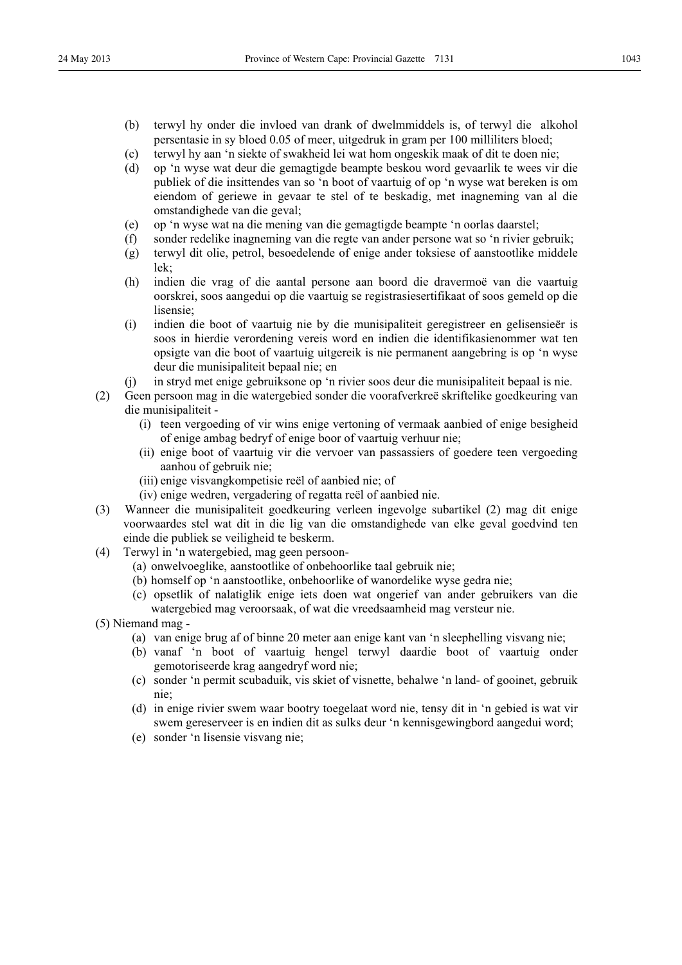- (b) terwyl hy onder die invloed van drank of dwelmmiddels is, of terwyl die alkohol persentasie in sy bloed 0.05 of meer, uitgedruk in gram per 100 milliliters bloed;
- (c) terwyl hy aan 'n siekte of swakheid lei wat hom ongeskik maak of dit te doen nie;
- (d) op 'n wyse wat deur die gemagtigde beampte beskou word gevaarlik te wees vir die publiek of die insittendes van so 'n boot of vaartuig of op 'n wyse wat bereken is om eiendom of geriewe in gevaar te stel of te beskadig, met inagneming van al die omstandighede van die geval;
- (e) op 'n wyse wat na die mening van die gemagtigde beampte 'n oorlas daarstel;
- (f) sonder redelike inagneming van die regte van ander persone wat so 'n rivier gebruik;
- (g) terwyl dit olie, petrol, besoedelende of enige ander toksiese of aanstootlike middele lek;
- (h) indien die vrag of die aantal persone aan boord die dravermoë van die vaartuig oorskrei, soos aangedui op die vaartuig se registrasiesertifikaat of soos gemeld op die lisensie;
- (i) indien die boot of vaartuig nie by die munisipaliteit geregistreer en gelisensieër is soos in hierdie verordening vereis word en indien die identifikasienommer wat ten opsigte van die boot of vaartuig uitgereik is nie permanent aangebring is op 'n wyse deur die munisipaliteit bepaal nie; en
- (j) in stryd met enige gebruiksone op 'n rivier soos deur die munisipaliteit bepaal is nie.
- (2) Geen persoon mag in die watergebied sonder die voorafverkreë skriftelike goedkeuring van die munisipaliteit -
	- (i) teen vergoeding of vir wins enige vertoning of vermaak aanbied of enige besigheid of enige ambag bedryf of enige boor of vaartuig verhuur nie;
	- (ii) enige boot of vaartuig vir die vervoer van passassiers of goedere teen vergoeding aanhou of gebruik nie;
	- (iii) enige visvangkompetisie reël of aanbied nie; of
	- (iv) enige wedren, vergadering of regatta reël of aanbied nie.
- (3) Wanneer die munisipaliteit goedkeuring verleen ingevolge subartikel (2) mag dit enige voorwaardes stel wat dit in die lig van die omstandighede van elke geval goedvind ten einde die publiek se veiligheid te beskerm.
- (4) Terwyl in 'n watergebied, mag geen persoon-
	- (a) onwelvoeglike, aanstootlike of onbehoorlike taal gebruik nie;
	- (b) homself op 'n aanstootlike, onbehoorlike of wanordelike wyse gedra nie;
	- (c) opsetlik of nalatiglik enige iets doen wat ongerief van ander gebruikers van die watergebied mag veroorsaak, of wat die vreedsaamheid mag versteur nie.
- (5) Niemand mag
	- (a) van enige brug af of binne 20 meter aan enige kant van 'n sleephelling visvang nie;
	- (b) vanaf 'n boot of vaartuig hengel terwyl daardie boot of vaartuig onder gemotoriseerde krag aangedryf word nie;
	- (c) sonder 'n permit scubaduik, vis skiet of visnette, behalwe 'n land- of gooinet, gebruik nie;
	- (d) in enige rivier swem waar bootry toegelaat word nie, tensy dit in 'n gebied is wat vir swem gereserveer is en indien dit as sulks deur 'n kennisgewingbord aangedui word;
	- (e) sonder 'n lisensie visvang nie;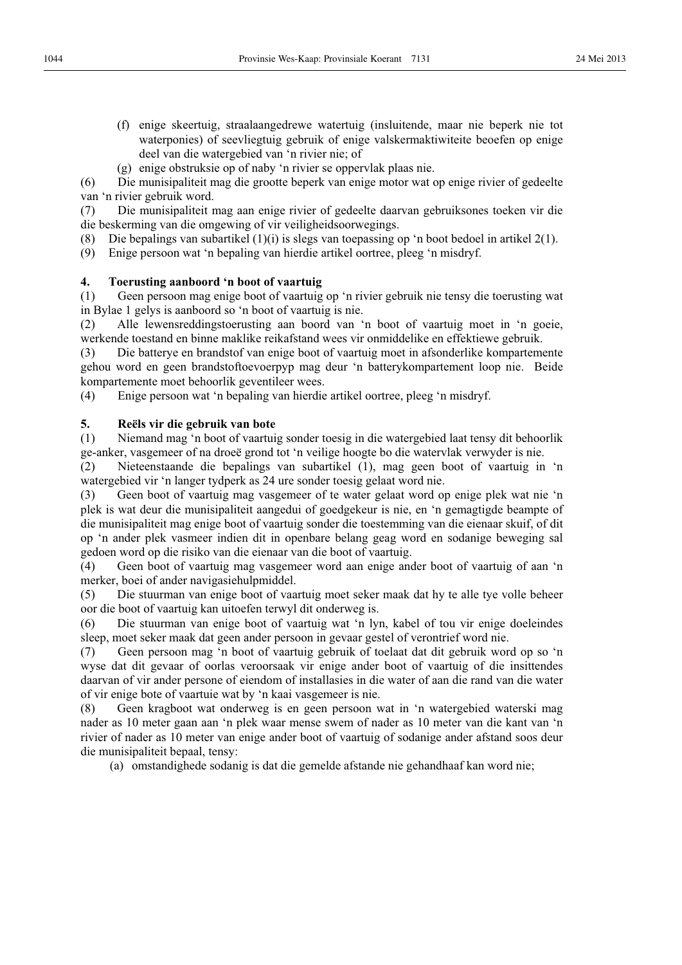(f) enige skeertuig, straalaangedrewe watertuig (insluitende, maar nie beperk nie tot waterponies) of seevliegtuig gebruik of enige valskermaktiwiteite beoefen op enige deel van die watergebied van 'n rivier nie; of

(g) enige obstruksie op of naby 'n rivier se oppervlak plaas nie.

(6) Die munisipaliteit mag die grootte beperk van enige motor wat op enige rivier of gedeelte van 'n rivier gebruik word.

(7) Die munisipaliteit mag aan enige rivier of gedeelte daarvan gebruiksones toeken vir die die beskerming van die omgewing of vir veiligheidsoorwegings.

(8) Die bepalings van subartikel (1)(i) is slegs van toepassing op 'n boot bedoel in artikel 2(1).

(9) Enige persoon wat 'n bepaling van hierdie artikel oortree, pleeg 'n misdryf.

## **4. Toerusting aanboord 'n boot of vaartuig**

(1) Geen persoon mag enige boot of vaartuig op 'n rivier gebruik nie tensy die toerusting wat in Bylae 1 gelys is aanboord so 'n boot of vaartuig is nie.

(2) Alle lewensreddingstoerusting aan boord van 'n boot of vaartuig moet in 'n goeie, werkende toestand en binne maklike reikafstand wees vir onmiddelike en effektiewe gebruik.

(3) Die batterye en brandstof van enige boot of vaartuig moet in afsonderlike kompartemente gehou word en geen brandstoftoevoerpyp mag deur 'n batterykompartement loop nie. Beide kompartemente moet behoorlik geventileer wees.

(4) Enige persoon wat 'n bepaling van hierdie artikel oortree, pleeg 'n misdryf.

## **5. Reëls vir die gebruik van bote**

(1) Niemand mag 'n boot of vaartuig sonder toesig in die watergebied laat tensy dit behoorlik ge-anker, vasgemeer of na droeë grond tot 'n veilige hoogte bo die watervlak verwyder is nie.

(2) Nieteenstaande die bepalings van subartikel (1), mag geen boot of vaartuig in 'n watergebied vir 'n langer tydperk as 24 ure sonder toesig gelaat word nie.

(3) Geen boot of vaartuig mag vasgemeer of te water gelaat word op enige plek wat nie 'n plek is wat deur die munisipaliteit aangedui of goedgekeur is nie, en 'n gemagtigde beampte of die munisipaliteit mag enige boot of vaartuig sonder die toestemming van die eienaar skuif, of dit op 'n ander plek vasmeer indien dit in openbare belang geag word en sodanige beweging sal gedoen word op die risiko van die eienaar van die boot of vaartuig.

(4) Geen boot of vaartuig mag vasgemeer word aan enige ander boot of vaartuig of aan 'n merker, boei of ander navigasiehulpmiddel.

(5) Die stuurman van enige boot of vaartuig moet seker maak dat hy te alle tye volle beheer oor die boot of vaartuig kan uitoefen terwyl dit onderweg is.

(6) Die stuurman van enige boot of vaartuig wat 'n lyn, kabel of tou vir enige doeleindes sleep, moet seker maak dat geen ander persoon in gevaar gestel of verontrief word nie.

(7) Geen persoon mag 'n boot of vaartuig gebruik of toelaat dat dit gebruik word op so 'n wyse dat dit gevaar of oorlas veroorsaak vir enige ander boot of vaartuig of die insittendes daarvan of vir ander persone of eiendom of installasies in die water of aan die rand van die water of vir enige bote of vaartuie wat by 'n kaai vasgemeer is nie.

(8) Geen kragboot wat onderweg is en geen persoon wat in 'n watergebied waterski mag nader as 10 meter gaan aan 'n plek waar mense swem of nader as 10 meter van die kant van 'n rivier of nader as 10 meter van enige ander boot of vaartuig of sodanige ander afstand soos deur die munisipaliteit bepaal, tensy:

(a) omstandighede sodanig is dat die gemelde afstande nie gehandhaaf kan word nie;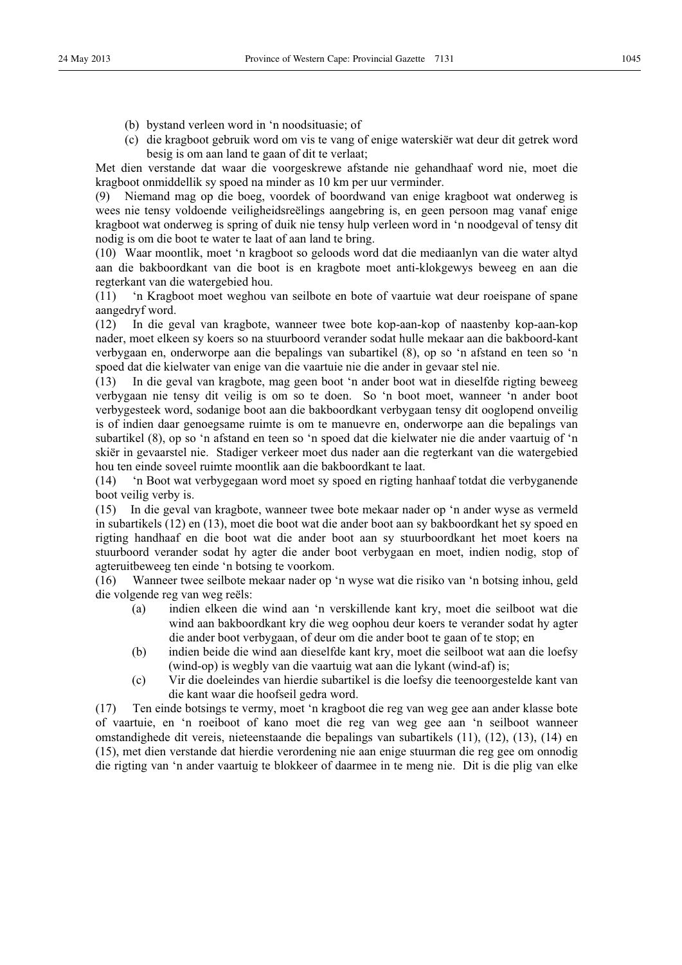- (b) bystand verleen word in 'n noodsituasie; of
- (c) die kragboot gebruik word om vis te vang of enige waterskiër wat deur dit getrek word besig is om aan land te gaan of dit te verlaat;

Met dien verstande dat waar die voorgeskrewe afstande nie gehandhaaf word nie, moet die kragboot onmiddellik sy spoed na minder as 10 km per uur verminder.

(9) Niemand mag op die boeg, voordek of boordwand van enige kragboot wat onderweg is wees nie tensy voldoende veiligheidsreëlings aangebring is, en geen persoon mag vanaf enige kragboot wat onderweg is spring of duik nie tensy hulp verleen word in 'n noodgeval of tensy dit nodig is om die boot te water te laat of aan land te bring.

(10) Waar moontlik, moet 'n kragboot so geloods word dat die mediaanlyn van die water altyd aan die bakboordkant van die boot is en kragbote moet anti-klokgewys beweeg en aan die regterkant van die watergebied hou.

(11) 'n Kragboot moet weghou van seilbote en bote of vaartuie wat deur roeispane of spane aangedryf word.

(12) In die geval van kragbote, wanneer twee bote kop-aan-kop of naastenby kop-aan-kop nader, moet elkeen sy koers so na stuurboord verander sodat hulle mekaar aan die bakboord-kant verbygaan en, onderworpe aan die bepalings van subartikel (8), op so 'n afstand en teen so 'n spoed dat die kielwater van enige van die vaartuie nie die ander in gevaar stel nie.

(13) In die geval van kragbote, mag geen boot 'n ander boot wat in dieselfde rigting beweeg verbygaan nie tensy dit veilig is om so te doen. So 'n boot moet, wanneer 'n ander boot verbygesteek word, sodanige boot aan die bakboordkant verbygaan tensy dit ooglopend onveilig is of indien daar genoegsame ruimte is om te manuevre en, onderworpe aan die bepalings van subartikel (8), op so 'n afstand en teen so 'n spoed dat die kielwater nie die ander vaartuig of 'n skiër in gevaarstel nie. Stadiger verkeer moet dus nader aan die regterkant van die watergebied hou ten einde soveel ruimte moontlik aan die bakboordkant te laat.

(14) 'n Boot wat verbygegaan word moet sy spoed en rigting hanhaaf totdat die verbyganende boot veilig verby is.

(15) In die geval van kragbote, wanneer twee bote mekaar nader op 'n ander wyse as vermeld in subartikels (12) en (13), moet die boot wat die ander boot aan sy bakboordkant het sy spoed en rigting handhaaf en die boot wat die ander boot aan sy stuurboordkant het moet koers na stuurboord verander sodat hy agter die ander boot verbygaan en moet, indien nodig, stop of agteruitbeweeg ten einde 'n botsing te voorkom.

(16) Wanneer twee seilbote mekaar nader op 'n wyse wat die risiko van 'n botsing inhou, geld die volgende reg van weg reëls:

- (a) indien elkeen die wind aan 'n verskillende kant kry, moet die seilboot wat die wind aan bakboordkant kry die weg oophou deur koers te verander sodat hy agter die ander boot verbygaan, of deur om die ander boot te gaan of te stop; en
- (b) indien beide die wind aan dieselfde kant kry, moet die seilboot wat aan die loefsy (wind-op) is wegbly van die vaartuig wat aan die lykant (wind-af) is;
- (c) Vir die doeleindes van hierdie subartikel is die loefsy die teenoorgestelde kant van die kant waar die hoofseil gedra word.

(17) Ten einde botsings te vermy, moet 'n kragboot die reg van weg gee aan ander klasse bote of vaartuie, en 'n roeiboot of kano moet die reg van weg gee aan 'n seilboot wanneer omstandighede dit vereis, nieteenstaande die bepalings van subartikels (11), (12), (13), (14) en (15), met dien verstande dat hierdie verordening nie aan enige stuurman die reg gee om onnodig die rigting van 'n ander vaartuig te blokkeer of daarmee in te meng nie. Dit is die plig van elke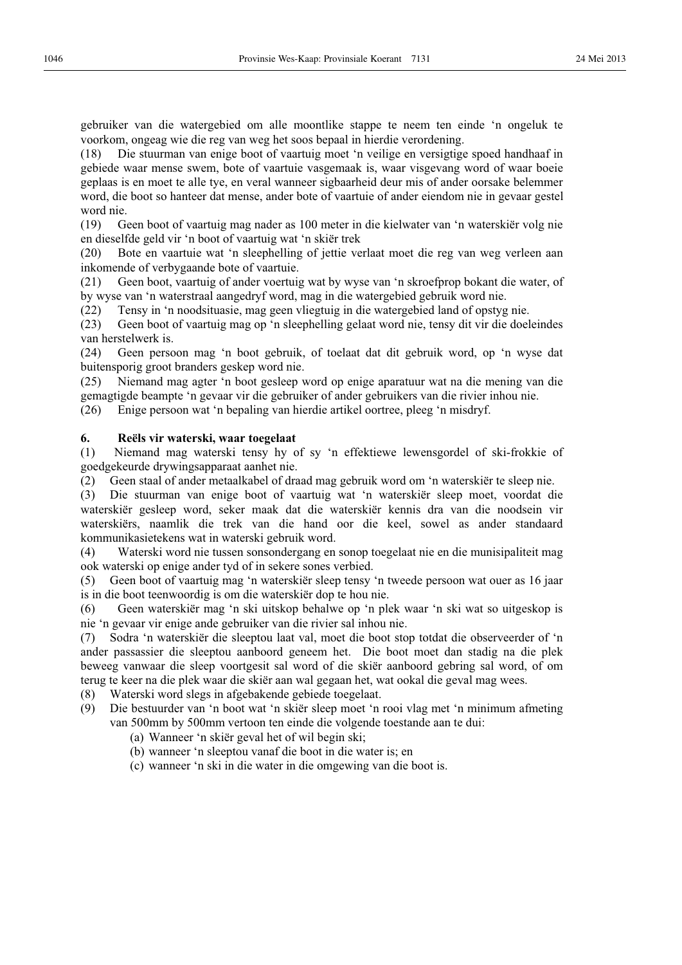gebruiker van die watergebied om alle moontlike stappe te neem ten einde 'n ongeluk te voorkom, ongeag wie die reg van weg het soos bepaal in hierdie verordening.

(18) Die stuurman van enige boot of vaartuig moet 'n veilige en versigtige spoed handhaaf in gebiede waar mense swem, bote of vaartuie vasgemaak is, waar visgevang word of waar boeie geplaas is en moet te alle tye, en veral wanneer sigbaarheid deur mis of ander oorsake belemmer word, die boot so hanteer dat mense, ander bote of vaartuie of ander eiendom nie in gevaar gestel word nie.

(19) Geen boot of vaartuig mag nader as 100 meter in die kielwater van 'n waterskiër volg nie en dieselfde geld vir 'n boot of vaartuig wat 'n skiër trek

(20) Bote en vaartuie wat 'n sleephelling of jettie verlaat moet die reg van weg verleen aan inkomende of verbygaande bote of vaartuie.

(21) Geen boot, vaartuig of ander voertuig wat by wyse van 'n skroefprop bokant die water, of by wyse van 'n waterstraal aangedryf word, mag in die watergebied gebruik word nie.

(22) Tensy in 'n noodsituasie, mag geen vliegtuig in die watergebied land of opstyg nie.

(23) Geen boot of vaartuig mag op 'n sleephelling gelaat word nie, tensy dit vir die doeleindes van herstelwerk is.

(24) Geen persoon mag 'n boot gebruik, of toelaat dat dit gebruik word, op 'n wyse dat buitensporig groot branders geskep word nie.

(25) Niemand mag agter 'n boot gesleep word op enige aparatuur wat na die mening van die gemagtigde beampte 'n gevaar vir die gebruiker of ander gebruikers van die rivier inhou nie.

(26) Enige persoon wat 'n bepaling van hierdie artikel oortree, pleeg 'n misdryf.

## **6. Reëls vir waterski, waar toegelaat**

(1) Niemand mag waterski tensy hy of sy 'n effektiewe lewensgordel of ski-frokkie of goedgekeurde drywingsapparaat aanhet nie.

(2) Geen staal of ander metaalkabel of draad mag gebruik word om 'n waterskiër te sleep nie.

(3) Die stuurman van enige boot of vaartuig wat 'n waterskiër sleep moet, voordat die waterskiër gesleep word, seker maak dat die waterskiër kennis dra van die noodsein vir waterskiërs, naamlik die trek van die hand oor die keel, sowel as ander standaard kommunikasietekens wat in waterski gebruik word.

(4) Waterski word nie tussen sonsondergang en sonop toegelaat nie en die munisipaliteit mag ook waterski op enige ander tyd of in sekere sones verbied.

(5) Geen boot of vaartuig mag 'n waterskiër sleep tensy 'n tweede persoon wat ouer as 16 jaar is in die boot teenwoordig is om die waterskiër dop te hou nie.

(6) Geen waterskiër mag 'n ski uitskop behalwe op 'n plek waar 'n ski wat so uitgeskop is nie 'n gevaar vir enige ande gebruiker van die rivier sal inhou nie.

(7) Sodra 'n waterskiër die sleeptou laat val, moet die boot stop totdat die observeerder of 'n ander passassier die sleeptou aanboord geneem het. Die boot moet dan stadig na die plek beweeg vanwaar die sleep voortgesit sal word of die skiër aanboord gebring sal word, of om terug te keer na die plek waar die skiër aan wal gegaan het, wat ookal die geval mag wees.

(8) Waterski word slegs in afgebakende gebiede toegelaat.

- (9) Die bestuurder van 'n boot wat 'n skiër sleep moet 'n rooi vlag met 'n minimum afmeting van 500mm by 500mm vertoon ten einde die volgende toestande aan te dui:
	- (a) Wanneer 'n skiër geval het of wil begin ski;
	- (b) wanneer 'n sleeptou vanaf die boot in die water is; en
	- (c) wanneer 'n ski in die water in die omgewing van die boot is.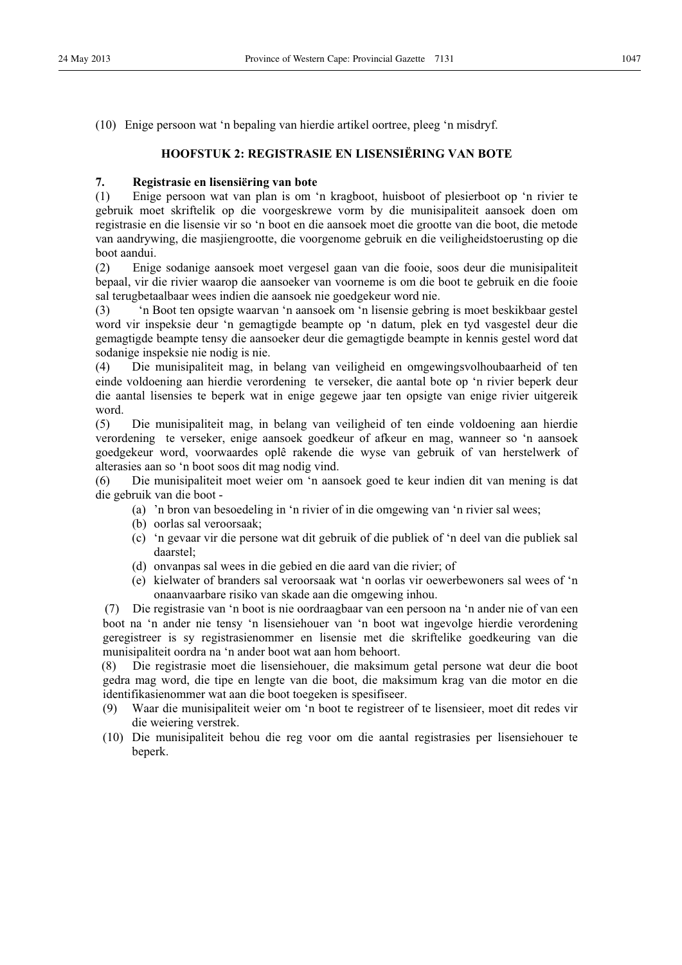(10) Enige persoon wat 'n bepaling van hierdie artikel oortree, pleeg 'n misdryf.

## **HOOFSTUK 2: REGISTRASIE EN LISENSIËRING VAN BOTE**

## **7. Registrasie en lisensiëring van bote**

(1) Enige persoon wat van plan is om 'n kragboot, huisboot of plesierboot op 'n rivier te gebruik moet skriftelik op die voorgeskrewe vorm by die munisipaliteit aansoek doen om registrasie en die lisensie vir so 'n boot en die aansoek moet die grootte van die boot, die metode van aandrywing, die masjiengrootte, die voorgenome gebruik en die veiligheidstoerusting op die boot aandui.

(2) Enige sodanige aansoek moet vergesel gaan van die fooie, soos deur die munisipaliteit bepaal, vir die rivier waarop die aansoeker van voorneme is om die boot te gebruik en die fooie sal terugbetaalbaar wees indien die aansoek nie goedgekeur word nie.

(3) 'n Boot ten opsigte waarvan 'n aansoek om 'n lisensie gebring is moet beskikbaar gestel word vir inspeksie deur 'n gemagtigde beampte op 'n datum, plek en tyd vasgestel deur die gemagtigde beampte tensy die aansoeker deur die gemagtigde beampte in kennis gestel word dat sodanige inspeksie nie nodig is nie.

(4) Die munisipaliteit mag, in belang van veiligheid en omgewingsvolhoubaarheid of ten einde voldoening aan hierdie verordening te verseker, die aantal bote op 'n rivier beperk deur die aantal lisensies te beperk wat in enige gegewe jaar ten opsigte van enige rivier uitgereik word.

(5) Die munisipaliteit mag, in belang van veiligheid of ten einde voldoening aan hierdie verordening te verseker, enige aansoek goedkeur of afkeur en mag, wanneer so 'n aansoek goedgekeur word, voorwaardes oplê rakende die wyse van gebruik of van herstelwerk of alterasies aan so 'n boot soos dit mag nodig vind.

(6) Die munisipaliteit moet weier om 'n aansoek goed te keur indien dit van mening is dat die gebruik van die boot -

- (a) 'n bron van besoedeling in 'n rivier of in die omgewing van 'n rivier sal wees;
- (b) oorlas sal veroorsaak;
- (c) 'n gevaar vir die persone wat dit gebruik of die publiek of 'n deel van die publiek sal daarstel;
- (d) onvanpas sal wees in die gebied en die aard van die rivier; of
- (e) kielwater of branders sal veroorsaak wat 'n oorlas vir oewerbewoners sal wees of 'n onaanvaarbare risiko van skade aan die omgewing inhou.

(7) Die registrasie van 'n boot is nie oordraagbaar van een persoon na 'n ander nie of van een boot na 'n ander nie tensy 'n lisensiehouer van 'n boot wat ingevolge hierdie verordening geregistreer is sy registrasienommer en lisensie met die skriftelike goedkeuring van die munisipaliteit oordra na 'n ander boot wat aan hom behoort.

(8) Die registrasie moet die lisensiehouer, die maksimum getal persone wat deur die boot gedra mag word, die tipe en lengte van die boot, die maksimum krag van die motor en die identifikasienommer wat aan die boot toegeken is spesifiseer.

- (9) Waar die munisipaliteit weier om 'n boot te registreer of te lisensieer, moet dit redes vir die weiering verstrek.
- (10) Die munisipaliteit behou die reg voor om die aantal registrasies per lisensiehouer te beperk.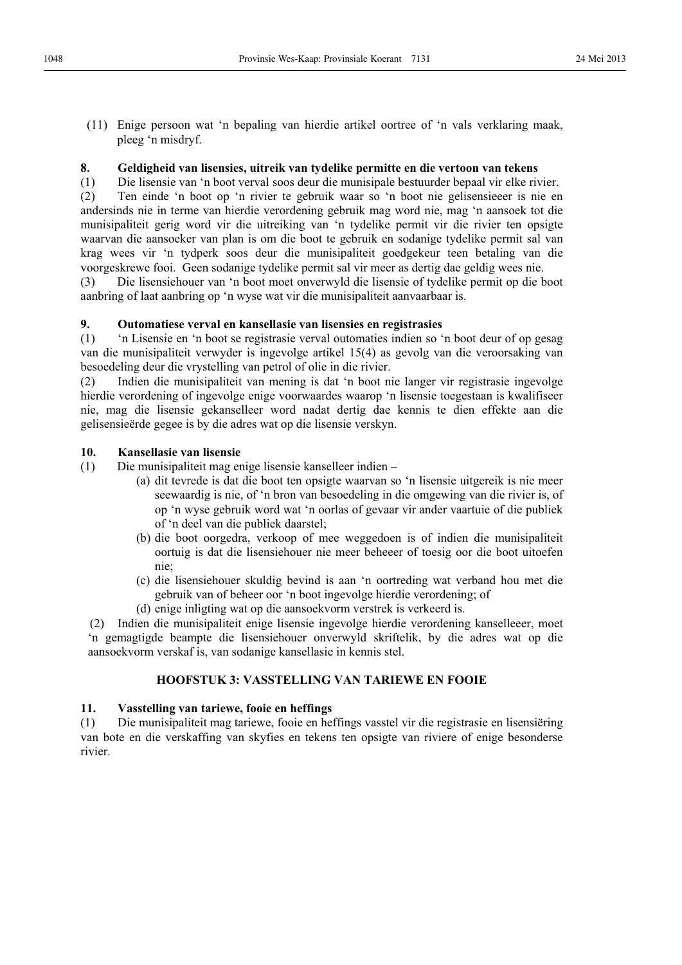(11) Enige persoon wat 'n bepaling van hierdie artikel oortree of 'n vals verklaring maak, pleeg 'n misdryf.

## **8. Geldigheid van lisensies, uitreik van tydelike permitte en die vertoon van tekens**

(1) Die lisensie van 'n boot verval soos deur die munisipale bestuurder bepaal vir elke rivier. (2) Ten einde 'n boot op 'n rivier te gebruik waar so 'n boot nie gelisensieeer is nie en andersinds nie in terme van hierdie verordening gebruik mag word nie, mag 'n aansoek tot die munisipaliteit gerig word vir die uitreiking van 'n tydelike permit vir die rivier ten opsigte waarvan die aansoeker van plan is om die boot te gebruik en sodanige tydelike permit sal van krag wees vir 'n tydperk soos deur die munisipaliteit goedgekeur teen betaling van die voorgeskrewe fooi. Geen sodanige tydelike permit sal vir meer as dertig dae geldig wees nie.

(3) Die lisensiehouer van 'n boot moet onverwyld die lisensie of tydelike permit op die boot aanbring of laat aanbring op 'n wyse wat vir die munisipaliteit aanvaarbaar is.

## **9. Outomatiese verval en kansellasie van lisensies en registrasies**

(1) 'n Lisensie en 'n boot se registrasie verval outomaties indien so 'n boot deur of op gesag van die munisipaliteit verwyder is ingevolge artikel 15(4) as gevolg van die veroorsaking van besoedeling deur die vrystelling van petrol of olie in die rivier.

(2) Indien die munisipaliteit van mening is dat 'n boot nie langer vir registrasie ingevolge hierdie verordening of ingevolge enige voorwaardes waarop 'n lisensie toegestaan is kwalifiseer nie, mag die lisensie gekanselleer word nadat dertig dae kennis te dien effekte aan die gelisensieërde gegee is by die adres wat op die lisensie verskyn.

## **10. Kansellasie van lisensie**

(1) Die munisipaliteit mag enige lisensie kanselleer indien –

- (a) dit tevrede is dat die boot ten opsigte waarvan so 'n lisensie uitgereik is nie meer seewaardig is nie, of 'n bron van besoedeling in die omgewing van die rivier is, of op 'n wyse gebruik word wat 'n oorlas of gevaar vir ander vaartuie of die publiek of 'n deel van die publiek daarstel;
- (b) die boot oorgedra, verkoop of mee weggedoen is of indien die munisipaliteit oortuig is dat die lisensiehouer nie meer beheeer of toesig oor die boot uitoefen nie;
- (c) die lisensiehouer skuldig bevind is aan 'n oortreding wat verband hou met die gebruik van of beheer oor 'n boot ingevolge hierdie verordening; of
- (d) enige inligting wat op die aansoekvorm verstrek is verkeerd is.

(2) Indien die munisipaliteit enige lisensie ingevolge hierdie verordening kanselleeer, moet 'n gemagtigde beampte die lisensiehouer onverwyld skriftelik, by die adres wat op die aansoekvorm verskaf is, van sodanige kansellasie in kennis stel.

## **HOOFSTUK 3: VASSTELLING VAN TARIEWE EN FOOIE**

## **11. Vasstelling van tariewe, fooie en heffings**

(1) Die munisipaliteit mag tariewe, fooie en heffings vasstel vir die registrasie en lisensiëring van bote en die verskaffing van skyfies en tekens ten opsigte van riviere of enige besonderse rivier.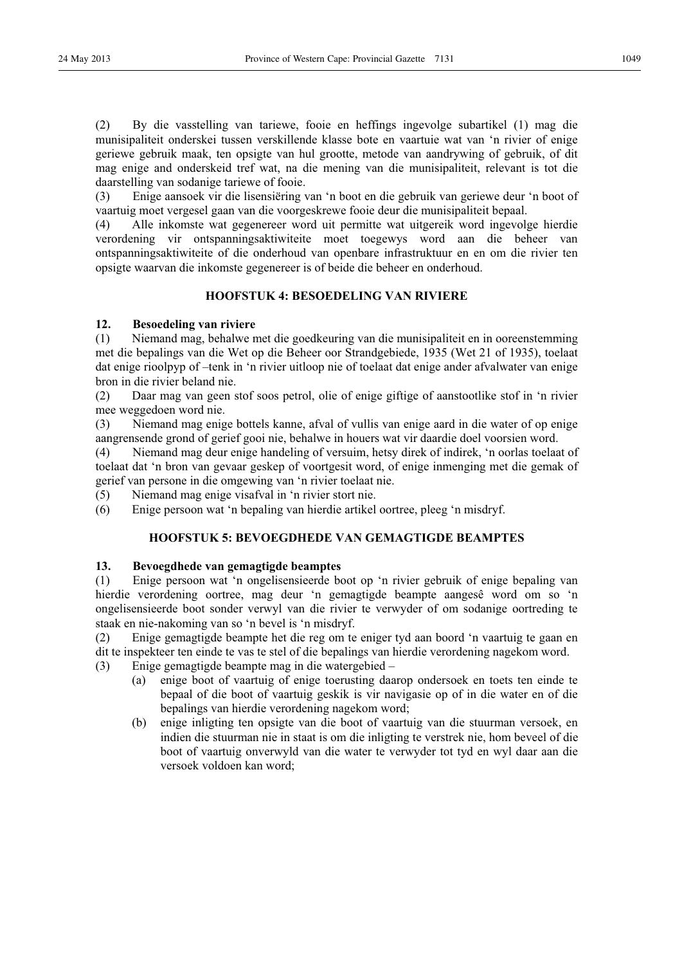(2) By die vasstelling van tariewe, fooie en heffings ingevolge subartikel (1) mag die munisipaliteit onderskei tussen verskillende klasse bote en vaartuie wat van 'n rivier of enige geriewe gebruik maak, ten opsigte van hul grootte, metode van aandrywing of gebruik, of dit mag enige and onderskeid tref wat, na die mening van die munisipaliteit, relevant is tot die daarstelling van sodanige tariewe of fooie.

(3) Enige aansoek vir die lisensiëring van 'n boot en die gebruik van geriewe deur 'n boot of vaartuig moet vergesel gaan van die voorgeskrewe fooie deur die munisipaliteit bepaal.

(4) Alle inkomste wat gegenereer word uit permitte wat uitgereik word ingevolge hierdie verordening vir ontspanningsaktiwiteite moet toegewys word aan die beheer van ontspanningsaktiwiteite of die onderhoud van openbare infrastruktuur en en om die rivier ten opsigte waarvan die inkomste gegenereer is of beide die beheer en onderhoud.

## **HOOFSTUK 4: BESOEDELING VAN RIVIERE**

## **12. Besoedeling van riviere**

(1) Niemand mag, behalwe met die goedkeuring van die munisipaliteit en in ooreenstemming met die bepalings van die Wet op die Beheer oor Strandgebiede, 1935 (Wet 21 of 1935), toelaat dat enige rioolpyp of –tenk in 'n rivier uitloop nie of toelaat dat enige ander afvalwater van enige bron in die rivier beland nie.

(2) Daar mag van geen stof soos petrol, olie of enige giftige of aanstootlike stof in 'n rivier mee weggedoen word nie.

(3) Niemand mag enige bottels kanne, afval of vullis van enige aard in die water of op enige aangrensende grond of gerief gooi nie, behalwe in houers wat vir daardie doel voorsien word.

(4) Niemand mag deur enige handeling of versuim, hetsy direk of indirek, 'n oorlas toelaat of toelaat dat 'n bron van gevaar geskep of voortgesit word, of enige inmenging met die gemak of gerief van persone in die omgewing van 'n rivier toelaat nie.

(5) Niemand mag enige visafval in 'n rivier stort nie.

(6) Enige persoon wat 'n bepaling van hierdie artikel oortree, pleeg 'n misdryf.

## **HOOFSTUK 5: BEVOEGDHEDE VAN GEMAGTIGDE BEAMPTES**

## **13. Bevoegdhede van gemagtigde beamptes**

(1) Enige persoon wat 'n ongelisensieerde boot op 'n rivier gebruik of enige bepaling van hierdie verordening oortree, mag deur 'n gemagtigde beampte aangesê word om so 'n ongelisensieerde boot sonder verwyl van die rivier te verwyder of om sodanige oortreding te staak en nie-nakoming van so 'n bevel is 'n misdryf.

(2) Enige gemagtigde beampte het die reg om te eniger tyd aan boord 'n vaartuig te gaan en dit te inspekteer ten einde te vas te stel of die bepalings van hierdie verordening nagekom word.

(3) Enige gemagtigde beampte mag in die watergebied –

- (a) enige boot of vaartuig of enige toerusting daarop ondersoek en toets ten einde te bepaal of die boot of vaartuig geskik is vir navigasie op of in die water en of die bepalings van hierdie verordening nagekom word;
- (b) enige inligting ten opsigte van die boot of vaartuig van die stuurman versoek, en indien die stuurman nie in staat is om die inligting te verstrek nie, hom beveel of die boot of vaartuig onverwyld van die water te verwyder tot tyd en wyl daar aan die versoek voldoen kan word;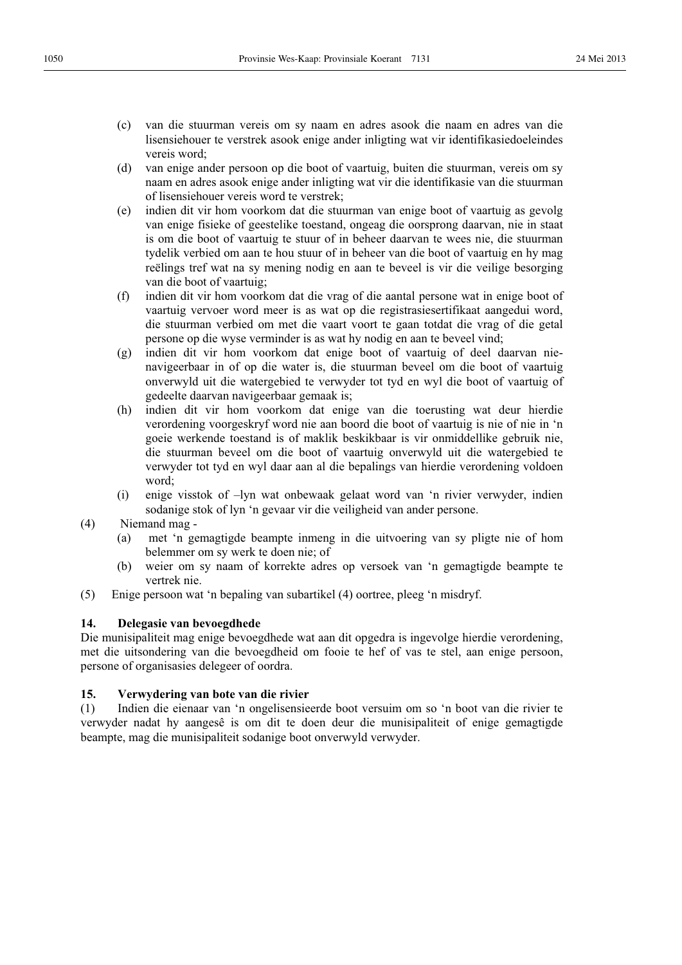- (d) van enige ander persoon op die boot of vaartuig, buiten die stuurman, vereis om sy naam en adres asook enige ander inligting wat vir die identifikasie van die stuurman of lisensiehouer vereis word te verstrek;
- (e) indien dit vir hom voorkom dat die stuurman van enige boot of vaartuig as gevolg van enige fisieke of geestelike toestand, ongeag die oorsprong daarvan, nie in staat is om die boot of vaartuig te stuur of in beheer daarvan te wees nie, die stuurman tydelik verbied om aan te hou stuur of in beheer van die boot of vaartuig en hy mag reëlings tref wat na sy mening nodig en aan te beveel is vir die veilige besorging van die boot of vaartuig;
- (f) indien dit vir hom voorkom dat die vrag of die aantal persone wat in enige boot of vaartuig vervoer word meer is as wat op die registrasiesertifikaat aangedui word, die stuurman verbied om met die vaart voort te gaan totdat die vrag of die getal persone op die wyse verminder is as wat hy nodig en aan te beveel vind;
- (g) indien dit vir hom voorkom dat enige boot of vaartuig of deel daarvan nienavigeerbaar in of op die water is, die stuurman beveel om die boot of vaartuig onverwyld uit die watergebied te verwyder tot tyd en wyl die boot of vaartuig of gedeelte daarvan navigeerbaar gemaak is;
- (h) indien dit vir hom voorkom dat enige van die toerusting wat deur hierdie verordening voorgeskryf word nie aan boord die boot of vaartuig is nie of nie in 'n goeie werkende toestand is of maklik beskikbaar is vir onmiddellike gebruik nie, die stuurman beveel om die boot of vaartuig onverwyld uit die watergebied te verwyder tot tyd en wyl daar aan al die bepalings van hierdie verordening voldoen word;
- (i) enige visstok of –lyn wat onbewaak gelaat word van 'n rivier verwyder, indien sodanige stok of lyn 'n gevaar vir die veiligheid van ander persone.

## (4) Niemand mag -

- (a) met 'n gemagtigde beampte inmeng in die uitvoering van sy pligte nie of hom belemmer om sy werk te doen nie; of
- (b) weier om sy naam of korrekte adres op versoek van 'n gemagtigde beampte te vertrek nie.
- (5) Enige persoon wat 'n bepaling van subartikel (4) oortree, pleeg 'n misdryf.

## **14. Delegasie van bevoegdhede**

Die munisipaliteit mag enige bevoegdhede wat aan dit opgedra is ingevolge hierdie verordening, met die uitsondering van die bevoegdheid om fooie te hef of vas te stel, aan enige persoon, persone of organisasies delegeer of oordra.

**15. Verwydering van bote van die rivier**  (1) Indien die eienaar van 'n ongelisensieerde boot versuim om so 'n boot van die rivier te verwyder nadat hy aangesê is om dit te doen deur die munisipaliteit of enige gemagtigde beampte, mag die munisipaliteit sodanige boot onverwyld verwyder.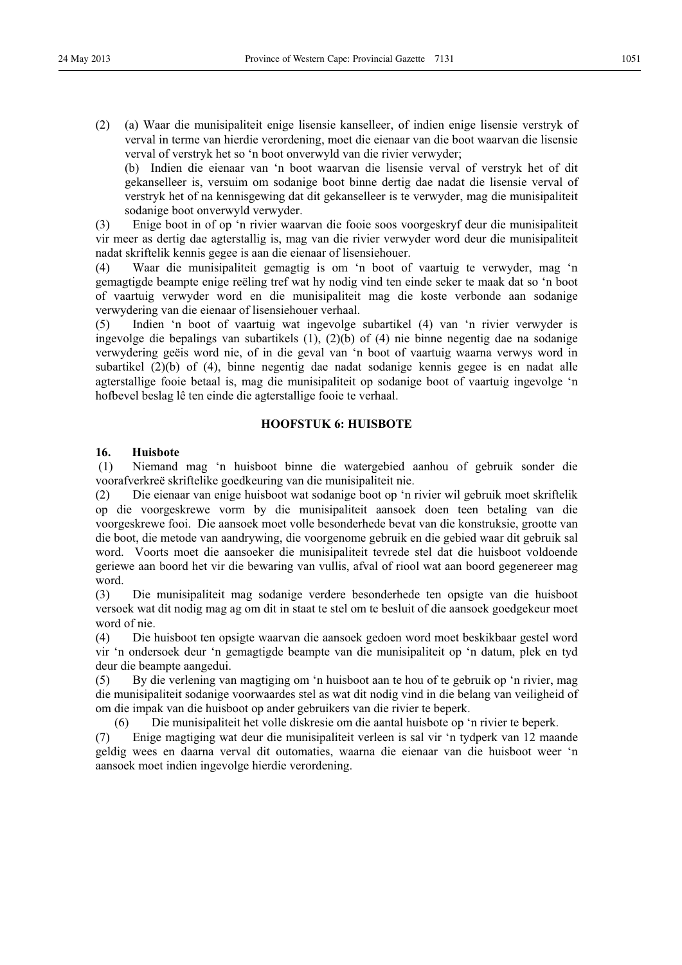(2) (a) Waar die munisipaliteit enige lisensie kanselleer, of indien enige lisensie verstryk of verval in terme van hierdie verordening, moet die eienaar van die boot waarvan die lisensie verval of verstryk het so 'n boot onverwyld van die rivier verwyder;

(b) Indien die eienaar van 'n boot waarvan die lisensie verval of verstryk het of dit gekanselleer is, versuim om sodanige boot binne dertig dae nadat die lisensie verval of verstryk het of na kennisgewing dat dit gekanselleer is te verwyder, mag die munisipaliteit sodanige boot onverwyld verwyder.

(3) Enige boot in of op 'n rivier waarvan die fooie soos voorgeskryf deur die munisipaliteit vir meer as dertig dae agterstallig is, mag van die rivier verwyder word deur die munisipaliteit nadat skriftelik kennis gegee is aan die eienaar of lisensiehouer.

(4) Waar die munisipaliteit gemagtig is om 'n boot of vaartuig te verwyder, mag 'n gemagtigde beampte enige reëling tref wat hy nodig vind ten einde seker te maak dat so 'n boot of vaartuig verwyder word en die munisipaliteit mag die koste verbonde aan sodanige verwydering van die eienaar of lisensiehouer verhaal.

(5) Indien 'n boot of vaartuig wat ingevolge subartikel (4) van 'n rivier verwyder is ingevolge die bepalings van subartikels (1), (2)(b) of (4) nie binne negentig dae na sodanige verwydering geëis word nie, of in die geval van 'n boot of vaartuig waarna verwys word in subartikel (2)(b) of (4), binne negentig dae nadat sodanige kennis gegee is en nadat alle agterstallige fooie betaal is, mag die munisipaliteit op sodanige boot of vaartuig ingevolge 'n hofbevel beslag lê ten einde die agterstallige fooie te verhaal.

## **HOOFSTUK 6: HUISBOTE**

## **16. Huisbote**

 (1) Niemand mag 'n huisboot binne die watergebied aanhou of gebruik sonder die voorafverkreë skriftelike goedkeuring van die munisipaliteit nie.

(2) Die eienaar van enige huisboot wat sodanige boot op 'n rivier wil gebruik moet skriftelik op die voorgeskrewe vorm by die munisipaliteit aansoek doen teen betaling van die voorgeskrewe fooi. Die aansoek moet volle besonderhede bevat van die konstruksie, grootte van die boot, die metode van aandrywing, die voorgenome gebruik en die gebied waar dit gebruik sal word. Voorts moet die aansoeker die munisipaliteit tevrede stel dat die huisboot voldoende geriewe aan boord het vir die bewaring van vullis, afval of riool wat aan boord gegenereer mag word.

(3) Die munisipaliteit mag sodanige verdere besonderhede ten opsigte van die huisboot versoek wat dit nodig mag ag om dit in staat te stel om te besluit of die aansoek goedgekeur moet word of nie.

(4) Die huisboot ten opsigte waarvan die aansoek gedoen word moet beskikbaar gestel word vir 'n ondersoek deur 'n gemagtigde beampte van die munisipaliteit op 'n datum, plek en tyd deur die beampte aangedui.

(5) By die verlening van magtiging om 'n huisboot aan te hou of te gebruik op 'n rivier, mag die munisipaliteit sodanige voorwaardes stel as wat dit nodig vind in die belang van veiligheid of om die impak van die huisboot op ander gebruikers van die rivier te beperk.

(6) Die munisipaliteit het volle diskresie om die aantal huisbote op 'n rivier te beperk.

(7) Enige magtiging wat deur die munisipaliteit verleen is sal vir 'n tydperk van 12 maande geldig wees en daarna verval dit outomaties, waarna die eienaar van die huisboot weer 'n aansoek moet indien ingevolge hierdie verordening.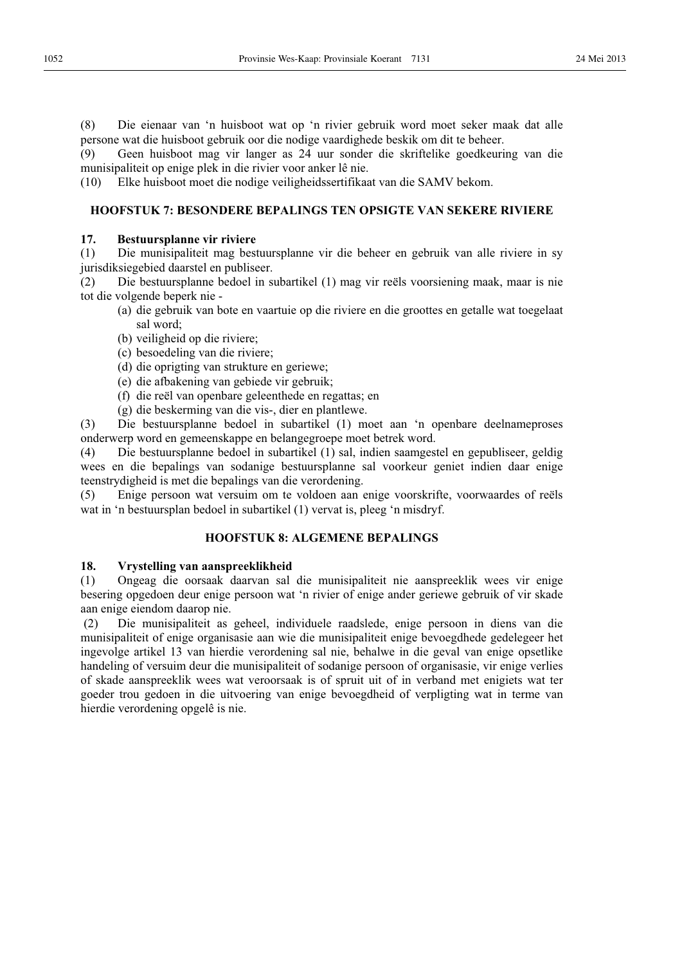(8) Die eienaar van 'n huisboot wat op 'n rivier gebruik word moet seker maak dat alle persone wat die huisboot gebruik oor die nodige vaardighede beskik om dit te beheer.

(9) Geen huisboot mag vir langer as 24 uur sonder die skriftelike goedkeuring van die munisipaliteit op enige plek in die rivier voor anker lê nie.

(10) Elke huisboot moet die nodige veiligheidssertifikaat van die SAMV bekom.

## **HOOFSTUK 7: BESONDERE BEPALINGS TEN OPSIGTE VAN SEKERE RIVIERE**

## **17. Bestuursplanne vir riviere**

(1) Die munisipaliteit mag bestuursplanne vir die beheer en gebruik van alle riviere in sy jurisdiksiegebied daarstel en publiseer.

(2) Die bestuursplanne bedoel in subartikel (1) mag vir reëls voorsiening maak, maar is nie tot die volgende beperk nie -

- (a) die gebruik van bote en vaartuie op die riviere en die groottes en getalle wat toegelaat sal word;
- (b) veiligheid op die riviere;
- (c) besoedeling van die riviere;
- (d) die oprigting van strukture en geriewe;
- (e) die afbakening van gebiede vir gebruik;
- (f) die reël van openbare geleenthede en regattas; en
- (g) die beskerming van die vis-, dier en plantlewe.

(3) Die bestuursplanne bedoel in subartikel (1) moet aan 'n openbare deelnameproses onderwerp word en gemeenskappe en belangegroepe moet betrek word.

(4) Die bestuursplanne bedoel in subartikel (1) sal, indien saamgestel en gepubliseer, geldig wees en die bepalings van sodanige bestuursplanne sal voorkeur geniet indien daar enige teenstrydigheid is met die bepalings van die verordening.

(5) Enige persoon wat versuim om te voldoen aan enige voorskrifte, voorwaardes of reëls wat in 'n bestuursplan bedoel in subartikel (1) vervat is, pleeg 'n misdryf.

## **HOOFSTUK 8: ALGEMENE BEPALINGS**

## **18. Vrystelling van aanspreeklikheid**

(1) Ongeag die oorsaak daarvan sal die munisipaliteit nie aanspreeklik wees vir enige besering opgedoen deur enige persoon wat 'n rivier of enige ander geriewe gebruik of vir skade aan enige eiendom daarop nie.

 (2) Die munisipaliteit as geheel, individuele raadslede, enige persoon in diens van die munisipaliteit of enige organisasie aan wie die munisipaliteit enige bevoegdhede gedelegeer het ingevolge artikel 13 van hierdie verordening sal nie, behalwe in die geval van enige opsetlike handeling of versuim deur die munisipaliteit of sodanige persoon of organisasie, vir enige verlies of skade aanspreeklik wees wat veroorsaak is of spruit uit of in verband met enigiets wat ter goeder trou gedoen in die uitvoering van enige bevoegdheid of verpligting wat in terme van hierdie verordening opgelê is nie.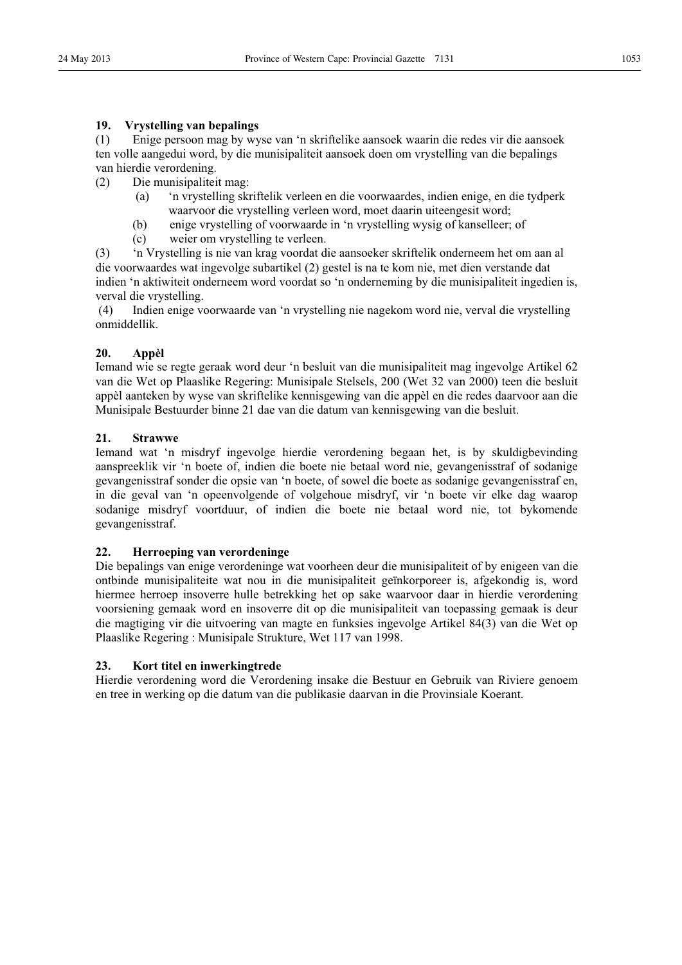## **19. Vrystelling van bepalings**

(1) Enige persoon mag by wyse van 'n skriftelike aansoek waarin die redes vir die aansoek ten volle aangedui word, by die munisipaliteit aansoek doen om vrystelling van die bepalings van hierdie verordening.

- (2) Die munisipaliteit mag:
	- (a) 'n vrystelling skriftelik verleen en die voorwaardes, indien enige, en die tydperk waarvoor die vrystelling verleen word, moet daarin uiteengesit word;
	- (b) enige vrystelling of voorwaarde in 'n vrystelling wysig of kanselleer; of
	- (c) weier om vrystelling te verleen.

(3) 'n Vrystelling is nie van krag voordat die aansoeker skriftelik onderneem het om aan al die voorwaardes wat ingevolge subartikel (2) gestel is na te kom nie, met dien verstande dat indien 'n aktiwiteit onderneem word voordat so 'n onderneming by die munisipaliteit ingedien is, verval die vrystelling.

 (4) Indien enige voorwaarde van 'n vrystelling nie nagekom word nie, verval die vrystelling onmiddellik.

## **20. Appèl**

Iemand wie se regte geraak word deur 'n besluit van die munisipaliteit mag ingevolge Artikel 62 van die Wet op Plaaslike Regering: Munisipale Stelsels, 200 (Wet 32 van 2000) teen die besluit appèl aanteken by wyse van skriftelike kennisgewing van die appèl en die redes daarvoor aan die Munisipale Bestuurder binne 21 dae van die datum van kennisgewing van die besluit.

## **21. Strawwe**

Iemand wat 'n misdryf ingevolge hierdie verordening begaan het, is by skuldigbevinding aanspreeklik vir 'n boete of, indien die boete nie betaal word nie, gevangenisstraf of sodanige gevangenisstraf sonder die opsie van 'n boete, of sowel die boete as sodanige gevangenisstraf en, in die geval van 'n opeenvolgende of volgehoue misdryf, vir 'n boete vir elke dag waarop sodanige misdryf voortduur, of indien die boete nie betaal word nie, tot bykomende gevangenisstraf.

## **22. Herroeping van verordeninge**

Die bepalings van enige verordeninge wat voorheen deur die munisipaliteit of by enigeen van die ontbinde munisipaliteite wat nou in die munisipaliteit geïnkorporeer is, afgekondig is, word hiermee herroep insoverre hulle betrekking het op sake waarvoor daar in hierdie verordening voorsiening gemaak word en insoverre dit op die munisipaliteit van toepassing gemaak is deur die magtiging vir die uitvoering van magte en funksies ingevolge Artikel 84(3) van die Wet op Plaaslike Regering : Munisipale Strukture, Wet 117 van 1998.

## **23. Kort titel en inwerkingtrede**

Hierdie verordening word die Verordening insake die Bestuur en Gebruik van Riviere genoem en tree in werking op die datum van die publikasie daarvan in die Provinsiale Koerant.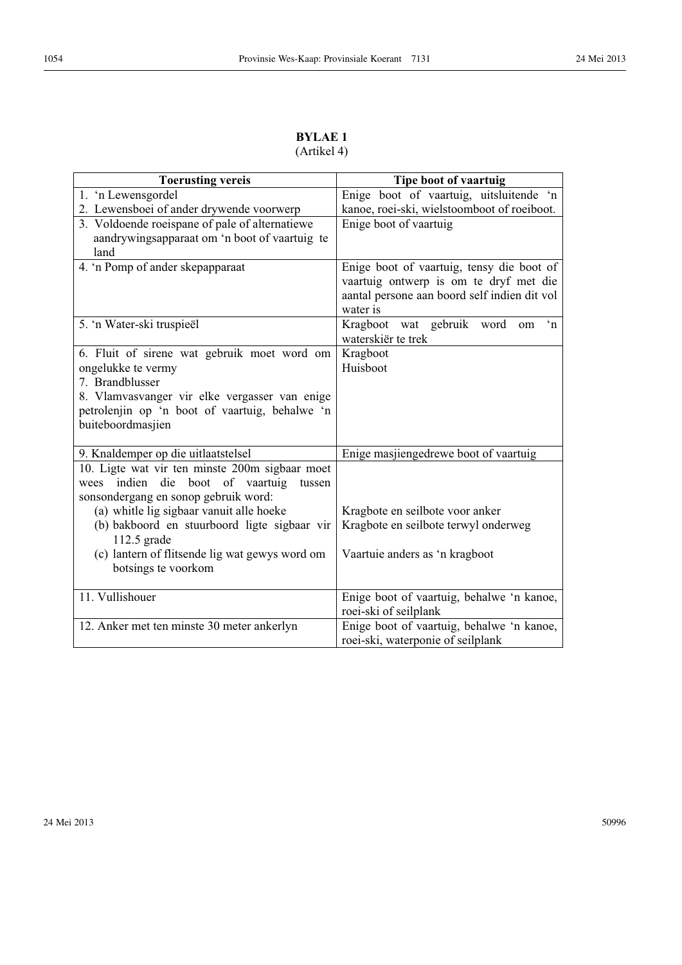| <b>BYLAE 1</b> |
|----------------|
| (Artikel 4)    |

| <b>Toerusting vereis</b>                                                                                                                                                                                     | Tipe boot of vaartuig                                                                                                                           |
|--------------------------------------------------------------------------------------------------------------------------------------------------------------------------------------------------------------|-------------------------------------------------------------------------------------------------------------------------------------------------|
| 1. 'n Lewensgordel                                                                                                                                                                                           | Enige boot of vaartuig, uitsluitende 'n                                                                                                         |
| 2. Lewensboei of ander drywende voorwerp                                                                                                                                                                     | kanoe, roei-ski, wielstoomboot of roeiboot.                                                                                                     |
| 3. Voldoende roeispane of pale of alternatiewe<br>aandrywingsapparaat om 'n boot of vaartuig te<br>land                                                                                                      | Enige boot of vaartuig                                                                                                                          |
| 4. 'n Pomp of ander skepapparaat                                                                                                                                                                             | Enige boot of vaartuig, tensy die boot of<br>vaartuig ontwerp is om te dryf met die<br>aantal persone aan boord self indien dit vol<br>water is |
| 5. 'n Water-ski truspieël                                                                                                                                                                                    | gebruik word<br>Kragboot wat<br>$\mathbf{h}$<br>om<br>waterskiër te trek                                                                        |
| 6. Fluit of sirene wat gebruik moet word om<br>ongelukke te vermy<br>7. Brandblusser<br>8. Vlamvasvanger vir elke vergasser van enige<br>petrolenjin op 'n boot of vaartuig, behalwe 'n<br>buiteboordmasjien | Kragboot<br>Huisboot                                                                                                                            |
| 9. Knaldemper op die uitlaatstelsel                                                                                                                                                                          | Enige masjiengedrewe boot of vaartuig                                                                                                           |
| 10. Ligte wat vir ten minste 200m sigbaar moet<br>indien die boot of vaartuig<br>tussen<br>wees<br>sonsondergang en sonop gebruik word:                                                                      |                                                                                                                                                 |
| (a) whitle lig sigbaar vanuit alle hoeke                                                                                                                                                                     | Kragbote en seilbote voor anker                                                                                                                 |
| (b) bakboord en stuurboord ligte sigbaar vir<br>112.5 grade                                                                                                                                                  | Kragbote en seilbote terwyl onderweg                                                                                                            |
| (c) lantern of flitsende lig wat gewys word om<br>botsings te voorkom                                                                                                                                        | Vaartuie anders as 'n kragboot                                                                                                                  |
| 11. Vullishouer                                                                                                                                                                                              | Enige boot of vaartuig, behalwe 'n kanoe,<br>roei-ski of seilplank                                                                              |
| 12. Anker met ten minste 30 meter ankerlyn                                                                                                                                                                   | Enige boot of vaartuig, behalwe 'n kanoe,<br>roei-ski, waterponie of seilplank                                                                  |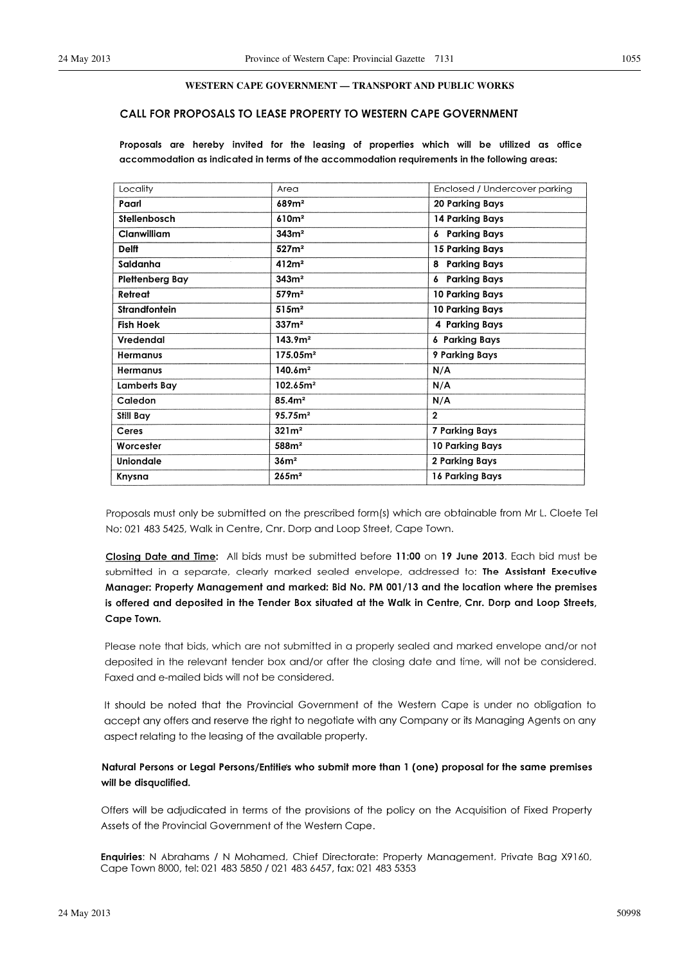#### **WESTERN CAPE GOVERNMENT — TRANSPORT AND PUBLIC WORKS**

## CALL FOR PROPOSALS TO LEASE PROPERTY TO WESTERN CAPE GOVERNMENT

Proposals are hereby invited for the leasing of properties which will be utilized as office accommodation as indicated in terms of the accommodation requirements in the following areas:

| Locality             | Area                 | Enclosed / Undercover parking |
|----------------------|----------------------|-------------------------------|
| Paarl                | 689m <sup>2</sup>    | <b>20 Parking Bays</b>        |
| Stellenbosch         | 610m <sup>2</sup>    | 14 Parking Bays               |
| Clanwilliam          | 343m <sup>2</sup>    | <b>6 Parking Bays</b>         |
| <b>Delff</b>         | 527m <sup>2</sup>    | 15 Parking Bays               |
| Saldanha             | 412m <sup>2</sup>    | <b>Parking Bays</b><br>8      |
| Plettenberg Bay      | 343m <sup>2</sup>    | <b>6</b> Parking Bays         |
| Retreat              | 579m <sup>2</sup>    | 10 Parking Bays               |
| <b>Strandfontein</b> | 515m <sup>2</sup>    | 10 Parking Bays               |
| <b>Fish Hoek</b>     | 337m <sup>2</sup>    | 4 Parking Bays                |
| Vredendal            | 143.9 <sup>m²</sup>  | <b>6 Parking Bays</b>         |
| <b>Hermanus</b>      | 175.05m <sup>2</sup> | 9 Parking Bays                |
| <b>Hermanus</b>      | 140.6m <sup>2</sup>  | N/A                           |
| Lamberts Bay         | 102.65m <sup>2</sup> | N/A                           |
| Caledon              | 85.4m <sup>2</sup>   | N/A                           |
| Still Bay            | 95.75m <sup>2</sup>  | $\mathbf{2}$                  |
| Ceres                | 321m <sup>2</sup>    | <b>7 Parking Bays</b>         |
| Worcester            | 588m <sup>2</sup>    | 10 Parking Bays               |
| <b>Uniondale</b>     | 36 <sup>2</sup>      | 2 Parking Bays                |
| Knysna               | 265m <sup>2</sup>    | 16 Parking Bays               |

Proposals must only be submitted on the prescribed form(s) which are obtainable from Mr L. Cloete Tel No: 021 483 5425, Walk in Centre, Cnr. Dorp and Loop Street, Cape Town.

Closing Date and Time: All bids must be submitted before 11:00 on 19 June 2013. Each bid must be submitted in a separate, clearly marked sealed envelope, addressed to: The Assistant Executive Manager: Property Management and marked: Bid No. PM 001/13 and the location where the premises is offered and deposited in the Tender Box situated at the Walk in Centre, Cnr. Dorp and Loop Streets, Cape Town.

Please note that bids, which are not submitted in a properly sealed and marked envelope and/or not deposited in the relevant tender box and/or after the closing date and time, will not be considered. Faxed and e-mailed bids will not be considered.

It should be noted that the Provincial Government of the Western Cape is under no obligation to accept any offers and reserve the right to negotiate with any Company or its Managing Agents on any aspect relating to the leasing of the available property.

## Natural Persons or Legal Persons/Entities who submit more than 1 (one) proposal for the same premises will be disqualified.

Offers will be adjudicated in terms of the provisions of the policy on the Acquisition of Fixed Property Assets of the Provincial Government of the Western Cape.

Enquiries: N Abrahams / N Mohamed, Chief Directorate: Property Management, Private Bag X9160, Cape Town 8000, tel: 021 483 5850 / 021 483 6457, fax: 021 483 5353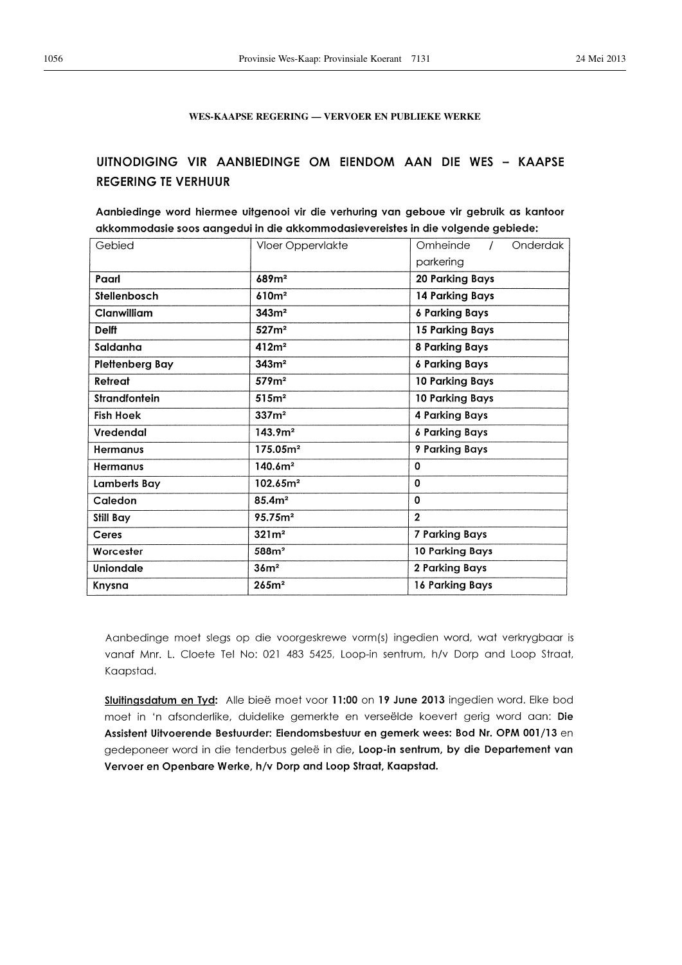## **WES-KAAPSE REGERING — VERVOER EN PUBLIEKE WERKE**

## UITNODIGING VIR AANBIEDINGE OM EIENDOM AAN DIE WES - KAAPSE **REGERING TE VERHUUR**

Aanbiedinge word hiermee uitgenooi vir die verhuring van geboue vir gebruik as kantoor akkommodasie soos aangedui in die akkommodasievereistes in die volgende gebiede:

| Gebied               | Vloer Oppervlakte    | Onderdak<br>Omheinde<br>$\prime$<br>parkering |
|----------------------|----------------------|-----------------------------------------------|
| Paarl                | 689m <sup>2</sup>    | <b>20 Parking Bays</b>                        |
| Stellenbosch         | 610m <sup>2</sup>    | 14 Parking Bays                               |
| Clanwilliam          | 343m <sup>2</sup>    | <b>6 Parking Bays</b>                         |
| <b>Delft</b>         | 527m <sup>2</sup>    | 15 Parking Bays                               |
| Saldanha             | 412m <sup>2</sup>    | <b>8 Parking Bays</b>                         |
| Plettenberg Bay      | 343m <sup>2</sup>    | <b>6 Parking Bays</b>                         |
| Retreat              | 579m <sup>2</sup>    | 10 Parking Bays                               |
| <b>Strandfontein</b> | 515m <sup>2</sup>    | 10 Parking Bays                               |
| <b>Fish Hoek</b>     | 337m <sup>2</sup>    | <b>4 Parking Bays</b>                         |
| Vredendal            | 143.9 <sup>m²</sup>  | <b>6 Parking Bays</b>                         |
| <b>Hermanus</b>      | 175.05m <sup>2</sup> | 9 Parking Bays                                |
| Hermanus             | 140.6m <sup>2</sup>  | 0                                             |
| Lamberts Bay         | 102.65m <sup>2</sup> | 0                                             |
| Caledon              | 85.4m <sup>2</sup>   | $\mathbf 0$                                   |
| <b>Still Bay</b>     | 95.75m <sup>2</sup>  | $\overline{2}$                                |
| Ceres                | 321m <sup>2</sup>    | 7 Parking Bays                                |
| Worcester            | 588m <sup>2</sup>    | 10 Parking Bays                               |
| <b>Uniondale</b>     | 36m <sup>2</sup>     | 2 Parking Bays                                |
| Knysna               | 265m <sup>2</sup>    | 16 Parking Bays                               |

Aanbedinge moet slegs op die voorgeskrewe vorm(s) ingedien word, wat verkrygbaar is vanaf Mnr. L. Cloete Tel No: 021 483 5425, Loop-in sentrum, h/v Dorp and Loop Straat, Kaapstad.

Sluitingsdatum en Tyd: Alle bieë moet voor 11:00 on 19 June 2013 ingedien word. Elke bod moet in 'n afsonderlike, duidelike gemerkte en verseëlde koevert gerig word aan: Die Assistent Uitvoerende Bestuurder: Eiendomsbestuur en gemerk wees: Bod Nr. OPM 001/13 en gedeponeer word in die tenderbus geleë in die, Loop-in sentrum, by die Departement van Vervoer en Openbare Werke, h/v Dorp and Loop Straat, Kaapstad.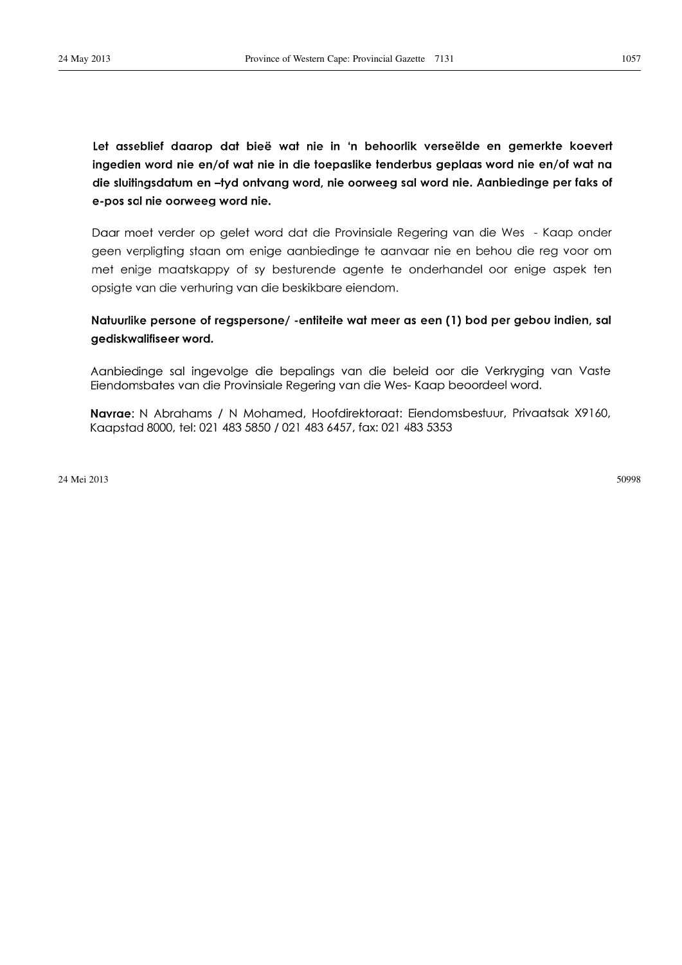Let asseblief daarop dat bieë wat nie in 'n behoorlik verseëlde en gemerkte koevert ingedien word nie en/of wat nie in die toepaslike tenderbus geplaas word nie en/of wat na die sluitingsdatum en -tyd ontvang word, nie oorweeg sal word nie. Aanbiedinge per faks of e-pos sal nie oorweeg word nie.

Daar moet verder op gelet word dat die Provinsiale Regering van die Wes - Kaap onder geen verpligting staan om enige aanbiedinge te aanvaar nie en behou die reg voor om met enige maatskappy of sy besturende agente te onderhandel oor enige aspek ten opsigte van die verhuring van die beskikbare eiendom.

## Natuurlike persone of regspersone/-entiteite wat meer as een (1) bod per gebou indien, sal gediskwalifiseer word.

Aanbiedinge sal ingevolge die bepalings van die beleid oor die Verkryging van Vaste Eiendomsbates van die Provinsiale Regering van die Wes-Kaap beoordeel word.

Navrae: N Abrahams / N Mohamed, Hoofdirektoraat: Eiendomsbestuur, Privaatsak X9160, Kaapstad 8000, tel: 021 483 5850 / 021 483 6457, fax: 021 483 5353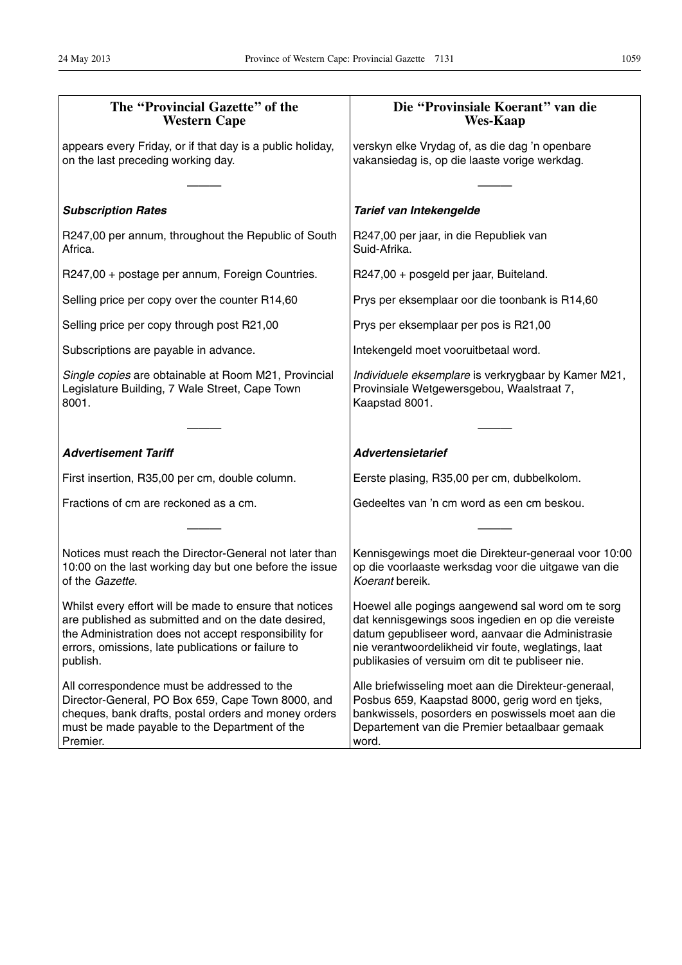| The "Provincial Gazette" of the<br><b>Western Cape</b>                                                                                                                                                                                    | Die "Provinsiale Koerant" van die<br><b>Wes-Kaap</b>                                                                                                                                                                                                                   |
|-------------------------------------------------------------------------------------------------------------------------------------------------------------------------------------------------------------------------------------------|------------------------------------------------------------------------------------------------------------------------------------------------------------------------------------------------------------------------------------------------------------------------|
| appears every Friday, or if that day is a public holiday,<br>on the last preceding working day.                                                                                                                                           | verskyn elke Vrydag of, as die dag 'n openbare<br>vakansiedag is, op die laaste vorige werkdag.                                                                                                                                                                        |
| <b>Subscription Rates</b>                                                                                                                                                                                                                 | Tarief van Intekengelde                                                                                                                                                                                                                                                |
| R247,00 per annum, throughout the Republic of South<br>Africa.                                                                                                                                                                            | R247,00 per jaar, in die Republiek van<br>Suid-Afrika.                                                                                                                                                                                                                 |
| R247,00 + postage per annum, Foreign Countries.                                                                                                                                                                                           | R247,00 + posgeld per jaar, Buiteland.                                                                                                                                                                                                                                 |
| Selling price per copy over the counter R14,60                                                                                                                                                                                            | Prys per eksemplaar oor die toonbank is R14,60                                                                                                                                                                                                                         |
| Selling price per copy through post R21,00                                                                                                                                                                                                | Prys per eksemplaar per pos is R21,00                                                                                                                                                                                                                                  |
| Subscriptions are payable in advance.                                                                                                                                                                                                     | Intekengeld moet vooruitbetaal word.                                                                                                                                                                                                                                   |
| Single copies are obtainable at Room M21, Provincial<br>Legislature Building, 7 Wale Street, Cape Town<br>8001.                                                                                                                           | Individuele eksemplare is verkrygbaar by Kamer M21,<br>Provinsiale Wetgewersgebou, Waalstraat 7,<br>Kaapstad 8001.                                                                                                                                                     |
|                                                                                                                                                                                                                                           |                                                                                                                                                                                                                                                                        |
| <b>Advertisement Tariff</b>                                                                                                                                                                                                               | <b>Advertensietarief</b>                                                                                                                                                                                                                                               |
| First insertion, R35,00 per cm, double column.                                                                                                                                                                                            | Eerste plasing, R35,00 per cm, dubbelkolom.                                                                                                                                                                                                                            |
| Fractions of cm are reckoned as a cm.                                                                                                                                                                                                     | Gedeeltes van 'n cm word as een cm beskou.                                                                                                                                                                                                                             |
|                                                                                                                                                                                                                                           |                                                                                                                                                                                                                                                                        |
| Notices must reach the Director-General not later than<br>10:00 on the last working day but one before the issue<br>of the Gazette.                                                                                                       | Kennisgewings moet die Direkteur-generaal voor 10:00<br>op die voorlaaste werksdag voor die uitgawe van die<br>Koerant bereik.                                                                                                                                         |
| Whilst every effort will be made to ensure that notices<br>are published as submitted and on the date desired,<br>the Administration does not accept responsibility for<br>errors, omissions, late publications or failure to<br>publish. | Hoewel alle pogings aangewend sal word om te sorg<br>dat kennisgewings soos ingedien en op die vereiste<br>datum gepubliseer word, aanvaar die Administrasie<br>nie verantwoordelikheid vir foute, weglatings, laat<br>publikasies of versuim om dit te publiseer nie. |
| All correspondence must be addressed to the<br>Director-General, PO Box 659, Cape Town 8000, and<br>cheques, bank drafts, postal orders and money orders<br>must be made payable to the Department of the<br>Premier.                     | Alle briefwisseling moet aan die Direkteur-generaal,<br>Posbus 659, Kaapstad 8000, gerig word en tjeks,<br>bankwissels, posorders en poswissels moet aan die<br>Departement van die Premier betaalbaar gemaak<br>word.                                                 |